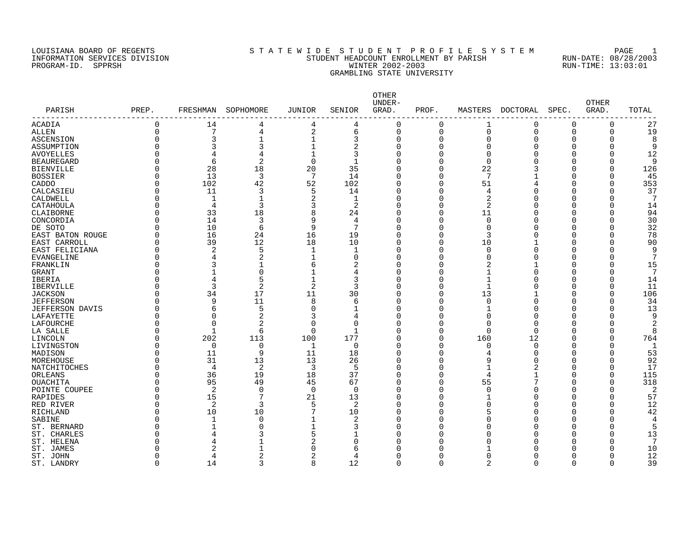# LOUISIANA BOARD OF REGENTS SOURCLEARIE WIDE STUDENT PROFILE SYSTEM PAGE 1 INFORMATION SERVICES DIVISION STUDENT HEADCOUNT ENROLLMENT BY PARISH RUN-DATE: 08/28/2003 PROGRAM-ID. SPPRSH WINTER 2002-2003 RUN-TIME: 13:03:01 GRAMBLING STATE UNIVERSITY

| PARISH                 | PREP.       | FRESHMAN       | SOPHOMORE      | <b>JUNIOR</b>  | SENIOR         | OTHER<br>UNDER-<br>GRAD. | PROF.    | MASTERS        | <b>DOCTORAL</b> | SPEC.       | <b>OTHER</b><br>GRAD. | TOTAL          |
|------------------------|-------------|----------------|----------------|----------------|----------------|--------------------------|----------|----------------|-----------------|-------------|-----------------------|----------------|
|                        |             |                |                |                |                |                          |          |                |                 |             |                       |                |
| ACADIA                 | 0           | 14             | 4              | 4              | 4              | 0                        | $\Omega$ | 1              | 0               | 0           | 0                     | 27             |
| <b>ALLEN</b>           | $\mathbf 0$ | 7              | 4              | $\overline{2}$ | 6              | 0                        | $\Omega$ | $\Omega$       | $\Omega$        | $\mathbf 0$ | $\Omega$              | 19             |
| ASCENSION              | $\Omega$    | 3              | 1              |                | 3              | 0                        | $\Omega$ | $\Omega$       | $\Omega$        | $\Omega$    | $\Omega$              | 8              |
| ASSUMPTION             | O           | 3              | 3              | 1              | 2              | 0                        | $\Omega$ | $\Omega$       | $\Omega$        | $\mathbf 0$ | $\Omega$              | 9              |
| <b>AVOYELLES</b>       | O           | 4              | 4              | $\mathbf{1}$   | 3              | 0                        | $\Omega$ | $\Omega$       | $\Omega$        | $\Omega$    | $\Omega$              | 12             |
| <b>BEAUREGARD</b>      | U           | 6              | 2              | $\Omega$       | 1              | 0                        | $\Omega$ | $\Omega$       | n               | $\Omega$    | ∩                     | 9              |
| <b>BIENVILLE</b>       | O           | 28             | 18             | 20             | 35             | 0                        | $\Omega$ | 22             |                 | $\Omega$    | ∩                     | 126            |
| <b>BOSSIER</b>         | U           | 13             | $\overline{3}$ | 7              | 14             | O                        | O        | 7              |                 | $\Omega$    | ∩                     | 45             |
| CADDO                  | O           | 102            | 42             | 52             | 102            | O                        | 0        | 51             | 4               | 0           | $\Omega$              | 353            |
| CALCASIEU              | O           | 11             | 3              | 5              | 14             | O                        | U        | 4              | $\Omega$        | $\Omega$    | ∩                     | 37             |
| CALDWELL               | 0           | $\mathbf 1$    | -1             | $\overline{2}$ | 1              | 0                        | 0        | 2              | $\Omega$        | 0           | $\Omega$              | 7              |
| CATAHOULA              | U           | 4              | 3              | 3              | 2              | O                        | $\Omega$ | 2              | $\cap$          | 0           | $\cap$                | 14             |
| CLAIBORNE              | 0           | 33             | 18             | 8              | 24             | 0                        | 0        | 11             | $\Omega$        | 0           | $\Omega$              | 94             |
| CONCORDIA              | O           | 14             | 3              | 9              | 4              | O                        | $\Omega$ | $\Omega$       | ∩               | $\Omega$    | $\cap$                | 30             |
| DE SOTO                | O           | 10             | 6              | 9              | 7              | 0                        | O        | $\mathbf 0$    | $\Omega$        | $\Omega$    | $\Omega$              | 32             |
| EAST BATON ROUGE       | 0           | 16             | 24             | 16             | 19             | 0                        | $\Omega$ | 3              | $\Omega$        | $\Omega$    | $\Omega$              | 78             |
| EAST CARROLL           | 0           | 39             | 12             | 18             | 10             | 0                        | $\Omega$ | 10             |                 | $\mathbf 0$ | $\Omega$              | 90             |
| EAST FELICIANA         | 0           | $\overline{2}$ | 5              | $\mathbf 1$    | 1              | 0                        | 0        | 0              | $\Omega$        | 0           | $\Omega$              | 9              |
| <b>EVANGELINE</b>      | 0           | 4              | $\overline{2}$ | $\mathbf{1}$   | $\mathbf 0$    | 0                        | 0        | $\Omega$       | $\Omega$        | 0           | $\Omega$              | 7              |
| FRANKLIN               | 0           | 3              | $\mathbf{1}$   | 6              | $\overline{2}$ | 0                        | $\Omega$ | $\overline{2}$ |                 | $\Omega$    | $\Omega$              | 15             |
| <b>GRANT</b>           | U           |                | $\Omega$       |                | 4              | 0                        | O        | 1              | $\Omega$        | $\Omega$    | $\Omega$              | 7              |
|                        | O           | $\overline{4}$ | 5              |                | 3              | 0                        | 0        | 1              | $\Omega$        | $\Omega$    | $\Omega$              |                |
| <b>IBERIA</b>          | Ω           |                |                | $\mathfrak{D}$ | 3              |                          |          | $\mathbf{1}$   | $\cap$          |             | ∩                     | 14             |
| <b>IBERVILLE</b>       |             | 3              | 2              |                |                | O                        | O        |                |                 | $\Omega$    |                       | 11             |
| <b>JACKSON</b>         | O           | 34             | 17             | 11             | 30             | 0                        | $\Omega$ | 13             | $\mathbf{1}$    | 0           | $\Omega$              | 106            |
| <b>JEFFERSON</b>       | U           | 9              | 11             | 8              | 6              | O                        | O        | $\Omega$       | $\Omega$        | $\Omega$    | ∩                     | 34             |
| <b>JEFFERSON DAVIS</b> | 0           | 6              | 5              | $\Omega$       | 1              | 0                        | 0        | -1             | $\Omega$        | 0           | $\Omega$              | 13             |
| LAFAYETTE              | O           | $\Omega$       | 2              | ζ              | 4              | 0                        | O        | $\Omega$       | $\cap$          | $\Omega$    | ∩                     | 9              |
| LAFOURCHE              | O           | $\Omega$       | $\overline{2}$ | $\Omega$       | $\mathbf 0$    | 0                        | $\Omega$ | $\Omega$       | $\Omega$        | $\Omega$    | $\cap$                | $\overline{2}$ |
| LA SALLE               | U           | -1             | 6              | $\Omega$       | $\mathbf{1}$   | O                        | $\Omega$ | $\Omega$       | $\Omega$        | $\Omega$    | $\cap$                | 8              |
| LINCOLN                | O           | 202            | 113            | 100            | 177            | O                        | $\Omega$ | 160            | 12              | $\Omega$    | $\Omega$              | 764            |
| LIVINGSTON             | O           | 0              | $\Omega$       | 1              | 0              | O                        | $\Omega$ | 0              | 0               | $\Omega$    | $\cap$                | 1              |
| MADISON                | O           | 11             | 9              | 11             | 18             | 0                        | O        | 4              | $\Omega$        | 0           | $\Omega$              | 53             |
| MOREHOUSE              | 0           | 31             | 13             | 13             | 26             | 0                        | 0        | 9              | $\Omega$        | 0           | $\Omega$              | 92             |
| NATCHITOCHES           | 0           | $\overline{4}$ | 2              | 3              | 5              | 0                        | $\Omega$ | $\mathbf{1}$   | 2               | $\mathbf 0$ | $\Omega$              | 17             |
| ORLEANS                | 0           | 36             | 19             | 18             | 37             | 0                        | 0        | 4              | $\mathbf{1}$    | $\mathbf 0$ | $\Omega$              | 115            |
| <b>OUACHITA</b>        | O           | 95             | 49             | 45             | 67             | 0                        | 0        | 55             | 7               | $\mathbf 0$ | $\Omega$              | 318            |
| POINTE COUPEE          | 0           | $\overline{2}$ | $\mathbf 0$    | $\Omega$       | $\mathbf 0$    | 0                        | 0        | $\mathbf 0$    | $\Omega$        | $\mathbf 0$ | $\Omega$              | $\overline{2}$ |
| <b>RAPIDES</b>         | O           | 15             | 7              | 21             | 13             | 0                        | O        |                | $\Omega$        | $\Omega$    | $\Omega$              | 57             |
| RED RIVER              | 0           | 2              | 3              | 5              | 2              | 0                        | $\Omega$ | $\Omega$       | $\Omega$        | $\Omega$    | $\Omega$              | 12             |
| <b>RICHLAND</b>        | U           | 10             | 10             | 7              | 10             | O                        | O        | 5              | $\cap$          | $\Omega$    | ∩                     | 42             |
| SABINE                 | O           | 1              | $\Omega$       | $\mathbf{1}$   | 2              | 0                        | $\Omega$ | $\Omega$       | $\Omega$        | 0           | $\Omega$              | $\overline{4}$ |
| ST. BERNARD            | U           | $\mathbf{1}$   | $\Omega$       | $\mathbf{1}$   | 3              | 0                        | O        | $\Omega$       | $\Omega$        | $\Omega$    | ∩                     | 5              |
| ST. CHARLES            | U           | $\overline{4}$ | 3              | 5              | 1              | 0                        | U        | $\Omega$       | $\cap$          | $\Omega$    | $\cap$                | 13             |
| ST. HELENA             | U           | 4              |                | 2              | 0              | O                        | U        | $\Omega$       | ∩               | $\Omega$    | ∩                     | 7              |
| ST. JAMES              | Ω           | $\overline{2}$ | $\mathbf{1}$   | ∩              | 6              | O                        | U        |                | ſ               | $\Omega$    | ∩                     | 10             |
| ST. JOHN               | O           | $\overline{4}$ | 2              | 2              | 4              | O                        | U        | $\Omega$       | Λ               | $\Omega$    | ∩                     | 12             |
| ST. LANDRY             | $\Omega$    | 14             | 3              | 8              | 12             | 0                        | $\Omega$ | $\overline{2}$ | $\Omega$        | $\mathbf 0$ | $\Omega$              | 39             |
|                        |             |                |                |                |                |                          |          |                |                 |             |                       |                |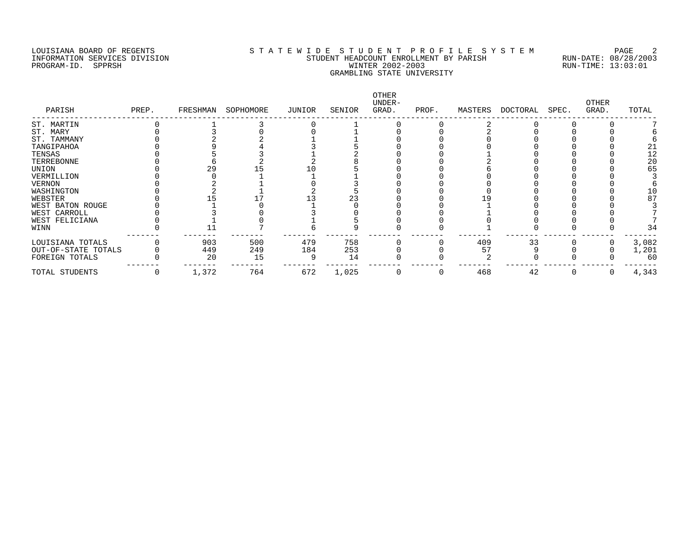# LOUISIANA BOARD OF REGENTS SOURCLEARIE WIDE STUDENT PROFILE SYSTEM PAGE 2 INFORMATION SERVICES DIVISION STUDENT HEADCOUNT ENROLLMENT BY PARISH RUN-DATE: 08/28/2003 PROGRAM-ID. SPPRSH WINTER 2002-2003 RUN-TIME: 13:03:01 GRAMBLING STATE UNIVERSITY

| PARISH              | PREP. | FRESHMAN | SOPHOMORE | JUNIOR | SENIOR | OTHER<br>UNDER-<br>GRAD. | PROF. | MASTERS | DOCTORAL | SPEC. | <b>OTHER</b><br>GRAD. | TOTAL |
|---------------------|-------|----------|-----------|--------|--------|--------------------------|-------|---------|----------|-------|-----------------------|-------|
| ST. MARTIN          |       |          |           |        |        |                          |       |         |          |       |                       |       |
| ST. MARY            |       |          |           |        |        |                          |       |         |          |       |                       |       |
| ST. TAMMANY         |       |          |           |        |        |                          |       |         |          |       |                       |       |
| TANGIPAHOA          |       |          |           |        |        |                          |       |         |          |       |                       | 21    |
| TENSAS              |       |          |           |        |        |                          |       |         |          |       |                       | 12    |
| TERREBONNE          |       |          |           |        |        |                          |       |         |          |       |                       | 20    |
| UNION               |       |          |           |        |        |                          |       |         |          |       |                       | 65    |
| VERMILLION          |       |          |           |        |        |                          |       |         |          |       |                       |       |
| VERNON              |       |          |           |        |        |                          |       |         |          |       |                       |       |
| WASHINGTON          |       |          |           |        |        |                          |       |         |          |       |                       | 10    |
| WEBSTER             |       |          |           |        | 23     |                          |       |         |          |       |                       | 87    |
| WEST BATON ROUGE    |       |          |           |        |        |                          |       |         |          |       |                       |       |
| WEST CARROLL        |       |          |           |        |        |                          |       |         |          |       |                       |       |
| WEST FELICIANA      |       |          |           |        |        |                          |       |         |          |       |                       |       |
| WINN                |       |          |           |        |        |                          |       |         |          |       |                       | 34    |
| LOUISIANA TOTALS    |       | 903      | 500       | 479    | 758    |                          |       | 409     | 33       |       |                       | 3,082 |
| OUT-OF-STATE TOTALS |       | 449      | 249       | 184    | 253    |                          |       | 57      |          |       |                       | 1,201 |
| FOREIGN TOTALS      |       | 20       | 15        |        | 14     |                          |       |         |          |       |                       | 60    |
| TOTAL STUDENTS      |       | 1,372    | 764       | 672    | 1,025  |                          |       | 468     | 42       |       |                       | 4,343 |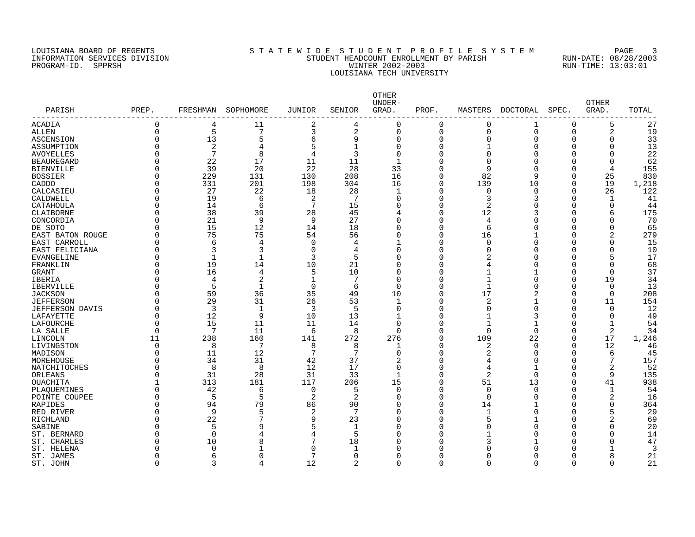# LOUISIANA BOARD OF REGENTS SOURCLEARIE STA T E W I D E S T U D E N T P R O F I L E S Y S T E M PAGE 3 INFORMATION SERVICES DIVISION STUDENT HEADCOUNT ENROLLMENT BY PARISH RUN-DATE: 08/28/2003 PROGRAM-ID. SPPRSH WINTER 2002-2003 RUN-TIME: 13:03:01 LOUISIANA TECH UNIVERSITY

| PARISH            | PREP.       | FRESHMAN       | SOPHOMORE       | JUNIOR         | SENIOR         | OTHER<br>UNDER-<br>GRAD. | PROF.    | MASTERS      | DOCTORAL | SPEC.        | <b>OTHER</b><br>GRAD. | TOTAL |
|-------------------|-------------|----------------|-----------------|----------------|----------------|--------------------------|----------|--------------|----------|--------------|-----------------------|-------|
| ACADIA            | $\mathbf 0$ | 4              | 11              | $\overline{a}$ | 4              | $\mathbf 0$              | 0        | 0            | 1        | $\Omega$     | 5                     | 27    |
| <b>ALLEN</b>      | $\Omega$    | 5              | 7               | 3              | 2              | $\mathbf 0$              | $\Omega$ | $\Omega$     | $\Omega$ | $\Omega$     | $\overline{2}$        | 19    |
| <b>ASCENSION</b>  | $\Omega$    | 13             | 5               | 6              | 9              | $\mathbf 0$              | $\Omega$ | $\Omega$     | $\Omega$ | <sup>n</sup> | $\Omega$              | 33    |
| ASSUMPTION        |             | $\overline{2}$ | 4               | 5              | $\mathbf{1}$   | $\Omega$                 | $\Omega$ |              | ∩        | <sup>n</sup> | $\Omega$              | 13    |
| <b>AVOYELLES</b>  |             | 7              | 8               | $\overline{4}$ | 3              | $\Omega$                 | $\Omega$ | $\Omega$     | ∩        | <sup>n</sup> | $\Omega$              | 22    |
| <b>BEAUREGARD</b> | N           | 22             | 17              | 11             | 11             | $\mathbf{1}$             | $\Omega$ | $\Omega$     | ∩        | <sup>n</sup> | $\Omega$              | 62    |
| <b>BIENVILLE</b>  | O           | 39             | 20              | 22             | 28             | 33                       | $\Omega$ | 9            | ∩        | $\Omega$     | 4                     | 155   |
| <b>BOSSIER</b>    | O           | 229            | 131             | 130            | 208            | 16                       | $\Omega$ | 82           | 9        | $\Omega$     | 25                    | 830   |
| CADDO             | 0           | 331            | 201             | 198            | 304            | 16                       | $\Omega$ | 139          | 10       | $\Omega$     | 19                    | 1,218 |
| CALCASIEU         | O           | 27             | 22              | 18             | 28             | 1                        | $\Omega$ | 0            | $\Omega$ | $\Omega$     | 26                    | 122   |
| CALDWELL          | $\Omega$    | 19             | 6               | 2              | 7              | $\mathbf 0$              | $\Omega$ | 3            | 3        | $\Omega$     | $\mathbf{1}$          | 41    |
| CATAHOULA         | $\Omega$    | 14             | 6               | 7              | 15             | $\Omega$                 | $\Omega$ | 2            |          | <sup>n</sup> | $\Omega$              | 44    |
| CLAIBORNE         | $\Omega$    | 38             | 39              | 28             | 45             | 4                        | $\Omega$ | 12           | 3        | $\Omega$     | 6                     | 175   |
| CONCORDIA         | $\Omega$    | 21             | 9               | 9              | 27             | $\mathbf 0$              | $\Omega$ | 4            |          | $\Omega$     | $\Omega$              | 70    |
| DE SOTO           |             | 15             | 12              | 14             | 18             | $\Omega$                 | $\Omega$ | 6            |          | $\Omega$     | $\Omega$              | 65    |
| EAST BATON ROUGE  | O           | 75             | 75              | 54             | 56             | $\Omega$                 | $\Omega$ | 16           |          | <sup>n</sup> | $\overline{2}$        | 279   |
| EAST CARROLL      |             | 6              | 4               | $\mathbf 0$    | 4              | $\mathbf{1}$             | $\Omega$ | $\Omega$     |          | n            | $\Omega$              | 15    |
|                   | O           | 3              | 3               | $\mathbf 0$    | 4              | $\mathbf 0$              | $\Omega$ | $\Omega$     |          | U            | $\Omega$              | 10    |
| EAST FELICIANA    |             | -1             |                 | 3              | 5              | $\Omega$                 | $\Omega$ |              |          | <sup>n</sup> |                       | 17    |
| EVANGELINE        |             | 19             | 14              |                |                |                          | $\Omega$ |              |          | <sup>n</sup> | $\Omega$              |       |
| FRANKLIN          | O<br>U      |                |                 | 10             | 21             | $\Omega$                 |          | 4            |          |              |                       | 68    |
| <b>GRANT</b>      |             | 16             | 4               | 5              | 10             | $\Omega$                 | $\Omega$ |              |          | $\Omega$     | $\Omega$              | 37    |
| <b>IBERIA</b>     |             | 4              | 2               | $\mathbf{1}$   | 7              | $\Omega$                 | $\Omega$ | $\mathbf 1$  |          | $\Omega$     | 19                    | 34    |
| <b>IBERVILLE</b>  | U           | 5              | -1              | $\Omega$       | 6              | $\Omega$                 | $\Omega$ | -1           |          | $\Omega$     | $\Omega$              | 13    |
| <b>JACKSON</b>    | $\Omega$    | 59             | 36              | 35             | 49             | 10                       | $\Omega$ | 17           | 2        | $\Omega$     | 0                     | 208   |
| <b>JEFFERSON</b>  |             | 29             | 31              | 26             | 53             | 1                        | $\Omega$ | 2            |          | $\Omega$     | 11                    | 154   |
| JEFFERSON DAVIS   |             | $\overline{3}$ | $\mathbf{1}$    | 3              | 5              | $\mathbf 0$              | $\Omega$ | 0            | $\Omega$ | $\Omega$     | 0                     | 12    |
| LAFAYETTE         | $\Omega$    | 12             | 9               | 10             | 13             | $\mathbf{1}$             | $\Omega$ | $\mathbf{1}$ | 3        | $\Omega$     | $\Omega$              | 49    |
| <b>LAFOURCHE</b>  | $\Omega$    | 15             | 11              | 11             | 14             | $\Omega$                 | $\Omega$ | $\mathbf{1}$ |          | $\Omega$     | $\mathbf{1}$          | 54    |
| LA SALLE          | $\Omega$    | 7              | 11              | 6              | 8              | $\Omega$                 | $\Omega$ | $\Omega$     | $\Omega$ | <sup>n</sup> | 2                     | 34    |
| LINCOLN           | 11          | 238            | 160             | 141            | 272            | 276                      | $\Omega$ | 109          | 22       | <sup>n</sup> | 17                    | 1,246 |
| LIVINGSTON        | $\Omega$    | 8              | $7\phantom{.0}$ | 8              | 8              | $\mathbf{1}$             | $\Omega$ | 2            | $\Omega$ | $\Omega$     | 12                    | 46    |
| MADISON           | $\Omega$    | 11             | 12              | 7              | 7              | $\Omega$                 | $\Omega$ | 2            | ∩        | $\Omega$     | 6                     | 45    |
| MOREHOUSE         | 0           | 34             | 31              | 42             | 37             | $\overline{c}$           | $\Omega$ | 4            |          | <sup>0</sup> |                       | 157   |
| NATCHITOCHES      |             | 8              | 8               | 12             | 17             | $\mathbf 0$              | $\Omega$ | 4            |          | <sup>n</sup> |                       | 52    |
| ORLEANS           | O           | 31             | 28              | 31             | 33             | $\mathbf{1}$             | $\Omega$ | 2            | $\Omega$ | $\Omega$     | 9                     | 135   |
| OUACHITA          |             | 313            | 181             | 117            | 206            | 15                       | $\Omega$ | 51           | 13       | $\Omega$     | 41                    | 938   |
| PLAQUEMINES       | $\Omega$    | 42             | 6               | $\overline{0}$ | 5              | $\Omega$                 | $\Omega$ | $\Omega$     | $\Omega$ | $\Omega$     | $\mathbf{1}$          | 54    |
| POINTE COUPEE     | O           | 5              | 5               | 2              | 2              | $\mathbf 0$              | $\Omega$ | $\Omega$     | ∩        | $\Omega$     | $\overline{2}$        | 16    |
| RAPIDES           | 0           | 94             | 79              | 86             | 90             | $\mathbf 0$              | $\Omega$ | 14           |          | $\Omega$     | $\Omega$              | 364   |
| RED RIVER         | O           | 9              | 5               | $\overline{2}$ | 7              | $\mathbf 0$              | $\Omega$ | -1           |          | $\Omega$     | 5                     | 29    |
| RICHLAND          |             | 22             | 7               | 9              | 23             | $\Omega$                 | $\Omega$ | 5            |          | $\Omega$     | 2                     | 69    |
| SABINE            | U           | $\overline{5}$ | 9               |                | 1              | $\Omega$                 | $\Omega$ | $\cap$       |          | <sup>n</sup> | $\Omega$              | 20    |
| ST. BERNARD       |             | $\Omega$       |                 | 4              | 5              | $\Omega$                 | $\Omega$ |              |          | <sup>n</sup> | $\Omega$              | 14    |
| ST. CHARLES       | U           | 10             | 8               | 7              | 18             | O                        | $\Omega$ | 3            |          | <sup>n</sup> | $\Omega$              | 47    |
| ST. HELENA        |             | $\Omega$       |                 | $\Omega$       | 1              | O                        | $\Omega$ | U            |          | $\cap$       |                       | 3     |
| ST. JAMES         |             | 6              | ∩               | 7              | 0              | $\Omega$                 | $\Omega$ | n            |          | U            | 8                     | 21    |
| ST. JOHN          | $\Omega$    | 3              | 4               | 12             | $\overline{a}$ | $\mathbf 0$              | $\Omega$ | $\Omega$     | $\Omega$ | $\Omega$     | $\Omega$              | 21    |
|                   |             |                |                 |                |                |                          |          |              |          |              |                       |       |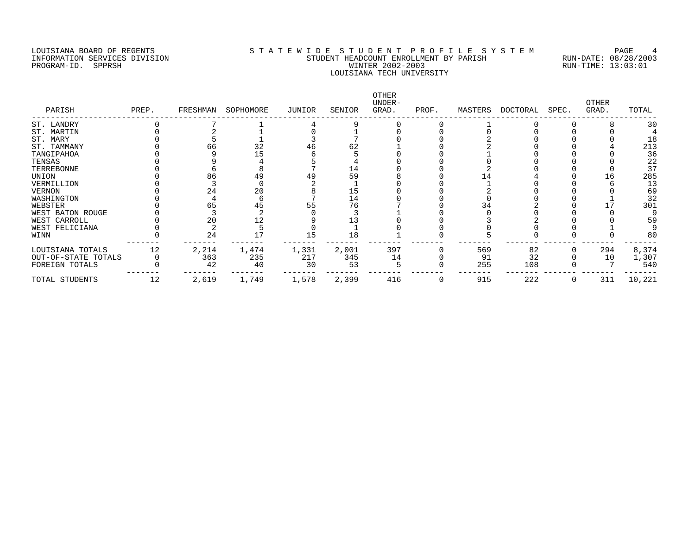# LOUISIANA BOARD OF REGENTS S T A T E W I D E S T U D E N T P R O F I L E S Y S T E M PAGE 4 INFORMATION SERVICES DIVISION STUDENT HEADCOUNT ENROLLMENT BY PARISH RUN-DATE: 08/28/2003 PROGRAM-ID. SPPRSH WINTER 2002-2003 RUN-TIME: 13:03:01 LOUISIANA TECH UNIVERSITY

| PARISH              | PREP. | FRESHMAN | SOPHOMORE | JUNIOR | SENIOR | OTHER<br>UNDER-<br>GRAD. | PROF. | MASTERS | DOCTORAL | SPEC. | <b>OTHER</b><br>GRAD. | TOTAL  |
|---------------------|-------|----------|-----------|--------|--------|--------------------------|-------|---------|----------|-------|-----------------------|--------|
| ST. LANDRY          |       |          |           |        |        |                          |       |         |          |       |                       | 30     |
| ST. MARTIN          |       |          |           |        |        |                          |       |         |          |       |                       |        |
| ST. MARY            |       |          |           |        |        |                          |       |         |          |       |                       | 18     |
| ST. TAMMANY         |       | 66       | 32        |        | 62     |                          |       |         |          |       |                       | 213    |
| TANGIPAHOA          |       |          |           |        |        |                          |       |         |          |       |                       | 36     |
| TENSAS              |       |          |           |        |        |                          |       |         |          |       |                       | 22     |
| TERREBONNE          |       |          |           |        | 14     |                          |       |         |          |       |                       | 37     |
| UNION               |       | 86       |           |        | 59     |                          |       |         |          |       |                       | 285    |
| VERMILLION          |       |          |           |        |        |                          |       |         |          |       |                       | 13     |
| <b>VERNON</b>       |       | 24       | 20        |        | 15     |                          |       |         |          |       |                       | 69     |
| WASHINGTON          |       |          |           |        | 14     |                          |       |         |          |       |                       | 32     |
| WEBSTER             |       |          |           |        |        |                          |       |         |          |       |                       | 301    |
| WEST BATON ROUGE    |       |          |           |        |        |                          |       |         |          |       |                       |        |
| WEST CARROLL        |       |          |           |        |        |                          |       |         |          |       |                       | 59     |
| WEST FELICIANA      |       |          |           |        |        |                          |       |         |          |       |                       |        |
| WINN                |       | 24       |           | 15     | 18     |                          |       |         |          |       |                       | 80     |
| LOUISIANA TOTALS    | 12    | 2,214    | 1,474     | 1,331  | 2,001  | 397                      |       | 569     | 82       |       | 294                   | 8,374  |
| OUT-OF-STATE TOTALS |       | 363      | 235       | 217    | 345    | 14                       |       | 91      | 32       |       | 10                    | 1,307  |
| FOREIGN TOTALS      |       | 42       | 40        | 30     | 53     |                          |       | 255     | 108      |       |                       | 540    |
| TOTAL STUDENTS      | 12    | 2,619    | 1,749     | 1,578  | 2,399  | 416                      |       | 915     | 222      |       | 311                   | 10,221 |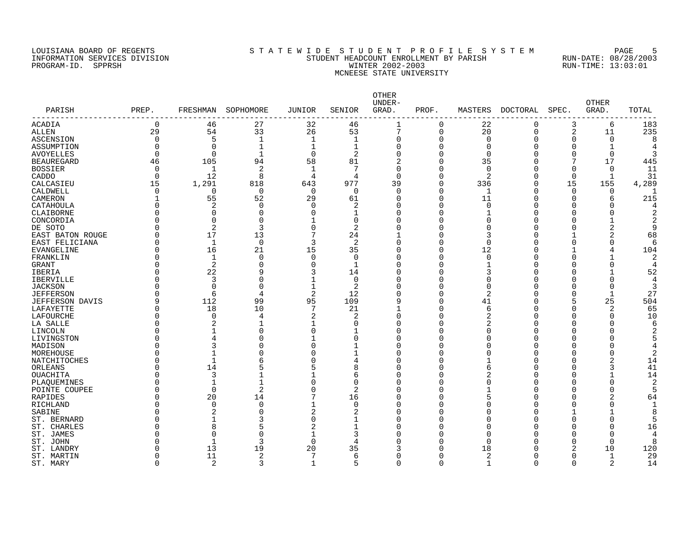# LOUISIANA BOARD OF REGENTS SOURCLEARIE STA T E W I D E S T U D E N T P R O F I L E S Y S T E M PAGE 5 INFORMATION SERVICES DIVISION STUDENT HEADCOUNT ENROLLMENT BY PARISH RUN-DATE: 08/28/2003 PROGRAM-ID. SPPRSH WINTER 2002-2003 RUN-TIME: 13:03:01 MCNEESE STATE UNIVERSITY

| PARISH<br>------------- | PREP.    | FRESHMAN     | SOPHOMORE   | <b>JUNIOR</b>  | SENIOR         | OTHER<br>UNDER-<br>GRAD. | PROF.       | MASTERS        | <b>DOCTORAL</b> | SPEC.    | <b>OTHER</b><br>GRAD. | TOTAL |
|-------------------------|----------|--------------|-------------|----------------|----------------|--------------------------|-------------|----------------|-----------------|----------|-----------------------|-------|
| <b>ACADIA</b>           | 0        | 46           | 27          | 32             | 46             |                          | 0           | 22             | $\Omega$        | 3        | 6                     | 183   |
| <b>ALLEN</b>            | 29       | 54           | 33          | 26             | 53             | 7                        | $\mathbf 0$ | 20             | 0               | 2        | 11                    | 235   |
| ASCENSION               | $\Omega$ | 5            | 1           | 1              | 1              | $\Omega$                 | O           | $\Omega$       | U               | O        | $\Omega$              |       |
| ASSUMPTION              | O        | $\Omega$     | 1           |                | 1              | $\Omega$                 | O           | 0              |                 | O        |                       |       |
| <b>AVOYELLES</b>        | $\Omega$ | $\Omega$     | $\mathbf 1$ | $\Omega$       | $\overline{2}$ | $\Omega$                 | $\Omega$    | $\Omega$       |                 | O        | $\mathbf 0$           |       |
| <b>BEAUREGARD</b>       | 46       | 105          | 94          | 58             | 81             | $\overline{2}$           | $\Omega$    | 35             |                 | 7        | 17                    | 445   |
| <b>BOSSIER</b>          | $\Omega$ | 1            | 2           | $\mathbf{1}$   | 7              | $\Omega$                 | O           | $\Omega$       |                 | $\Omega$ | 0                     | 11    |
| CADDO                   | $\Omega$ | 12           | 8           | 4              | 4              | $\Omega$                 | 0           | 2              |                 | 0        | 1                     | 31    |
| CALCASIEU               | 15       | 1,291        | 818         | 643            | 977            | 39                       | 0           | 336            |                 | 15       | 155                   | 4,289 |
| CALDWELL                | 0        | 0            | $\mathbf 0$ | $\Omega$       | 0              | $\Omega$                 | $\mathbf 0$ | $\mathbf 1$    |                 | $\Omega$ | 0                     |       |
| CAMERON                 |          | 55           | 52          | 29             | 61             | <sup>0</sup>             | 0           | 11             |                 | O        | 6                     | 215   |
| CATAHOULA               | 0        | 2            | 0           | $\cap$         | 2              | $\Omega$                 | 0           | $\Omega$       |                 | C        | $\Omega$              |       |
| CLAIBORNE               | O        | $\Omega$     | $\Omega$    |                | -1             | $\Omega$                 | $\Omega$    |                |                 | C        |                       |       |
| CONCORDIA               | Ω        | $\Omega$     | U           |                | 0              | $\Omega$                 | O           | $\Omega$       |                 | U        |                       |       |
| DE SOTO                 | N        | 2            | 3           | $\Omega$       | 2              | $\Omega$                 | 0           | $\Omega$       |                 | U        |                       | q     |
| EAST BATON ROUGE        | O        | 17           | 13          |                | 24             |                          | O           | 3              |                 |          |                       | 68    |
| EAST FELICIANA          | O        | 1            | $\Omega$    | 3              | 2              | $\Omega$                 | $\Omega$    | $\Omega$       |                 | U        | $\Omega$              |       |
| <b>EVANGELINE</b>       | O        | 16           | 21          | 15             | 35             | <sup>0</sup>             | O           | 12             |                 |          |                       | 104   |
| FRANKLIN                | O        | 1            | 0           | $\Omega$       | 0              | O                        | 0           | 0              |                 | O        |                       |       |
| GRANT                   | Ω        | 2            | $\Omega$    | $\Omega$       | $\mathbf{1}$   | $\Omega$                 | 0           |                |                 | C        | 0                     |       |
| IBERIA                  | Ω        | 22           | 9           | 3              | 14             | <sup>0</sup>             | $\Omega$    | 3              |                 | ∩        | $\mathbf{1}$          | 52    |
| <b>IBERVILLE</b>        | Ω        | 3            | O           |                | 0              | <sup>0</sup>             | O           | $\Omega$       |                 | O        | $\Omega$              |       |
| <b>JACKSON</b>          | Λ        | 0            | $\Omega$    | 1              | 2              | <sup>0</sup>             | 0           | $\Omega$       |                 | O        | 0                     | 3     |
| <b>JEFFERSON</b>        | O        | 6            | 4           | $\overline{2}$ | 12             |                          | $\Omega$    | $\overline{2}$ |                 | O        | $\mathbf 1$           | 27    |
| JEFFERSON DAVIS         | 9        | 112          | 99          | 95             | 109            |                          | $\Omega$    | 41             |                 | 5        | 25                    | 504   |
| LAFAYETTE               | O        | 18           | 10          |                | 21             |                          | O           | 6              |                 | O        | 2                     | 65    |
| LAFOURCHE               | O        | $\Omega$     | 4           | 2              | 2              | $\Omega$                 | O           | 2              |                 | C        | $\Omega$              | 10    |
| LA SALLE                | O        | 2            | 1           | 1              | 0              | $\Omega$                 | O           | 2              |                 | O        | $\Omega$              |       |
| LINCOLN                 | Ω        | $\mathbf{1}$ | $\Omega$    | $\Omega$       | -1             | $\Omega$                 | O           | $\Omega$       |                 | U        | U                     |       |
| LIVINGSTON              | O        |              | 0           |                | <sup>0</sup>   | <sup>0</sup>             | O           | $\Omega$       |                 | U        |                       |       |
| MADISON                 | O        |              | O           | $\Omega$       | -1             | O                        | 0           | O              |                 | U        |                       |       |
| MOREHOUSE               | O        |              |             | $\Omega$       | 1              | $\Omega$                 | O           | $\Omega$       |                 | C        | O                     | 2     |
| NATCHITOCHES            | O        |              |             |                | 4              | $\Omega$                 | 0           |                |                 | U        |                       | 14    |
| ORLEANS                 | O        | 14           | 5           | 5              | 8              | <sup>0</sup>             | 0           | 6              |                 | U        | 3                     | 41    |
| OUACHITA                | Λ        | 3            |             |                | 6              | $\Omega$                 | 0           |                |                 | C        |                       | 14    |
| PLAQUEMINES             | O        |              |             |                | $\Omega$       | $\Omega$                 | $\Omega$    | $\Omega$       |                 | C        | $\Omega$              | 2     |
| POINTE COUPEE           | O        | $\Omega$     | 2           |                | 2              | $\Omega$                 | O           |                |                 | U        | $\Omega$              |       |
| RAPIDES                 | O        | 20           | 14          |                | 16             | <sup>0</sup>             | O           | 5              |                 | U        |                       | 64    |
| RICHLAND                | Ω        | $\mathbf 0$  | $\Omega$    |                | $\Omega$       | $\Omega$                 | O           | $\Omega$       |                 | C        | 0                     |       |
| SABINE                  | N        | 2            |             | 2              | 2              | $\Omega$                 | O           | $\Omega$       |                 |          |                       |       |
| ST. BERNARD             | Ω        |              | 3           | n              |                | <sup>0</sup>             | U           | ∩              |                 | U        | U                     |       |
| ST. CHARLES             | ი        | 8            | 5           | 2              | -1             |                          | O           | O              |                 |          | 0                     | 16    |
| ST. JAMES               | Ω        | $\Omega$     | O           |                | 3              |                          | O           | ∩              |                 | C        | O                     |       |
| ST. JOHN                |          | -1           | 3           | $\cap$         | 4              |                          | O           | ∩              |                 | O        | $\Omega$              |       |
| ST. LANDRY              |          | 13           | 19          | 20             | 35             |                          | O           | 18             |                 | 2        | 10                    | 120   |
| ST. MARTIN              | 0        | 11           | 2           | 7              | 6              |                          | 0           | 2              |                 | 0        | $\mathbf 1$           | 29    |
| ST. MARY                | $\Omega$ | 2            | ς           | $\mathbf{1}$   | 5              | ∩                        | $\cap$      | $\mathbf{1}$   |                 | $\Omega$ |                       | 14    |
|                         |          |              |             |                |                |                          |             |                |                 |          |                       |       |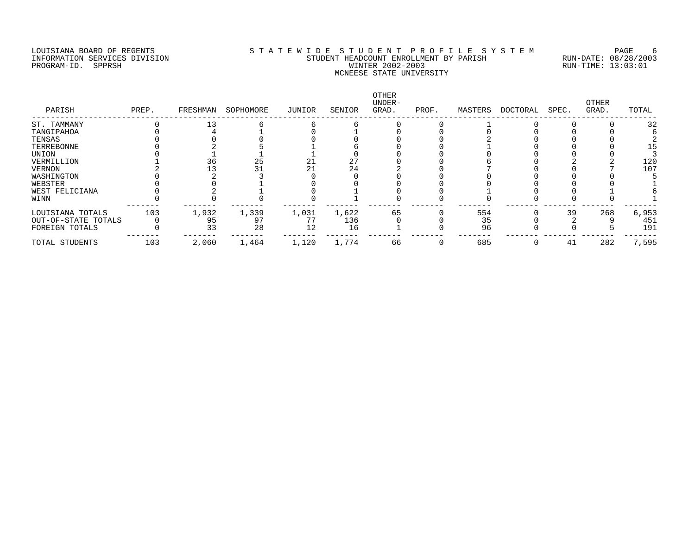PROGRAM-ID. SERVICES DIVISION<br>PROGRAM-ID. SPPRSH

# LOUISIANA BOARD OF REGENTS STATEWIDE STUDENT PROFILE SYSTEM PAGE 6 STUDENT HEADCOUNT ENROLLMENT BY PARISH RUN-DATE: 08/28/2003<br>WINTER 2002-2003 RUN-TIME: 13:03:01 MCNEESE STATE UNIVERSITY

| PARISH              | PREP. | FRESHMAN | SOPHOMORE | JUNIOR | SENIOR | <b>OTHER</b><br>UNDER-<br>GRAD. | PROF. | MASTERS | DOCTORAL | SPEC. | OTHER<br>GRAD. | TOTAL |
|---------------------|-------|----------|-----------|--------|--------|---------------------------------|-------|---------|----------|-------|----------------|-------|
| ST. TAMMANY         |       |          |           |        |        |                                 |       |         |          |       |                | 32    |
| TANGIPAHOA          |       |          |           |        |        |                                 |       |         |          |       |                |       |
| TENSAS              |       |          |           |        |        |                                 |       |         |          |       |                |       |
| TERREBONNE          |       |          |           |        |        |                                 |       |         |          |       |                | 15    |
| UNION               |       |          |           |        |        |                                 |       |         |          |       |                |       |
| VERMILLION          |       | 36       | 25        |        | 27     |                                 |       |         |          |       |                | 120   |
| VERNON              |       |          |           |        | 24     |                                 |       |         |          |       |                | 107   |
| WASHINGTON          |       |          |           |        |        |                                 |       |         |          |       |                |       |
| WEBSTER             |       |          |           |        |        |                                 |       |         |          |       |                |       |
| WEST FELICIANA      |       |          |           |        |        |                                 |       |         |          |       |                |       |
| WINN                |       |          |           |        |        |                                 |       |         |          |       |                |       |
| LOUISIANA TOTALS    | 103   | 1,932    | 1,339     | 1,031  | 1,622  | 65                              |       | 554     |          | 39    | 268            | 6,953 |
| OUT-OF-STATE TOTALS |       | 95       | 97        |        | 136    |                                 |       | 35      |          |       |                | 451   |
| FOREIGN TOTALS      |       | 33       | 28        | 12     | 16     |                                 |       | 96      |          |       |                | 191   |
| TOTAL STUDENTS      | 103   | 2,060    | 1,464     | 1,120  | 1,774  | 66                              |       | 685     |          | 41    | 282            | 7,595 |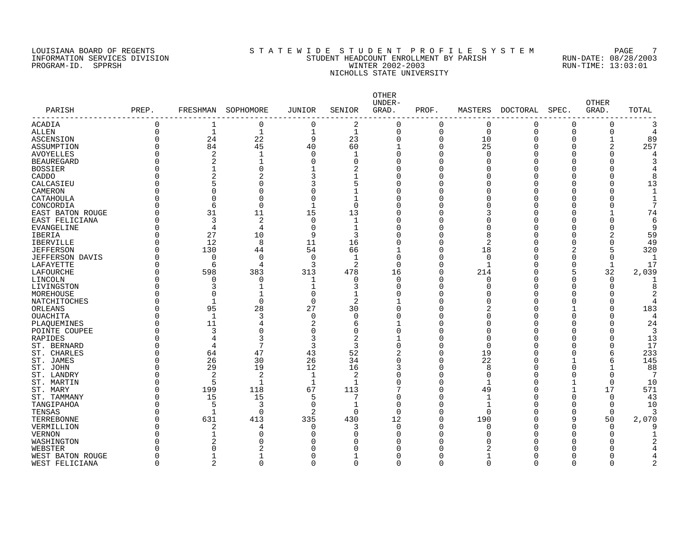# LOUISIANA BOARD OF REGENTS SOURCLEARIE STA T E W I D E S T U D E N T P R O F I L E S Y S T E M PAGE 7 INFORMATION SERVICES DIVISION STUDENT HEADCOUNT ENROLLMENT BY PARISH RUN-DATE: 08/28/2003 PROGRAM-ID. SPPRSH WINTER 2002-2003 RUN-TIME: 13:03:01 NICHOLLS STATE UNIVERSITY

| PARISH                  | PREP.    | FRESHMAN       | SOPHOMORE      | JUNIOR         | SENIOR         | OTHER<br>UNDER-<br>GRAD. | PROF.    | MASTERS      | DOCTORAL | SPEC.       | <b>OTHER</b><br>GRAD. | TOTAL |
|-------------------------|----------|----------------|----------------|----------------|----------------|--------------------------|----------|--------------|----------|-------------|-----------------------|-------|
| ACADIA                  | $\Omega$ | 1              | 0              | 0              | 2              | $\Omega$                 | $\Omega$ | 0            | 0        | $\Omega$    | 0                     |       |
| <b>ALLEN</b>            | $\Omega$ | $\mathbf{1}$   | 1              | $\mathbf 1$    | $\mathbf{1}$   | $\Omega$                 | 0        | $\mathbf 0$  | $\Omega$ | $\Omega$    | 0                     | 4     |
| ASCENSION               | $\Omega$ | 24             | 22             | 9              | 23             | $\Omega$                 | 0        | 10           | 0        | 0           |                       | 89    |
| ASSUMPTION              | $\Omega$ | 84             | 45             | 40             | 60             |                          | $\Omega$ | 25           | $\Omega$ | C           | 2                     | 257   |
| <b>AVOYELLES</b>        | $\Omega$ | 2              | 1              | $\Omega$       | -1             | $\Omega$                 | 0        | $\Omega$     | Ω        | O           | 0                     |       |
| <b>BEAUREGARD</b>       | ∩        | 2              |                | $\Omega$       | 0              |                          | 0        | $\Omega$     |          | O           |                       |       |
| <b>BOSSIER</b>          | $\Omega$ |                | $\Omega$       |                | 2              | $\Omega$                 | 0        | $\Omega$     |          | O           |                       |       |
| CADDO                   | $\Omega$ | $\overline{2}$ | $\overline{2}$ | 3              |                | $\Omega$                 | 0        | $\Omega$     |          |             |                       | 8     |
| CALCASIEU               | ∩        | 5              | 0              | 3              | 5              | $\Omega$                 | O        | $\Omega$     |          | U           |                       | 13    |
| CAMERON                 | ∩        | $\Omega$       | O              | $\Omega$       | -1             |                          | O        | $\Omega$     |          | U           |                       |       |
| CATAHOULA               | $\Omega$ | $\Omega$       | 0              | $\Omega$       | 1              |                          | O        | 0            | Ω        | O           |                       |       |
| CONCORDIA               |          | 6              | $\Omega$       |                | $\Omega$       |                          | O        | $\Omega$     | C        | C           |                       |       |
| <b>EAST BATON ROUGE</b> | $\Omega$ | 31             | 11             | 15             | 13             | $\Omega$                 | 0        | 3            | Ω        | O           | 1                     | 74    |
| EAST FELICIANA          | ∩        | 3              | 2              | $\Omega$       | -1             | U                        | Ω        | $\Omega$     | Π        | U           | O                     | 6     |
| EVANGELINE              | ∩        | 4              | 4              | $\Omega$       | $\mathbf{1}$   |                          | O        | $\Omega$     | Π        | O           | 0                     | q     |
| <b>IBERIA</b>           | ∩        | 27             | 10             | 9              | 3              | $\Omega$                 | O        | 8            | U        | O           | 2                     | 59    |
| <b>IBERVILLE</b>        | ∩        | 12             | 8              | 11             | 16             | $\Omega$                 | 0        | 2            |          | 0           | 0                     | 49    |
| <b>JEFFERSON</b>        | $\Omega$ | 130            | 44             | 54             | 66             |                          | 0        | 18           |          | 2           | 5                     | 320   |
| <b>JEFFERSON DAVIS</b>  | ∩        | $\Omega$       | $\Omega$       | $\Omega$       | $\mathbf{1}$   | $\Omega$                 | O        | $\Omega$     |          | C           | 0                     | -1    |
| LAFAYETTE               | ∩        | 6              | 4              | 3              | 2              | $\Omega$                 | O        | $\mathbf{1}$ |          | $\Omega$    | $\mathbf{1}$          | 17    |
| LAFOURCHE               | $\Omega$ | 598            | 383            | 313            | 478            | 16                       | O        | 214          |          | 5           | 32                    | 2,039 |
| LINCOLN                 | $\Omega$ | $\Omega$       | 0              |                | $\Omega$       | $\Omega$                 | O        | $\Omega$     |          | C           | $\Omega$              |       |
| LIVINGSTON              | $\Omega$ | 3              | 1              | $\mathbf{1}$   | 3              | $\Omega$                 | 0        | $\Omega$     | Ω        | C           | $\Omega$              |       |
| MOREHOUSE               | $\Omega$ | $\Omega$       | 1              | $\Omega$       | -1             |                          | 0        | ∩            | Ω        | O           |                       |       |
| NATCHITOCHES            | $\Omega$ |                | 0              | $\overline{0}$ | $\overline{a}$ |                          | 0        | $\Omega$     |          | O           | O                     |       |
|                         | $\Omega$ | 95             | 28             | 27             | 30             |                          | 0        | 2            | Ω        |             | 0                     | 183   |
| ORLEANS                 | $\Omega$ | $\mathbf{1}$   | 3              | $\Omega$       | $\Omega$       |                          | 0        | $\Omega$     | Ω        | C           |                       | 4     |
| OUACHITA                | $\Omega$ | 11             | 4              | 2              | 6              |                          | 0        | $\Omega$     |          | O           |                       | 24    |
| PLAQUEMINES             | ∩        | 3              | 0              | $\Omega$       | $\Omega$       |                          | O        | $\Omega$     |          | U           |                       | 3     |
| POINTE COUPEE           |          |                |                |                |                |                          |          |              |          |             |                       |       |
| RAPIDES                 | $\Omega$ | 4              | 3<br>7         | 3              | 2              |                          | 0        | $\Omega$     |          | O           |                       | 13    |
| ST. BERNARD             | $\Omega$ | $\overline{4}$ |                | 3              | 3              | $\Omega$                 | O        | $\Omega$     |          | O           |                       | 17    |
| ST. CHARLES             | $\Omega$ | 64             | 47             | 43             | 52             | 2                        | 0        | 19           | Ω        | 0           | 6                     | 233   |
| ST. JAMES               | $\Omega$ | 26             | 30             | 26             | 34             | $\Omega$                 | 0        | 22           | Ω        |             | 6                     | 145   |
| ST. JOHN                | ∩        | 29             | 19             | 12             | 16             | 3                        | 0        | 8            | O        | O           | $\mathbf{1}$          | 88    |
| ST. LANDRY              | ∩        | $\overline{c}$ | $\overline{2}$ | $\mathbf{1}$   | 2              | U                        | O        | $\Omega$     | U        | O           | $\Omega$              |       |
| ST. MARTIN              | ∩        | 5              | 1              | $\mathbf 1$    | 1              | U                        | 0        | 1            | O        | 1           | $\Omega$              | 10    |
| ST. MARY                | ∩        | 199            | 118            | 67             | 113            |                          | O        | 49           | O        | $\mathbf 1$ | 17                    | 571   |
| ST. TAMMANY             | $\Omega$ | 15             | 15             | 5              | 7              |                          | 0        | $\mathbf 1$  | Ω        | $\Omega$    | $\Omega$              | 43    |
| TANGIPAHOA              | $\Omega$ | 5              | 3              | $\Omega$       | $\mathbf{1}$   | $\Omega$                 | Ω        | 1            |          | $\Omega$    | $\Omega$              | 10    |
| TENSAS                  | ∩        | $\mathbf{1}$   | 0              | 2              | $\Omega$       | $\Omega$                 | 0        | $\Omega$     |          | C           | $\Omega$              |       |
| TERREBONNE              | $\Omega$ | 631            | 413            | 335            | 430            | 12                       | O        | 190          |          | 9           | 50                    | 2,070 |
| VERMILLION              | $\Omega$ | 2              | 4              | $\Omega$       | 3              | $\Omega$                 | O        | $\Omega$     |          | C           | O                     |       |
| <b>VERNON</b>           | $\Omega$ |                | 0              | ſ              | 0              | $\Omega$                 | O        | $\Omega$     |          | O           | $\Omega$              |       |
| WASHINGTON              | ∩        | 2              | O              |                | U              |                          | O        |              |          |             |                       |       |
| WEBSTER                 | ∩        | $\Omega$       | 2              |                |                |                          | O        |              |          |             |                       |       |
| WEST BATON ROUGE        | $\Omega$ |                |                | C              |                |                          | 0        |              |          | O           |                       |       |
| WEST FELICIANA          | $\Omega$ | 2              | 0              | $\Omega$       | $\Omega$       | $\Omega$                 | $\Omega$ | $\Omega$     | ∩        | $\Omega$    | O                     |       |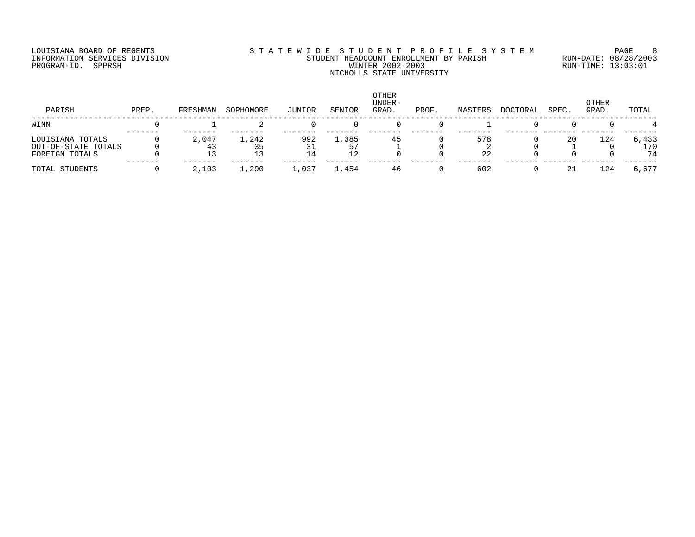# LOUISIANA BOARD OF REGENTS SOURCLEARIE STA T E W I D E S T U D E N T P R O F I L E S Y S T E M PAGE 8 INFORMATION SERVICES DIVISION STUDENT HEADCOUNT ENROLLMENT BY PARISH RUN-DATE: 08/28/2003 PROGRAM-ID. SPPRSH WINTER 2002-2003 RUN-TIME: 13:03:01 NICHOLLS STATE UNIVERSITY

| PARISH                                                    | PREP. | FRESHMAN | SOPHOMORE | JUNIOR | SENIOR                        | <b>OTHER</b><br>UNDER-<br>GRAD | PROF. | MASTERS   | <b>DOCTORAL</b> | SPEC. | OTHER<br>GRAD. | TOTAL              |
|-----------------------------------------------------------|-------|----------|-----------|--------|-------------------------------|--------------------------------|-------|-----------|-----------------|-------|----------------|--------------------|
| WINN                                                      |       |          |           |        |                               |                                |       |           |                 |       |                |                    |
| LOUISIANA TOTALS<br>OUT-OF-STATE TOTALS<br>FOREIGN TOTALS |       | 2,047    | 1,242     | 992    | $\sqrt{2}$ , 385<br>57<br>າ າ | 45                             |       | 578<br>22 |                 | 20    | 124            | 6,433<br>170<br>74 |
| TOTAL STUDENTS                                            |       | 2,103    | 1,290     | ,037   | 1,454                         | 46                             |       | 602       |                 | 21    | 124            | 6.677              |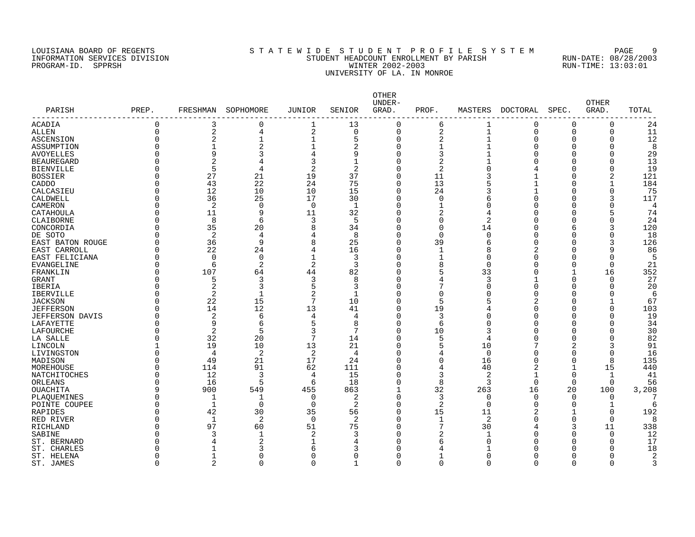# LOUISIANA BOARD OF REGENTS SOURCLEARIE WIDE STUDENT PROFILE SYSTEM PAGE 9 INFORMATION SERVICES DIVISION STUDENT HEADCOUNT ENROLLMENT BY PARISH RUN-DATE: 08/28/2003 PROGRAM-ID. SPPRSH WINTER 2002-2003 RUN-TIME: 13:03:01 UNIVERSITY OF LA. IN MONROE

| PARISH             | PREP.    | FRESHMAN       | SOPHOMORE          | JUNIOR         | SENIOR       | OTHER<br>UNDER-<br>GRAD. | PROF.          | MASTERS        | DOCTORAL | SPEC.        | <b>OTHER</b><br>GRAD. | TOTAL     |
|--------------------|----------|----------------|--------------------|----------------|--------------|--------------------------|----------------|----------------|----------|--------------|-----------------------|-----------|
| ACADIA             | $\Omega$ | 3              | 0                  | 1              | 13           | 0                        | 6              | 1              | $\Omega$ | 0            | 0                     | 24        |
| ALLEN              | $\Omega$ | 2              | 4                  | 2              | 0            | $\mathbf 0$              | 2              | 1              | $\Omega$ | $\Omega$     | 0                     | 11        |
| ASCENSION          | $\Omega$ | $\overline{2}$ | $\mathbf{1}$       | $\mathbf{1}$   | 5            | $\Omega$                 | $\overline{2}$ | $\mathbf{1}$   | $\Omega$ | O            | 0                     | 12        |
| ASSUMPTION         |          |                | $\overline{2}$     |                | 2            | $\mathbf 0$              | 1              |                | ∩        | ∩            |                       | 8         |
| <b>AVOYELLES</b>   |          | 9              | 3                  |                | 9            | $\Omega$                 | 3              |                |          | ∩            |                       | 29        |
| <b>BEAUREGARD</b>  |          | $\overline{2}$ | 4                  |                |              | $\Omega$                 | 2              |                |          |              |                       | 13        |
| <b>BIENVILLE</b>   |          | 5              | 4                  | 2              | 2            | $\Omega$                 | 2              | $\cap$         |          |              |                       | 19        |
| <b>BOSSIER</b>     |          | 27             | 21                 | 19             | 37           | $\Omega$                 | 11             |                |          | ∩            | 2                     | 121       |
| CADDO              |          | 43             | 22                 | 24             | 75           | $\Omega$                 | 13             | 5              |          |              |                       | 184       |
| CALCASIEU          |          | 12             | 10                 | 10             | 15           | $\Omega$                 | 24             |                |          | ∩            | $\Omega$              | 75        |
| CALDWELL           | O        | 36             | 25                 | 17             | 30           | $\Omega$                 | 0              | 6              |          | O            | 3                     | 117       |
| CAMERON            |          | 2              | 0                  | $\Omega$       | -1           | 0                        | $\mathbf{1}$   | $\Omega$       |          |              |                       | 4         |
| CATAHOULA          |          | 11             | 9                  | 11             | 32           | $\Omega$                 | $\overline{2}$ | 4              |          |              |                       | 74        |
| CLAIBORNE          |          | 8              | 6                  | 3              | .5           | $\Omega$                 | $\Omega$       | $\overline{c}$ |          |              | $\Omega$              | 24        |
| CONCORDIA          |          | 35             | 20                 | 8              | 34           | $\Omega$                 | 0              | 14             |          |              | 3                     | 120       |
| DE SOTO            |          | 2              | 4                  | 4              | 8            | $\Omega$                 | $\Omega$       | $\Omega$       | n        | n            | $\Omega$              | 18        |
| EAST BATON ROUGE   |          | 36             | 9                  | 8              | 25           | $\Omega$                 | 39             | 6              |          |              | 3                     | 126       |
| EAST CARROLL       | $\Omega$ | 22             | 24                 | 4              | 16           | $\Omega$                 | 1              | 8              |          |              | 9                     | 86        |
| EAST FELICIANA     | U        | $\Omega$       | $\Omega$           | $\mathbf{1}$   | 3            | $\Omega$                 | 1              | $\Omega$       |          |              | $\Omega$              | 5         |
| EVANGELINE         | $\cap$   | 6              | $\overline{2}$     | 2              | 3            | $\Omega$                 | 8              | $\Omega$       |          | ∩            | $\Omega$              | 21        |
| FRANKLIN           | $\Omega$ | 107            | 64                 | 44             | 82           | $\Omega$                 | 5              | 33             |          |              | 16                    | 352       |
| <b>GRANT</b>       | $\Omega$ | 5              | 3                  | 3              | 8            | O                        | 4              | 3              |          | $\Omega$     | $\Omega$              | 27        |
| IBERIA             |          | $\overline{2}$ | 3                  | 5              | 3            | $\Omega$                 | 7              | $\mathbf 0$    | $\Omega$ | O            | $\Omega$              | 20        |
| <b>IBERVILLE</b>   | $\Omega$ | $\overline{2}$ | $\mathbf{1}$       | $\overline{2}$ | 1            | $\Omega$                 | 0              | $\cap$         |          |              | ∩                     | 6         |
| <b>JACKSON</b>     |          | 22             | 15                 | 7              | 10           | $\Omega$                 | 5              |                |          |              |                       | 67        |
| <b>JEFFERSON</b>   |          | 14             | 12                 | 13             | 41           | $\Omega$                 | 19             |                |          |              | $\Omega$              | 103       |
| JEFFERSON DAVIS    |          | 2              | 6                  | 4              | 4            | $\Omega$                 | 3              | $\Omega$       |          |              |                       | 19        |
| LAFAYETTE          |          | 9              | 6                  | 5              | 8            | $\Omega$                 | 6              | $\Omega$       |          |              |                       | 34        |
| <b>LAFOURCHE</b>   |          | $\overline{a}$ | 5                  | 3              |              | $\Omega$                 | 10             | 3              |          |              |                       | 30        |
| LA SALLE           | U        | 32             | 20                 | 7              | 14           | $\Omega$                 | 5              | $\overline{4}$ |          |              |                       | 82        |
| LINCOLN            |          | 19             | 10                 | 13             | 21           | $\Omega$                 | 5              | 10             |          | 2            |                       | 91        |
| LIVINGSTON         |          | 4              | 2                  | 2              | 4            | O                        | 4              | 0              |          | $\Omega$     |                       | 16        |
| MADISON            |          | 49             | 21                 | 17             | 24           | $\Omega$                 | $\Omega$       | 16             |          | $\Omega$     | 8                     | 135       |
| MOREHOUSE          | $\Omega$ | 114            | 91                 | 62             | 111          | $\Omega$                 | 4              | 40             | 2        | $\mathbf{1}$ | 15                    | 440       |
| NATCHITOCHES       |          | 12             | 3                  | $\overline{4}$ | 15           | $\Omega$                 | 3              | 2              |          | $\Omega$     | $\mathbf 1$           | 41        |
| ORLEANS            | $\cap$   | 16             | 5                  | 6              | 18           | $\Omega$                 | 8              | 3              | $\Omega$ | $\Omega$     | 0                     | 56        |
| <b>OUACHITA</b>    | q        | 900            | 549                | 455            | 863          | $\mathbf{1}$             | 32             | 263            | 16       | 20           | 100                   | 3,208     |
| PLAOUEMINES        |          | 1              | $\mathbf{1}$       | $\Omega$       | 2            | $\Omega$                 | 3              | $\mathbf 0$    | $\Omega$ | $\Omega$     | 0                     |           |
| POINTE COUPEE      | U        | $\mathbf{1}$   | $\Omega$           | $\Omega$       | 2            | $\Omega$                 | 2              | $\Omega$       | ∩        | ∩            | $\mathbf{1}$          |           |
| <b>RAPIDES</b>     |          | 42             | 30                 | 35             | 56           | $\Omega$                 | 15             | 11             |          |              | $\Omega$              | 192       |
| RED RIVER          | O        | 1              | 2                  | $\Omega$       | 2            | $\Omega$                 | 1              | $\overline{2}$ |          | $\Omega$     | $\Omega$              |           |
|                    |          | 97             |                    | 51             |              | $\Omega$                 | 7              |                |          |              |                       |           |
| RICHLAND<br>SABINE |          | 3              | 60<br>$\mathbf{1}$ | $\overline{2}$ | 75<br>3      | $\Omega$                 | 2              | 30<br>-1       |          | O            | 11<br>$\Omega$        | 338<br>12 |
| ST. BERNARD        |          |                | 2                  |                | 4            | $\Omega$                 | 6              | <sup>0</sup>   |          | ∩            | $\Omega$              | 17        |
|                    |          |                | 3                  |                | 3            | U                        |                |                |          |              |                       |           |
| ST. CHARLES        |          |                | 0                  | 6              | $\Omega$     | O                        | 4              | $\Omega$       |          |              |                       | 18        |
| ST. HELENA         |          | 1              |                    | O              | $\mathbf{1}$ |                          | 1              |                |          | n            |                       | 2         |
| ST. JAMES          | $\Omega$ | 2              | $\Omega$           | $\Omega$       |              | $\Omega$                 | $\Omega$       | $\Omega$       | $\Omega$ | $\Omega$     | $\Omega$              | 3         |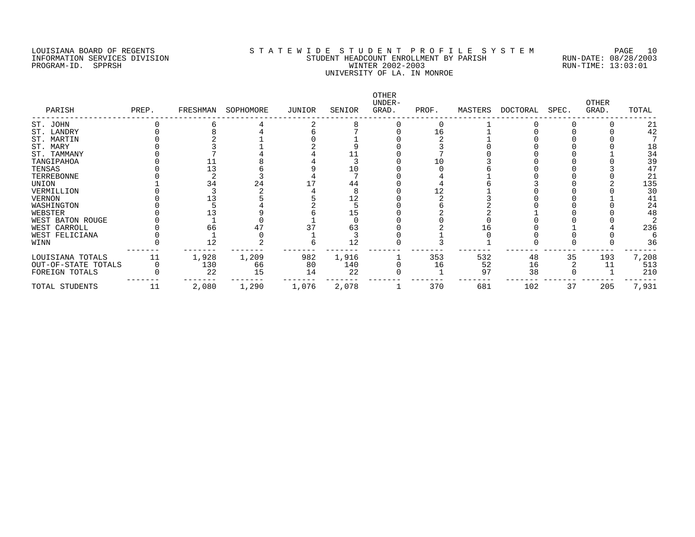#### LOUISIANA BOARD OF REGENTS S T A T E W I D E S T U D E N T P R O F I L E S Y S T E M PAGE 10 INFORMATION SERVICES DIVISION STUDENT HEADCOUNT ENROLLMENT BY PARISH RUN-DATE: 08/28/2003 PROGRAM-ID. SPPRSH WINTER 2002-2003 RUN-TIME: 13:03:01 UNIVERSITY OF LA. IN MONROE

| PARISH              | PREP. | FRESHMAN | SOPHOMORE | JUNIOR | SENIOR | OTHER<br>UNDER-<br>GRAD. | PROF. | MASTERS | DOCTORAL | SPEC. | <b>OTHER</b><br>GRAD. | TOTAL |
|---------------------|-------|----------|-----------|--------|--------|--------------------------|-------|---------|----------|-------|-----------------------|-------|
| ST. JOHN            |       |          |           |        |        |                          |       |         |          |       |                       | 21    |
| ST. LANDRY          |       |          |           |        |        |                          | 16    |         |          |       |                       | 42    |
| ST. MARTIN          |       |          |           |        |        |                          |       |         |          |       |                       |       |
| ST. MARY            |       |          |           |        |        |                          |       |         |          |       |                       | 18    |
| ST. TAMMANY         |       |          |           |        |        |                          |       |         |          |       |                       | 34    |
| TANGIPAHOA          |       |          |           |        |        |                          | 10    |         |          |       |                       | 39    |
| TENSAS              |       |          |           |        | 10     |                          |       |         |          |       |                       | 47    |
| TERREBONNE          |       |          |           |        |        |                          |       |         |          |       |                       | 21    |
| UNION               |       | 34       | 24        |        | 44     |                          |       |         |          |       |                       | 135   |
| VERMILLION          |       |          |           |        |        |                          |       |         |          |       |                       | 30    |
| VERNON              |       |          |           |        |        |                          |       |         |          |       |                       | 41    |
| WASHINGTON          |       |          |           |        |        |                          |       |         |          |       |                       | 24    |
| WEBSTER             |       |          |           |        |        |                          |       |         |          |       |                       | 48    |
| WEST BATON ROUGE    |       |          |           |        |        |                          |       |         |          |       |                       |       |
| WEST CARROLL        |       | 66       |           |        | 63     |                          |       | - 6     |          |       |                       | 236   |
| WEST FELICIANA      |       |          |           |        |        |                          |       |         |          |       |                       |       |
| WINN                |       | 12       |           |        | 12     |                          |       |         |          |       |                       | 36    |
| LOUISIANA TOTALS    | 11    | 1,928    | 1,209     | 982    | 1,916  |                          | 353   | 532     | 48       | 35    | 193                   | 7,208 |
| OUT-OF-STATE TOTALS |       | 130      | 66        | 80     | 140    |                          | 16    | 52      | 16       |       |                       | 513   |
| FOREIGN TOTALS      |       | 22       | 15        | 14     | 22     |                          |       | 97      | 38       |       |                       | 210   |
| TOTAL STUDENTS      | 11    | 2,080    | 1,290     | 1,076  | 2,078  |                          | 370   | 681     | 102      | 37    | 205                   | 7,931 |
|                     |       |          |           |        |        |                          |       |         |          |       |                       |       |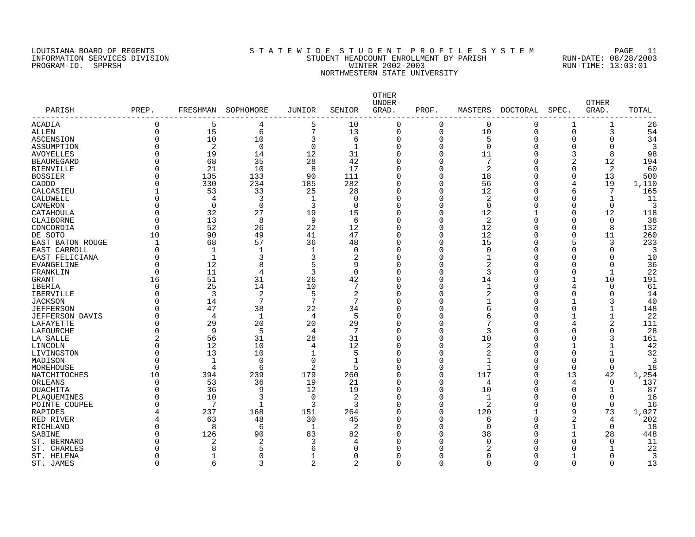# LOUISIANA BOARD OF REGENTS S T A T E W I D E S T U D E N T P R O F I L E S Y S T E M PAGE 11 INFORMATION SERVICES DIVISION STUDENT HEADCOUNT ENROLLMENT BY PARISH RUN-DATE: 08/28/2003 PROGRAM-ID. SPPRSH WINTER 2002-2003 RUN-TIME: 13:03:01 NORTHWESTERN STATE UNIVERSITY

| PARISH                 | PREP.          | FRESHMAN     | SOPHOMORE    | JUNIOR         | SENIOR         | <b>OTHER</b><br>UNDER-<br>GRAD. | PROF.         | MASTERS        | DOCTORAL      | SPEC.        | <b>OTHER</b><br>GRAD. | TOTAL |
|------------------------|----------------|--------------|--------------|----------------|----------------|---------------------------------|---------------|----------------|---------------|--------------|-----------------------|-------|
| ------------           |                |              |              |                |                |                                 |               |                |               |              |                       |       |
| ACADIA                 | $\Omega$       | 5            | 4            | 5              | 10             | $\Omega$                        | $\Omega$      | 0              | 0             | 1            | 1                     | 26    |
| <b>ALLEN</b>           | $\overline{0}$ | 15           | б            | $\overline{7}$ | 13             | $\mathbf 0$                     | 0             | 10             | 0             | $\mathbf 0$  | 3                     | 54    |
| ASCENSION              | $\Omega$       | 10           | 10           | 3              | 6              | $\Omega$                        | $\Omega$      | 5              | $\Omega$      | $\Omega$     | 0                     | 34    |
| ASSUMPTION             | $\Omega$       | 2            | $\mathbf 0$  | $\overline{0}$ | $\mathbf{1}$   | $\Omega$                        | 0             | $\Omega$       | $\Omega$      | $\mathbf 0$  | 0                     | 3     |
| <b>AVOYELLES</b>       | $\Omega$       | 19           | 14           | 12             | 31             | $\Omega$                        | $\Omega$      | 11             | $\Omega$      | 3            | 8                     | 98    |
| <b>BEAUREGARD</b>      | $\Omega$       | 68           | 35           | 28             | 42             | $\Omega$                        | $\Omega$      | 7              | C             | 2            | 12                    | 194   |
| <b>BIENVILLE</b>       | $\Omega$       | 21           | 10           | 8              | 17             | $\Omega$                        | O             | 2              | O             | $\Omega$     | 2                     | 60    |
| <b>BOSSIER</b>         | $\Omega$       | 135          | 133          | 90             | 111            | $\Omega$                        | $\Omega$      | 18             | O             | $\Omega$     | 13                    | 500   |
| CADDO                  | $\Omega$       | 330          | 234          | 185            | 282            | $\Omega$                        | $\Omega$      | 56             | O             | 4            | 19                    | 1,110 |
| CALCASIEU              |                | 53           | 33           | 25             | 28             | $\Omega$                        | 0             | 12             | C             | 6            | 7                     | 165   |
| CALDWELL               | $\Omega$       | 4            | 3            | $\mathbf{1}$   | $\Omega$       | $\Omega$                        | 0             | 2              | C             | $\Omega$     | $\mathbf{1}$          | 11    |
| CAMERON                | $\Omega$       | $\mathbf 0$  | $\mathbf 0$  | 3              | $\Omega$       | $\Omega$                        | 0             | $\mathbf 0$    | $\Omega$      | $\Omega$     | 0                     | 3     |
| CATAHOULA              | $\Omega$       | 32           | 27           | 19             | 15             | $\Omega$                        | 0             | 12             |               | $\Omega$     | 12                    | 118   |
| CLAIBORNE              | $\Omega$       | 13           | 8            | 9              | 6              | $\Omega$                        | 0             | 2              | U             | O            | $\Omega$              | 38    |
| CONCORDIA              | $\Omega$       | 52           | 26           | 22             | 12             | $\Omega$                        | 0             | 12             | C             | $\Omega$     | 8                     | 132   |
| DE SOTO                | 10             | 90           | 49           | 41             | 47             | $\Omega$                        | U             | 12             | O             | $\Omega$     | 11                    | 260   |
| EAST BATON ROUGE       | 1              | 68           | 57           | 36             | 48             | $\Omega$                        | O             | 15             | O             | 5            | 3                     | 233   |
| EAST CARROLL           | $\Omega$       | $\mathbf{1}$ | 1            | $\mathbf 1$    | $\mathbf 0$    | $\Omega$                        | $\Omega$      | $\mathbf 0$    | O             | O            | $\Omega$              | 3     |
| EAST FELICIANA         | $\Omega$       | $\mathbf{1}$ | 3            | 3              | 2              | $\Omega$                        | 0             | 1              | 0             | 0            | $\Omega$              | 10    |
| <b>EVANGELINE</b>      | $\Omega$       | 12           | 8            | 5              | 9              | $\Omega$                        | 0             | $\overline{2}$ | $\Omega$      | $\Omega$     | $\Omega$              | 36    |
| FRANKLIN               | $\Omega$       | 11           | 4            | 3              | $\Omega$       | $\Omega$                        | 0             | 3              | O             | $\Omega$     | $\mathbf{1}$          | 22    |
| <b>GRANT</b>           | 16             | 51           | 31           | 26             | 42             | $\Omega$                        | 0             | 14             | O             | 1            | 10                    | 191   |
| IBERIA                 | $\Omega$       | 25           | 14           | 10             | 7              | $\Omega$                        | O             | $\mathbf 1$    | C             | 4            | $\Omega$              | 61    |
| <b>IBERVILLE</b>       | $\Omega$       | 3            | 2            | 5              | $\overline{2}$ | $\Omega$                        | O             | $\overline{2}$ | O             | $\Omega$     | $\Omega$              | 14    |
| <b>JACKSON</b>         | $\Omega$       | 14           | 7            | 7              | 7              | $\Omega$                        | O             | 1              | C             | -1           | 3                     | 40    |
| <b>JEFFERSON</b>       | $\Omega$       | 47           | 38           | 22             | 34             | $\Omega$                        | 0             | 6              | $\Omega$      | O            | $\mathbf{1}$          | 148   |
| <b>JEFFERSON DAVIS</b> | $\Omega$       | 4            | 1            | $\overline{4}$ | 5              | $\Omega$                        | 0             | 6              | $\Omega$      |              | $\mathbf{1}$          | 22    |
| LAFAYETTE              | $\Omega$       | 29           | 20           | 20             | 29             | $\Omega$                        | O             | 7              | $\Omega$      | 4            | 2                     | 111   |
| LAFOURCHE              | $\Omega$       | 9            | 5            | $\overline{4}$ | 7              | $\Omega$                        | 0             | 3              | C             | O            | $\Omega$              | 28    |
| LA SALLE               | 2              | 56           | 31           | 28             | 31             | $\Omega$                        | 0             | 10             | C             | 0            | 3                     | 161   |
| LINCOLN                | $\Omega$       | 12           | 10           | $\overline{4}$ | 12             | $\Omega$                        | 0             | 2              | C             |              |                       | 42    |
| LIVINGSTON             | $\Omega$       | 13           | 10           | $\mathbf 1$    | 5              | $\Omega$                        | 0             | 2              | C             | $\Omega$     | 1                     | 32    |
| MADISON                | $\Omega$       | $\mathbf{1}$ | 0            | $\mathbf 0$    | $\mathbf{1}$   | $\Omega$                        | 0             | 1              | C             | $\Omega$     | $\Omega$              | 3     |
| MOREHOUSE              | $\Omega$       | 4            | 6            | 2              | 5              | $\Omega$                        | 0             | $\mathbf{1}$   | 0             | $\mathbf 0$  | $\mathbf 0$           | 18    |
| NATCHITOCHES           | 10             | 394          | 239          | 179            | 260            | $\Omega$                        | O             | 117            | $\Omega$      | 13           | 42                    | 1,254 |
| ORLEANS                | $\Omega$       | 53           | 36           | 19             | 21             | $\Omega$                        | 0             | 4              | O             | 4            | 0                     | 137   |
| <b>OUACHITA</b>        | $\Omega$       | 36           | 9            | 12             | 19             | $\Omega$                        | 0             | 10             | O             | $\Omega$     | $\mathbf{1}$          | 87    |
| PLAQUEMINES            | ∩              | 10           | 3            | $\Omega$       | 2              | $\Omega$                        | 0             | $\mathbf 1$    | C             | $\Omega$     | 0                     | 16    |
| POINTE COUPEE          | $\Omega$       | 7            | $\mathbf{1}$ | 3              | 3              | $\Omega$                        | O             | 2              | O             | $\Omega$     | $\Omega$              | 16    |
| RAPIDES                | 4              | 237          | 168          | 151            | 264            | $\Omega$                        | 0             | 120            |               | 9            | 73                    | 1,027 |
| RED RIVER              | 4              | 63           | 48           | 30             | 45             | $\Omega$                        | O             | 6              | $\Omega$      | 2            | 4                     | 202   |
| RICHLAND               | $\Omega$       | 8            | 6            | $\mathbf{1}$   | 2              | $\Omega$                        | 0             | $\Omega$       | U             | $\mathbf{1}$ | $\Omega$              | 18    |
| SABINE                 | $\Omega$       | 126          | 90           | 83             | 82             | $\Omega$                        | U             | 38             | ∩             | $\mathbf 1$  | 28                    | 448   |
| ST. BERNARD            | ∩              | 2            | 2            | 3              | 4              |                                 | U             | $\Omega$       | U             | O            | $\Omega$              | 11    |
| ST. CHARLES            | ∩<br>$\Omega$  | $\mathsf{R}$ | 5            | 6              | $\Omega$       |                                 | O             | 2<br>$\Omega$  |               | O            | $\Omega$              | 22    |
| ST. HELENA             | $\Omega$       | 6            | 0<br>3       | $\overline{2}$ | 0              | $\cap$                          | 0<br>$\Omega$ | $\Omega$       | U<br>$\Omega$ | $\Omega$     | 0                     | 3     |
| ST. JAMES              |                |              |              |                | 2              |                                 |               |                |               |              |                       | 13    |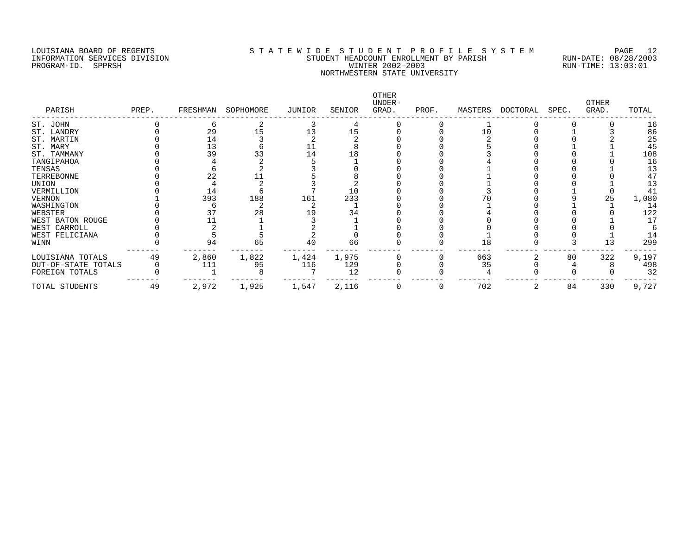#### LOUISIANA BOARD OF REGENTS S T A T E W I D E S T U D E N T P R O F I L E S Y S T E M PAGE 12 INFORMATION SERVICES DIVISION STUDENT HEADCOUNT ENROLLMENT BY PARISH RUN-DATE: 08/28/2003 PROGRAM-ID. SPPRSH WINTER 2002-2003 RUN-TIME: 13:03:01 NORTHWESTERN STATE UNIVERSITY

| PARISH              | PREP. | FRESHMAN | SOPHOMORE | JUNIOR | SENIOR | OTHER<br>UNDER-<br>GRAD. | PROF. | MASTERS | DOCTORAL | SPEC. | <b>OTHER</b><br>GRAD. | TOTAL |
|---------------------|-------|----------|-----------|--------|--------|--------------------------|-------|---------|----------|-------|-----------------------|-------|
| ST. JOHN            |       |          |           |        |        |                          |       |         |          |       |                       | 16    |
| ST. LANDRY          |       | 29       |           |        |        |                          |       |         |          |       |                       | 86    |
| ST. MARTIN          |       | 14       |           |        |        |                          |       |         |          |       |                       | 25    |
| ST. MARY            |       | 13       |           |        |        |                          |       |         |          |       |                       | 45    |
| ST. TAMMANY         |       | 39       |           | 14     | 18     |                          |       |         |          |       |                       | 108   |
| TANGIPAHOA          |       |          |           |        |        |                          |       |         |          |       |                       | 16    |
| TENSAS              |       |          |           |        |        |                          |       |         |          |       |                       | 13    |
| TERREBONNE          |       |          |           |        |        |                          |       |         |          |       |                       | 47    |
| UNION               |       |          |           |        |        |                          |       |         |          |       |                       | 13    |
| VERMILLION          |       | 14       |           |        | 10     |                          |       |         |          |       |                       | 41    |
| VERNON              |       | 393      | 188       | 161    | 233    |                          |       |         |          |       |                       | 1,080 |
| WASHINGTON          |       |          |           |        |        |                          |       |         |          |       |                       | 14    |
| WEBSTER             |       |          | 28        |        | 34     |                          |       |         |          |       |                       | 122   |
| WEST BATON ROUGE    |       |          |           |        |        |                          |       |         |          |       |                       | 17    |
| WEST CARROLL        |       |          |           |        |        |                          |       |         |          |       |                       |       |
| WEST FELICIANA      |       |          |           |        |        |                          |       |         |          |       |                       | 14    |
| WINN                |       | 94       | 65        | 40     | 66     |                          |       | 18      |          |       |                       | 299   |
| LOUISIANA TOTALS    | 49    | 2,860    | 1,822     | 1,424  | 1,975  |                          |       | 663     |          | 80    | 322                   | 9,197 |
| OUT-OF-STATE TOTALS |       | 111      | 95        | 116    | 129    |                          |       | 35      |          |       |                       | 498   |
| FOREIGN TOTALS      |       |          |           |        | 12     |                          |       |         |          |       |                       | 32    |
| TOTAL STUDENTS      | 49    | 2,972    | 1,925     | 1,547  | 2,116  |                          | 0     | 702     | 2        | 84    | 330                   | 9,727 |
|                     |       |          |           |        |        |                          |       |         |          |       |                       |       |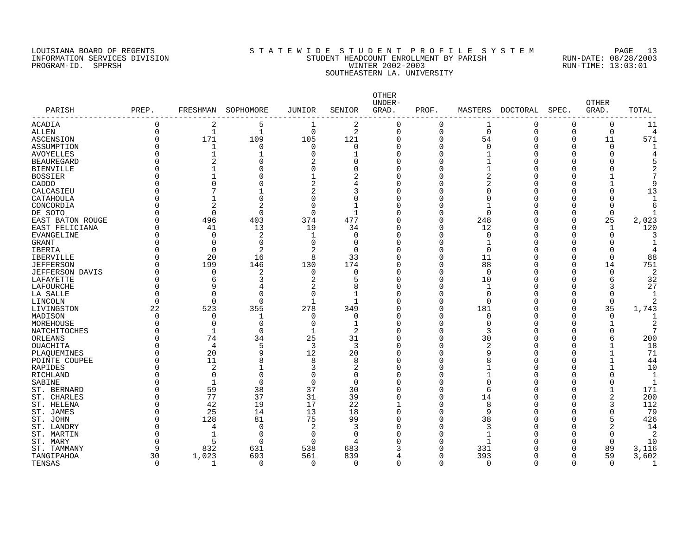# LOUISIANA BOARD OF REGENTS S T A T E W I D E S T U D E N T P R O F I L E S Y S T E M PAGE 13 INFORMATION SERVICES DIVISION STUDENT HEADCOUNT ENROLLMENT BY PARISH RUN-DATE: 08/28/2003 PROGRAM-ID. SPPRSH WINTER 2002-2003 RUN-TIME: 13:03:01 SOUTHEASTERN LA. UNIVERSITY

| PARISH            | PREP.    | FRESHMAN       | SOPHOMORE      | JUNIOR       | SENIOR       | OTHER<br>UNDER-<br>GRAD. | PROF.    | MASTERS     | <b>DOCTORAL</b> | SPEC.        | <b>OTHER</b><br>GRAD. | TOTAL        |
|-------------------|----------|----------------|----------------|--------------|--------------|--------------------------|----------|-------------|-----------------|--------------|-----------------------|--------------|
| ACADIA            | $\Omega$ | 2              | 5              | 1            | 2            | $\Omega$                 | $\Omega$ | 1           | 0               | $\Omega$     | 0                     | 11           |
| ALLEN             | 0        | 1              | 1              | $\mathbf 0$  | 2            | $\mathbf 0$              | 0        | $\Omega$    | $\mathbf 0$     | $\Omega$     | 0                     | $\Delta$     |
| ASCENSION         | $\Omega$ | 171            | 109            | 105          | 121          | $\Omega$                 | $\Omega$ | 54          | $\Omega$        | $\Omega$     | 11                    | 571          |
| ASSUMPTION        | 0        | $\mathbf{1}$   | $\mathbf 0$    | $\mathbf 0$  | $\Omega$     | $\Omega$                 | $\Omega$ | $\mathbf 0$ | C               | $\Omega$     | 0                     |              |
| <b>AVOYELLES</b>  | N        | $\overline{1}$ |                | $\cap$       |              | $\Omega$                 | $\Omega$ | 1           | U               | n            | U                     |              |
| <b>BEAUREGARD</b> | ი        | $\overline{2}$ | $\Omega$       | 2            | O            | $\Omega$                 | O        |             |                 | n            | Ω                     |              |
| <b>BIENVILLE</b>  | ი        |                | O              | $\Omega$     | O            | O                        | O        |             |                 | Λ            | Ω                     |              |
| <b>BOSSIER</b>    | ი        |                | O              |              | 2            | O                        | 0        | 2           |                 | Λ            |                       |              |
| CADDO             | ი        |                | 0              | 2            | 4            | $\Omega$                 | 0        | 2           | Ω               |              | 1                     |              |
| CALCASIEU         | 0        |                |                |              | 3            | $\Omega$                 | $\Omega$ | $\Omega$    |                 |              | 0                     | 13           |
| CATAHOULA         | ი        |                | 0              | $\Omega$     | $\Omega$     | $\Omega$                 | O        | $\Omega$    |                 |              | O                     |              |
| CONCORDIA         | ი        |                | 2              |              |              | ∩                        | $\Omega$ |             |                 |              | O                     |              |
| DE SOTO           | N        | $\Omega$       | $\Omega$       | $\cap$       | $\mathbf{1}$ | $\Omega$                 | 0        | $\Omega$    |                 | Ω            | $\Omega$              |              |
| EAST BATON ROUGE  | U        | 496            | 403            | 374          | 477          | $\Omega$                 | $\Omega$ | 248         |                 | O            | 25                    | 2,023        |
| EAST FELICIANA    | 0        | 41             | 13             | 19           | 34           | O                        | $\Omega$ | 12          | Ω               | O            | 1                     | 120          |
| <b>EVANGELINE</b> | O        | $\Omega$       | 2              | 1            | 0            | $\Omega$                 | $\Omega$ | 0           | Ω               | $\Omega$     | $\Omega$              |              |
| <b>GRANT</b>      | ი        | 0              | $\Omega$       | $\Omega$     | $\Omega$     | $\Omega$                 | $\Omega$ | 1           | Ω               | Ω            | 0                     |              |
| IBERIA            | N        | $\Omega$       | $\overline{c}$ | 2            | $\Omega$     | $\Omega$                 | $\Omega$ | $\Omega$    | U               | ∩            | $\Omega$              |              |
| <b>IBERVILLE</b>  | N        | 20             | 16             | 8            | 33           | $\Omega$                 | $\Omega$ | 11          | U               | $\cap$       | $\Omega$              | 88           |
| <b>JEFFERSON</b>  | N        | 199            | 146            | 130          | 174          | $\Omega$                 | $\Omega$ | 88          | U               | $\Omega$     | 14                    | 751          |
| JEFFERSON DAVIS   | Ω        | $\Omega$       | 2              | $\Omega$     | 0            | $\Omega$                 | $\Omega$ | $\Omega$    |                 | O            | $\Omega$              | 2            |
| LAFAYETTE         | ი        | 6              | 3              | 2            | 5            | $\Omega$                 | $\Omega$ | 10          |                 | n            | 6                     | 32           |
| LAFOURCHE         | 0        | 9              | 4              | 2            | 8            | $\Omega$                 | 0        | $\mathbf 1$ |                 | Ω            | 3                     | 27           |
| LA SALLE          | $\Omega$ | ∩              | $\Omega$       | $\cap$       | -1           | $\Omega$                 | $\Omega$ | $\Omega$    |                 | Λ            | $\Omega$              |              |
| LINCOLN           | O        | $\Omega$       | $\Omega$       | 1            | -1           | $\Omega$                 | O        | $\Omega$    |                 | $\Omega$     | 0                     |              |
| LIVINGSTON        | 22       | 523            | 355            | 278          | 349          | O                        | $\Omega$ | 181         |                 | <sup>0</sup> | 35                    | 1,743        |
| MADISON           | 0        | 0              | 1              | <sup>0</sup> | $\Omega$     | O                        | 0        | 0           |                 | O            | 0                     |              |
| MOREHOUSE         | ი        | $\Omega$       | 0              | $\Omega$     | -1           | $\Omega$                 | 0        | $\Omega$    |                 | n            | 1                     | 2            |
| NATCHITOCHES      | ი        | $\mathbf{1}$   | $\mathbf 0$    | 1            | 2            | $\Omega$                 | $\Omega$ | 3           |                 | Ω            | O                     |              |
| ORLEANS           | ი        | 74             | 34             | 25           | 31           | $\Omega$                 | $\Omega$ | 30          | Ω               |              | 6                     | 200          |
| <b>OUACHITA</b>   | N        | 4              | 5              | 3            | 3            | $\Omega$                 | O        | 2           | U               | Ω            | 1                     | 18           |
| PLAQUEMINES       | ი        | 20             | 9              | 12           | 20           | $\Omega$                 | O        | 9           | U               |              | $\mathbf{1}$          | 71           |
| POINTE COUPEE     | ი        | 11             | 8              | 8            | 8            | O                        | O        | 8           | U               | Ω            | 1                     | 44           |
| RAPIDES           | ი        | 2              |                | 3            | 2            | O                        | 0        | 1           | Ω               | Ω            | $\mathbf{1}$          | 10           |
| RICHLAND          | ი        | $\Omega$       | $\Omega$       |              | $\Omega$     | $\Omega$                 | 0        | 1           | C               | Ω            | O                     |              |
| SABINE            | ი        | $\mathbf{1}$   | $\mathbf 0$    | $\Omega$     | $\Omega$     | $\Omega$                 | $\Omega$ | $\Omega$    | O               | O            | 0                     | $\mathbf{1}$ |
| ST. BERNARD       | N        | 59             | 38             | 37           | 30           | $\Omega$                 | $\Omega$ | 6           | U               | Λ            | $\mathbf{1}$          | 171          |
| ST. CHARLES       | ი        | 77             | 37             | 31           | 39           | $\Omega$                 | $\Omega$ | 14          | O               | Ω            |                       | 200          |
| ST. HELENA        | O        | 42             | 19             | 17           | 22           |                          | $\Omega$ | 8           | U               | ∩            | 3                     | 112          |
| ST. JAMES         | Ω        | 25             | 14             | 13           | 18           | $\Omega$                 | O        | 9           |                 |              | O                     | 79           |
| ST. JOHN          | O        | 128            | 81             | 75           | 99           | $\Omega$                 | $\Omega$ | 38          |                 | n            | 5                     | 426          |
| ST. LANDRY        | ი        | 4              | $\Omega$       | 2            | 3            |                          | O        | 3           |                 |              | 2                     | 14           |
| ST. MARTIN        | O        |                | $\Omega$       | $\Omega$     | $\Omega$     |                          | O        | 1           |                 | ∩            | $\Omega$              | 2            |
| ST. MARY          | O        | 5              | $\mathbf 0$    | $\Omega$     | 4            |                          | 0        | 1           |                 | O            | $\Omega$              | 10           |
| ST. TAMMANY       | q        | 832            | 631            | 538          | 683          |                          | $\Omega$ | 331         |                 | <sup>0</sup> | 89                    | 3,116        |
| TANGIPAHOA        | 30       | 1,023          | 693            | 561          | 839          |                          | $\Omega$ | 393         |                 | $\Omega$     | 59                    | 3,602        |
| TENSAS            | $\Omega$ | -1             | $\Omega$       | $\Omega$     | $\Omega$     | $\cap$                   | $\Omega$ | $\Omega$    | $\Omega$        | $\Omega$     | $\Omega$              | -1           |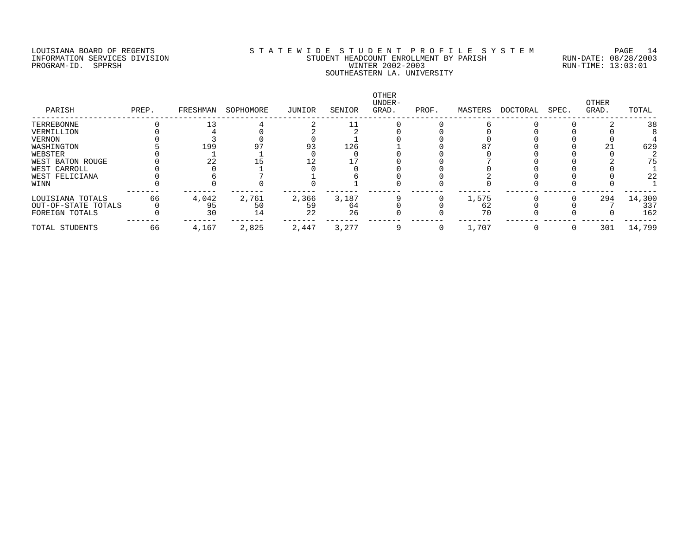# LOUISIANA BOARD OF REGENTS S T A T E W I D E S T U D E N T P R O F I L E S Y S T E M PAGE 14 INFORMATION SERVICES DIVISION STUDENT HEADCOUNT ENROLLMENT BY PARISH RUN-DATE: 08/28/2003 PROGRAM-ID. SPPRSH WINTER 2002-2003 RUN-TIME: 13:03:01 SOUTHEASTERN LA. UNIVERSITY

| PREP. | FRESHMAN | SOPHOMORE | JUNIOR | SENIOR | <b>OTHER</b><br>UNDER-<br>GRAD. | PROF. | MASTERS | DOCTORAL | SPEC. | OTHER<br>GRAD. | TOTAL  |
|-------|----------|-----------|--------|--------|---------------------------------|-------|---------|----------|-------|----------------|--------|
|       |          |           |        |        |                                 |       |         |          |       |                | 38     |
|       |          |           |        |        |                                 |       |         |          |       |                |        |
|       |          |           |        |        |                                 |       |         |          |       |                |        |
|       | 199      |           | 93     | 126    |                                 |       | 87      |          |       |                | 629    |
|       |          |           |        |        |                                 |       |         |          |       |                |        |
|       | 22       |           |        |        |                                 |       |         |          |       |                | 75     |
|       |          |           |        |        |                                 |       |         |          |       |                |        |
|       |          |           |        |        |                                 |       |         |          |       |                | 22     |
|       |          |           |        |        |                                 |       |         |          |       |                |        |
| 66    |          |           |        |        |                                 |       |         |          |       |                | 14,300 |
|       | 95       | 50        | 59     | 64     |                                 |       | 62      |          |       |                | 337    |
|       | 30       | 14        | 22     | 26     |                                 |       | 70      |          |       |                | 162    |
| 66    | 4,167    | 2,825     | 2,447  | 3,277  |                                 |       | 1,707   |          |       | 301            | 14,799 |
|       |          | 4,042     | 2,761  | 2,366  | 3,187                           |       |         | 1,575    |       |                | 294    |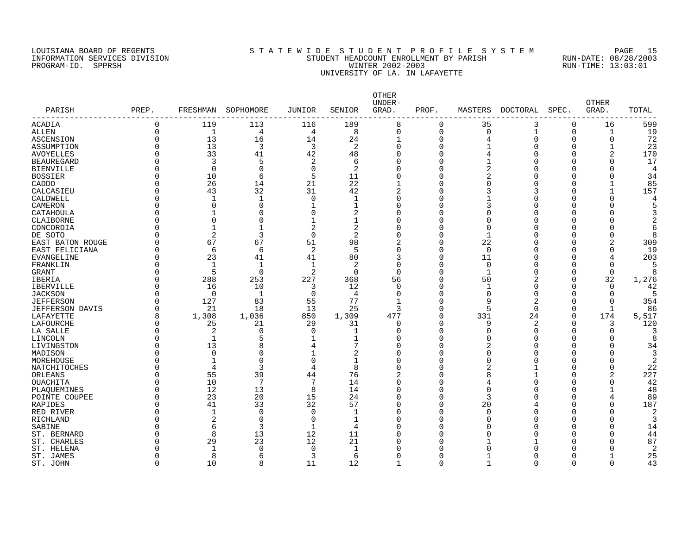# LOUISIANA BOARD OF REGENTS S T A T E W I D E S T U D E N T P R O F I L E S Y S T E M PAGE 15 INFORMATION SERVICES DIVISION STUDENT HEADCOUNT ENROLLMENT BY PARISH RUN-DATE: 08/28/2003 PROGRAM-ID. SPPRSH WINTER 2002-2003 RUN-TIME: 13:03:01 UNIVERSITY OF LA. IN LAFAYETTE

| PARISH                 | PREP.    | FRESHMAN       | SOPHOMORE      | <b>JUNIOR</b>  | SENIOR         | OTHER<br>UNDER-<br>GRAD. | PROF.    | MASTERS      | <b>DOCTORAL</b> | SPEC.        | OTHER<br>GRAD. | TOTAL          |
|------------------------|----------|----------------|----------------|----------------|----------------|--------------------------|----------|--------------|-----------------|--------------|----------------|----------------|
| <b>ACADIA</b>          | 0        | 119            | 113            | 116            | 189            | 8                        | 0        | 35           | 3               | 0            | 16             | 599            |
| <b>ALLEN</b>           | $\Omega$ | $\mathbf 1$    | $\overline{4}$ | 4              | 8              | $\Omega$                 | $\Omega$ | 0            | $\mathbf 1$     | $\Omega$     | $\mathbf{1}$   | 19             |
| <b>ASCENSION</b>       | O        | 13             | 16             | 14             | 24             | $\mathbf 1$              | $\Omega$ | 4            | $\Omega$        | $\Omega$     | 0              | 72             |
| ASSUMPTION             |          | 13             | $\overline{3}$ | 3              | 2              | $\Omega$                 | $\Omega$ | 1            | $\Omega$        | 0            | $\mathbf{1}$   | 23             |
|                        |          | 33             | 41             | 42             |                | $\Omega$                 | $\Omega$ |              | $\Omega$        | $\Omega$     | 2              | 170            |
| <b>AVOYELLES</b>       |          |                |                |                | 48             |                          | $\cap$   | 4            |                 |              |                |                |
| <b>BEAUREGARD</b>      |          | 3              | 5              | 2              | 6              | U                        |          |              | $\Omega$        | $\Omega$     | 0              | 17             |
| <b>BIENVILLE</b>       |          | $\Omega$       | $\Omega$       | $\Omega$       | 2              | $\Omega$                 | $\cap$   | 2            | $\Omega$        | $\Omega$     | $\Omega$       | 4              |
| <b>BOSSIER</b>         |          | 10             | 6              | 5              | 11             | U                        | U        | 2            | $\Omega$        | U            | 0              | 34             |
| CADDO                  |          | 26             | 14             | 21             | 22             |                          | ∩        | 0            | $\Omega$        | <sup>0</sup> | 1              | 85             |
| CALCASIEU              |          | 43             | 32             | 31             | 42             | $\overline{2}$           | ∩        | 3            | 3               | O            | 1              | 157            |
| CALDWELL               | N        | $\mathbf 1$    | 1              | $\Omega$       | -1             | U                        | $\Omega$ | 1            | $\Omega$        | 0            | 0              | 4              |
| CAMERON                |          | $\Omega$       | $\overline{0}$ | $\mathbf{1}$   | 1              | $\Omega$                 | ∩        | 3            | $\Omega$        | <sup>0</sup> | 0              | 5              |
| CATAHOULA              |          | 1              | $\Omega$       | $\Omega$       | 2              | U                        | ∩        | 0            | $\Omega$        | <sup>0</sup> | $\Omega$       | 3              |
| CLAIBORNE              | U        | $\Omega$       | $\Omega$       | 1              | 1              | O                        | ∩        | O            | $\Omega$        | <sup>0</sup> | 0              | 2              |
| CONCORDIA              |          | 1              | $\mathbf{1}$   | 2              | 2              | $\Omega$                 | $\cap$   | $\Omega$     | $\Omega$        | $\Omega$     | 0              | 6              |
| DE SOTO                | $\Omega$ | 2              | $\overline{3}$ | $\Omega$       | 2              | O                        | $\Omega$ | $\mathbf{1}$ | $\Omega$        | $\Omega$     | $\Omega$       | 8              |
| EAST BATON ROUGE       |          | 67             | 67             | 51             | 98             | 2                        | $\Omega$ | 22           | $\Omega$        | 0            | 2              | 309            |
| EAST FELICIANA         | 0        | 6              | 6              | $\overline{2}$ | 5              | $\Omega$                 | $\Omega$ | 0            | $\Omega$        | 0            | 0              | 19             |
| <b>EVANGELINE</b>      |          | 23             | 41             | 41             | 80             | 3                        | $\Omega$ | 11           | $\Omega$        | 0            | 4              | 203            |
| FRANKLIN               |          | $\mathbf{1}$   | 1              | $\mathbf{1}$   | $\overline{2}$ | $\Omega$                 | $\Omega$ | $\mathbf 0$  | $\Omega$        | $\Omega$     | 0              | 5              |
| <b>GRANT</b>           |          | 5              | $\Omega$       | $\overline{2}$ | $\Omega$       | $\Omega$                 | $\Omega$ | $\mathbf{1}$ | $\Omega$        | $\Omega$     | $\Omega$       | 8              |
| <b>IBERIA</b>          |          | 288            | 253            | 227            | 368            | 56                       | $\Omega$ | 50           | $\overline{2}$  | $\Omega$     | 32             | 1,276          |
| <b>IBERVILLE</b>       |          | 16             | 10             | 3              | 12             | $\Omega$                 | U        | -1           | $\Omega$        | $\Omega$     | 0              | 42             |
| <b>JACKSON</b>         | U        | $\Omega$       | 1              | $\Omega$       | 4              | $\Omega$                 | $\Omega$ | 0            | $\Omega$        | $\Omega$     | $\Omega$       | 5              |
| <b>JEFFERSON</b>       |          | 127            | 83             | 55             | 77             |                          | ∩        | 9            | 2               | $\Omega$     | $\Omega$       | 354            |
| <b>JEFFERSON DAVIS</b> | O        | 21             | 18             | 13             | 25             | 3                        | $\Omega$ | 5            | $\Omega$        | 0            | $\mathbf{1}$   | 86             |
| LAFAYETTE              | 8        | 1,308          | 1,036          | 850            | 1,309          | 477                      | $\Omega$ | 331          | 24              | 0            | 174            | 5,517          |
| LAFOURCHE              | N        | 25             | 21             | 29             | 31             | $\Omega$                 | ∩        | 9            | 2               | 0            | 3              | 120            |
|                        | U        | 2              | $\Omega$       | $\Omega$       | 1              | U                        | ∩        | O            | $\Omega$        | $\Omega$     | 0              | 3              |
| LA SALLE               |          |                | 5              |                |                | U                        | U        |              | $\Omega$        | <sup>0</sup> | $\Omega$       |                |
| LINCOLN                |          | $\mathbf 1$    |                | 1              | 1<br>7         |                          | ∩        | U            |                 |              |                | 8              |
| LIVINGSTON             | ∩        | 13             | 8              | 4              |                | ∩                        |          | 2            | $\Omega$        | $\Omega$     | 0              | 34             |
| MADISON                |          | $\mathbf 0$    | $\Omega$       |                | 2              | U                        | U        | O            | $\Omega$        | <sup>0</sup> | $\Omega$       | 3              |
| MOREHOUSE              |          | $\mathbf{1}$   | $\Omega$       | $\Omega$       | 1              | U                        | $\Omega$ | 0            | $\Omega$        | 0            | 0              | 2              |
| NATCHITOCHES           |          | $\overline{4}$ | 3              | 4              | 8              | $\Omega$                 | 0        | 2            | 1               | 0            | 0              | 22             |
| ORLEANS                |          | 55             | 39             | 44             | 76             | 2                        | $\Omega$ | 8            | $\mathbf{1}$    | 0            | 2              | 227            |
| <b>OUACHITA</b>        |          | 10             | 7              | 7              | 14             | $\Omega$                 | $\Omega$ | 4            | $\Omega$        | $\Omega$     | 0              | 42             |
| PLAOUEMINES            |          | 12             | 13             | 8              | 14             | $\Omega$                 | $\Omega$ | 0            | $\Omega$        | $\Omega$     | $\mathbf{1}$   | 48             |
| POINTE COUPEE          |          | 23             | 20             | 15             | 24             | O                        | $\Omega$ | 3            | $\Omega$        | <sup>0</sup> | 4              | 89             |
| RAPIDES                |          | 41             | 33             | 32             | 57             | $\Omega$                 | $\Omega$ | 20           | 4               | 0            | $\Omega$       | 187            |
| RED RIVER              | N        | $\mathbf{1}$   | $\Omega$       | $\Omega$       |                | U                        | ∩        | O            | $\Omega$        | <sup>0</sup> | 0              | $\sqrt{2}$     |
| RICHLAND               |          | $\overline{2}$ | $\mathbf 0$    | $\Omega$       | 1              | $\Omega$                 | $\Omega$ | O            | $\Omega$        | <sup>0</sup> | $\Omega$       | 3              |
| SABINE                 |          | 6              | 3              | $\mathbf{1}$   | 4              | $\cap$                   | ∩        | U            | $\Omega$        | $\Omega$     | 0              | 14             |
| ST. BERNARD            |          | 8              | 13             | 12             | 11             | $\cap$                   | ∩        | U            | $\Omega$        | $\Omega$     | $\Omega$       | 44             |
| ST. CHARLES            |          | 29             | 23             | 12             | 21             | U                        | ∩        |              | 1               | U            | 0              | 87             |
| ST. HELENA             |          | $\mathbf{1}$   | $\Omega$       | $\Omega$       | 1              |                          | U        | U            | $\Omega$        | O            | 0              | $\overline{2}$ |
| ST. JAMES              |          | 8              | 6              | 3              | 6              |                          | ∩        |              | $\Omega$        | $\Omega$     |                | 25             |
| ST. JOHN               | $\Omega$ | 10             | 8              | 11             | 12             | 1                        | $\Omega$ | 1            | $\Omega$        | 0            | 0              | 43             |
|                        |          |                |                |                |                |                          |          |              |                 |              |                |                |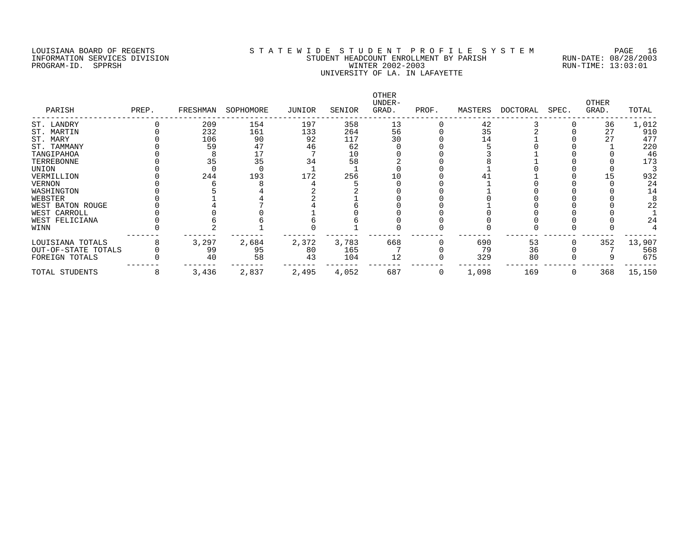# LOUISIANA BOARD OF REGENTS S T A T E W I D E S T U D E N T P R O F I L E S Y S T E M PAGE 16 INFORMATION SERVICES DIVISION STUDENT HEADCOUNT ENROLLMENT BY PARISH RUN-DATE: 08/28/2003 PROGRAM-ID. SPPRSH WINTER 2002-2003 RUN-TIME: 13:03:01 UNIVERSITY OF LA. IN LAFAYETTE

| PARISH              | PREP. | FRESHMAN | SOPHOMORE | JUNIOR | SENIOR | OTHER<br>UNDER-<br>GRAD. | PROF. | MASTERS | DOCTORAL | SPEC. | <b>OTHER</b><br>GRAD. | TOTAL  |
|---------------------|-------|----------|-----------|--------|--------|--------------------------|-------|---------|----------|-------|-----------------------|--------|
| ST. LANDRY          |       | 209      | 154       | 197    | 358    | 13                       |       | 42      |          |       | 36                    | 1,012  |
| ST. MARTIN          |       | 232      | 161       | 133    | 264    | 56                       |       | 35      |          |       | 27                    | 910    |
| ST. MARY            |       | 106      | 90        | 92     | 117    | 30                       |       | 14      |          |       |                       | 477    |
| ST. TAMMANY         |       | 59       | 47        | 46     | 62     |                          |       |         |          |       |                       | 220    |
| TANGIPAHOA          |       |          |           |        | 10     |                          |       |         |          |       |                       | 46     |
| TERREBONNE          |       | 35       | 35        | 34     | 58     |                          |       |         |          |       |                       | 173    |
| UNION               |       |          |           |        |        |                          |       |         |          |       |                       |        |
| VERMILLION          |       | 244      | 193       | 172    | 256    | 10                       |       |         |          |       |                       | 932    |
| <b>VERNON</b>       |       |          |           |        |        |                          |       |         |          |       |                       | 24     |
| WASHINGTON          |       |          |           |        |        |                          |       |         |          |       |                       | 14     |
| WEBSTER             |       |          |           |        |        |                          |       |         |          |       |                       |        |
| WEST BATON ROUGE    |       |          |           |        |        |                          |       |         |          |       |                       | 22     |
| WEST CARROLL        |       |          |           |        |        |                          |       |         |          |       |                       |        |
| WEST FELICIANA      |       |          |           |        |        |                          |       |         |          |       |                       | 24     |
| WINN                |       |          |           |        |        |                          |       |         |          |       |                       |        |
| LOUISIANA TOTALS    |       | 3,297    | 2,684     | 2,372  | 3,783  | 668                      |       | 690     | 53       |       | 352                   | 13,907 |
| OUT-OF-STATE TOTALS |       | 99       | 95        | 80     | 165    |                          |       | 79      | 36       |       |                       | 568    |
| FOREIGN TOTALS      |       | 40       | 58        | 43     | 104    | 12                       |       | 329     | 80       |       |                       | 675    |
| TOTAL STUDENTS      | 8     | 3,436    | 2,837     | 2,495  | 4,052  | 687                      | 0     | 1,098   | 169      |       | 368                   | 15,150 |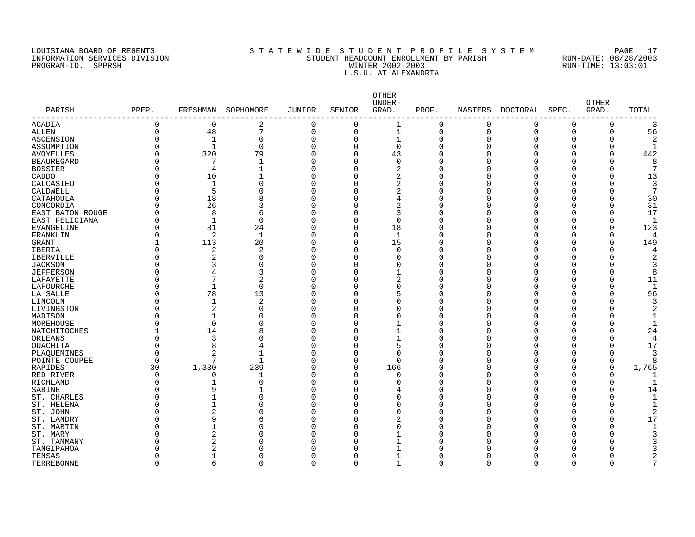PROGRAM-ID. SPPRSH

# LOUISIANA BOARD OF REGENTS SOURCLAINA SUBSTATE MANUS ARE STOURN THE STOURN THE SOURCLAINE STOURN THE STOURN T<br>STUDENT HEADCOUNT ENROLLMENT BY PARISH RUN-DATE: 08/28/2003 INFORMATION SERVICES DIVISION STATE: STUDENT HEADCOUNT ENROLLMENT BY PARISH RUN-DATE: 08/28/2000<br>PROGRAM-ID. SPPRSH RUN-TIME: 13:03:01 L.S.U. AT ALEXANDRIA

| PARISH            | PREP.       |              | FRESHMAN SOPHOMORE | <b>JUNIOR</b>  | SENIOR   | OTHER<br>UNDER-<br>GRAD. | PROF.    | MASTERS     | DOCTORAL | SPEC.          | <b>OTHER</b><br>GRAD. | TOTAL        |
|-------------------|-------------|--------------|--------------------|----------------|----------|--------------------------|----------|-------------|----------|----------------|-----------------------|--------------|
| ACADIA            | $\mathsf 0$ | 0            | 2                  | 0              | 0        |                          | 0        | 0           | 0        | 0              | 0                     |              |
| ALLEN             | 0           | 48           | $\overline{7}$     | $\mathbf 0$    | 0        | $\mathbf{1}$             | 0        | $\mathbf 0$ | 0        | $\overline{0}$ | 0                     | 56           |
| ASCENSION         | 0           | $\mathbf 1$  | 0                  | $\mathbf 0$    | 0        | $\mathbf{1}$             | $\Omega$ | $\mathbf 0$ | O        | 0              | 0                     |              |
| ASSUMPTION        |             | $\mathbf{1}$ | $\mathbf 0$        | $\mathbf 0$    | $\Omega$ | $\mathbf 0$              | O        | n           |          | C              | 0                     |              |
| AVOYELLES         |             | 320          | 79                 | $\overline{0}$ | $\Omega$ | 43                       | O        |             |          | U              | 0                     | 442          |
| <b>BEAUREGARD</b> |             | 7            | 1                  | $\mathbf 0$    | O        | $\mathbf 0$              | U        |             |          |                | 0                     | 8            |
| BOSSIER           |             | 4            | $\mathbf{1}$       | $\mathbf 0$    | O        | 2                        | U        |             |          |                | 0                     |              |
| CADDO             |             | 10           |                    | $\Omega$       |          | $\overline{2}$           | U        |             |          |                | 0                     | 13           |
| CALCASIEU         |             | $\mathbf{1}$ | $\Omega$           | $\Omega$       |          | 2                        | 0        |             |          |                | 0                     |              |
| CALDWELL          |             | 5            | 0                  | $\Omega$       |          | 2                        | 0        |             |          |                | 0                     |              |
| CATAHOULA         |             | 18           | 8                  | $\Omega$       |          |                          | O        |             |          |                | 0                     | 30           |
| CONCORDIA         |             | 26           | 3                  | $\Omega$       |          | 2                        | 0        |             |          |                | 0                     | 31           |
| EAST BATON ROUGE  |             | 8            | 6                  | $\Omega$       |          | 3                        | O        |             |          |                | O                     | 17           |
| EAST FELICIANA    |             | 1            | 0                  | $\Omega$       | O        | $\Omega$                 | U        |             |          |                | O                     |              |
| EVANGELINE        | ი           | 81           | 24                 | $\Omega$       | 0        | 18                       | U        |             |          |                | 0                     | 123          |
| FRANKLIN          |             | 2            | $\mathbf{1}$       | $\Omega$       | 0        | $\mathbf{1}$             | U        |             |          | U              | O                     |              |
| GRANT             |             | 113          | 20                 | $\Omega$       | 0        | 15                       | 0        |             |          |                | 0                     | 149          |
| IBERIA            |             | 2            | 2                  | $\Omega$       | 0        | $\Omega$                 | U        |             |          |                | 0                     |              |
| IBERVILLE         |             | 2            | 0                  | $\mathbf 0$    |          | ∩                        | U        |             |          |                | O                     |              |
| <b>JACKSON</b>    |             | 3            | $\Omega$           | $\Omega$       |          | ∩                        | U        |             |          | C              | O                     |              |
| JEFFERSON         |             | 4            | 3                  | $\Omega$       |          |                          | U        |             |          |                | 0                     | 8            |
| LAFAYETTE         |             | 7            | 2                  | $\Omega$       |          | 2                        | U        |             |          |                | 0                     | 11           |
| LAFOURCHE         |             | $\mathbf{1}$ | 0                  | $\Omega$       |          |                          | U        |             |          |                | 0                     | $\mathbf{1}$ |
| LA SALLE          |             | 78           | 13                 | 0              |          |                          | U        |             |          |                | 0                     | 96           |
| LINCOLN           |             | $\mathbf{1}$ | $\overline{a}$     | $\Omega$       |          |                          | 0        |             |          |                | 0                     |              |
| LIVINGSTON        |             | 2            | 0                  | 0              |          |                          | O        |             |          |                | Λ                     |              |
| MADISON           |             |              | 0                  | $\Omega$       |          |                          | O        |             |          |                | ۲                     |              |
| MOREHOUSE         |             | $\mathbf 0$  | 0                  | 0              |          |                          | U        |             |          |                | Λ                     |              |
| NATCHITOCHES      |             | 14           | 8                  | 0              |          |                          | O        |             |          |                | O                     | 24           |
| ORLEANS           |             | 3            | 0                  | 0              |          |                          | O        |             |          |                | 0                     | $\Lambda$    |
| OUACHITA          | O           | 8            | 4                  | $\Omega$       | U        | 5                        | U        |             |          | U              | O                     | 17           |
| PLAQUEMINES       | O           | 2            | 1                  | O              |          | ∩                        | Ω        |             |          |                | U                     |              |
| POINTE COUPEE     | $\Omega$    | 7            | 1                  | $\Omega$       | U        | ∩                        | U        |             |          | U              | O                     |              |
| RAPIDES           | 30          | 1,330        | 239                | $\Omega$       | O        | 166                      | U        |             |          |                | 0                     | 1,765        |
| RED RIVER         | O           | 0            | 1                  | 0              | U        | ∩                        | U        |             |          |                | U                     |              |
| RICHLAND          |             |              | $\Omega$           | 0              |          |                          | 0        |             |          |                | 0                     |              |
| SABINE            |             | 9            |                    | O              |          |                          | U        |             |          |                | 0                     | 14           |
| ST. CHARLES       |             |              | 0                  | O              |          | U                        | U        |             |          |                | U                     |              |
| ST. HELENA        |             |              | 0                  | O              |          | Ω                        | O        |             |          |                | Λ                     |              |
|                   |             | 2            | 0                  | O              |          | Ω                        | O        |             |          |                | U                     |              |
| ST. JOHN          |             | 9            | 6                  | 0              |          | 2                        | U        |             |          |                | 0                     | 17           |
| ST. LANDRY        |             | -1           |                    | O              |          | ∩                        | O        |             |          |                | ∩                     |              |
| ST. MARTIN        |             |              | 0                  |                |          |                          |          |             |          |                |                       |              |
| ST. MARY          |             | 2            | O                  | O              |          |                          | Λ        |             |          |                | Ω                     |              |
| ST. TAMMANY       |             | 2            | <sup>0</sup>       | O              |          |                          | O        |             |          |                |                       |              |
| TANGIPAHOA        |             | 2            | $\Omega$           | n              |          |                          | Λ        |             |          |                | ∩                     |              |
| TENSAS            | O           | -1           | $\Omega$           | $\Omega$       | O        |                          | U        |             |          | n              | U                     |              |
| TERREBONNE        | 0           | 6            | $\mathbf 0$        | $\mathbf 0$    | 0        | 1                        | 0        | $\Omega$    | O        | 0              | 0                     | 7            |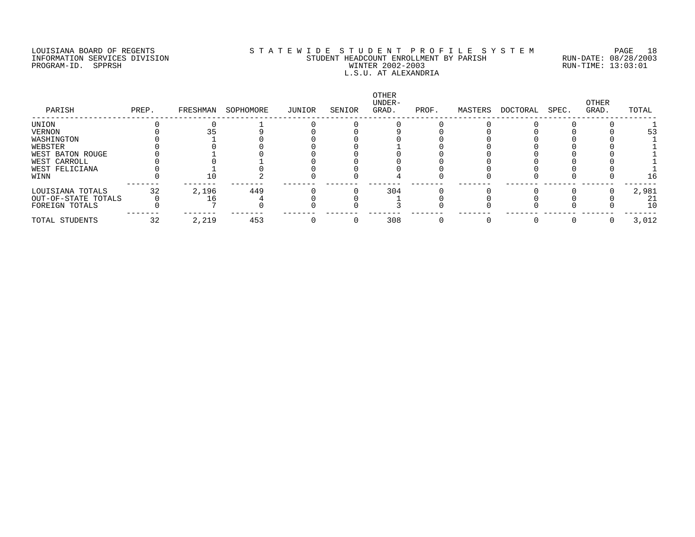PROGRAM-ID. SPPRSH

# LOUISIANA BOARD OF REGENTS SOURCOMER'S STATEWIDE STUDENT PROFILE SYSTEM PAGE 18<br>STUDENT HEADCOUNT ENROLLMENT BY PARISH RUN-DATE: 08/28/2003 INFORMATION SERVICES DIVISION SANT STUDENT HEADCOUNT ENROLLMENT BY PARISH STAND-DATE: 08/28/2003<br>PROGRAM-ID. SPPRSH RUN-TIME: 13:03:01 L.S.U. AT ALEXANDRIA

| PREP. | FRESHMAN | SOPHOMORE | JUNIOR | SENIOR | OTHER<br>UNDER-<br>GRAD. | PROF. | MASTERS | DOCTORAL | SPEC. | OTHER<br>GRAD. | TOTAL |
|-------|----------|-----------|--------|--------|--------------------------|-------|---------|----------|-------|----------------|-------|
|       |          |           |        |        |                          |       |         |          |       |                |       |
|       |          |           |        |        |                          |       |         |          |       |                | 53    |
|       |          |           |        |        |                          |       |         |          |       |                |       |
|       |          |           |        |        |                          |       |         |          |       |                |       |
|       |          |           |        |        |                          |       |         |          |       |                |       |
|       |          |           |        |        |                          |       |         |          |       |                |       |
|       |          |           |        |        |                          |       |         |          |       |                |       |
|       |          |           |        |        |                          |       |         |          |       |                | 16    |
| 32    |          |           |        |        |                          |       |         |          |       |                | 2,981 |
|       |          |           |        |        |                          |       |         |          |       |                | 21    |
|       |          |           |        |        |                          |       |         |          |       |                | 10    |
| 32    | 2,219    | 453       |        |        | 308                      |       |         |          |       |                | 3,012 |
|       |          | 2,196     | 449    |        |                          | 304   |         |          |       |                |       |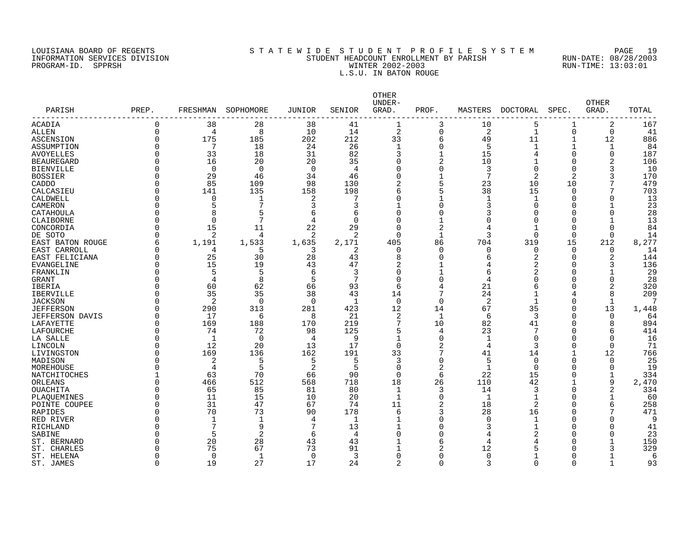# LOUISIANA BOARD OF REGENTS S T A T E W I D E S T U D E N T P R O F I L E S Y S T E M PAGE 19 INFORMATION SERVICES DIVISION STUDENT HEADCOUNT ENROLLMENT BY PARISH RUN-DATE: 08/28/2003 PROGRAM-ID. SPPRSH WINTER 2002-2003 RUN-TIME: 13:03:01 L.S.U. IN BATON ROUGE

| PARISH                 | PREP.    | FRESHMAN       | SOPHOMORE    | <b>JUNIOR</b>  | SENIOR       | OTHER<br>UNDER-<br>GRAD. | PROF.          | MASTERS  | <b>DOCTORAL</b> | SPEC.          | <b>OTHER</b><br>GRAD. | TOTAL |
|------------------------|----------|----------------|--------------|----------------|--------------|--------------------------|----------------|----------|-----------------|----------------|-----------------------|-------|
| ACADIA                 | $\Omega$ | 38             | 28           | 38             | 41           | $\mathbf{1}$             | 3              | 10       | 5               | $\mathbf 1$    | 2                     | 167   |
| <b>ALLEN</b>           | $\Omega$ | 4              | 8            | 10             | 14           | 2                        | 0              | 2        | $\mathbf{1}$    | $\overline{0}$ | 0                     | 41    |
| ASCENSION              | $\Omega$ | 175            | 185          | 202            | 212          | 33                       | 6              | 49       | 11              | $\mathbf 1$    | 12                    | 886   |
| ASSUMPTION             | $\Omega$ | 7              | 18           | 24             | 26           | 1                        | $\Omega$       | 5        | 1               | $\mathbf 1$    | 1                     | 84    |
| <b>AVOYELLES</b>       | $\Omega$ | 33             | 18           | 31             | 82           | 3                        | $\mathbf{1}$   | 15       | 4               | $\mathbf 0$    | $\Omega$              | 187   |
| <b>BEAUREGARD</b>      | $\Omega$ | 16             | 20           | 20             | 35           | $\Omega$                 | $\overline{2}$ | 10       | -1              | $\Omega$       | $\overline{a}$        | 106   |
| <b>BIENVILLE</b>       | $\Omega$ | $\Omega$       | $\mathbf 0$  | $\overline{0}$ | 4            | $\Omega$                 | $\Omega$       | 3        | $\Omega$        | $\Omega$       | 3                     | 10    |
| <b>BOSSIER</b>         | ∩        | 29             | 46           | 34             | 46           | $\Omega$                 | 1              | 7        | 2               | 2              | 3                     | 170   |
| CADDO                  | $\Omega$ | 85             | 109          | 98             | 130          | 2                        | 5              | 23       | 10              | 10             |                       | 479   |
| CALCASIEU              | ∩        | 141            | 135          | 158            | 198          | 6                        | 5              | 38       | 15              | $\Omega$       | 7                     | 703   |
| CALDWELL               | $\Omega$ | 0              | 1            | 2              |              |                          | 1              | 1        | $\mathbf 1$     | <sup>0</sup>   | O                     | 13    |
| CAMERON                | ∩        | 5              | 7            | 3              | 3            |                          | 0              | 3        | $\Omega$        | C              |                       | 23    |
| CATAHOULA              | $\Omega$ | 8              | 5            | 6              | 6            | $\Omega$                 | $\Omega$       | 3        | $\Omega$        | $\Omega$       | $\Omega$              | 28    |
| CLAIBORNE              | $\Omega$ | $\Omega$       | 7            | $\overline{4}$ | $\Omega$     | $\Omega$                 | $\mathbf{1}$   | ∩        | $\Omega$        | $\cap$         | $\mathbf{1}$          | 13    |
| CONCORDIA              | $\Omega$ | 15             | 11           | 22             | 29           | $\Omega$                 | $\overline{a}$ | 4        | $\mathbf 1$     | $\Omega$       | $\Omega$              | 84    |
| DE SOTO                | ∩        | 2              | 4            | 2              | 2            | $\cap$                   |                | 3        | $\Omega$        | $\Omega$       | $\Omega$              | 14    |
| EAST BATON ROUGE       | 6        | 1,191          | 1,533        | 1,635          | 2,171        | 405                      | 86             | 704      | 319             | 15             | 212                   | 8,277 |
| EAST CARROLL           | ∩        | 4              | 5            | 3              | 2            | ∩                        | $\Omega$       | $\Omega$ | $\Omega$        | $\Omega$       | $\Omega$              | 14    |
| EAST FELICIANA         | $\Omega$ | 25             | 30           | 28             | 43           | 8                        | $\Omega$       | 6        | 2               | $\Omega$       | 2                     | 144   |
| <b>EVANGELINE</b>      | $\Omega$ | 15             | 19           | 43             | 47           | 2                        | $\mathbf{1}$   | 4        | 2               | $\Omega$       | 3                     | 136   |
| FRANKLIN               | $\Omega$ | 5              | 5            | 6              | 3            | $\Omega$                 | $\mathbf{1}$   | 6        | $\overline{a}$  | C              |                       | 29    |
| <b>GRANT</b>           | $\Omega$ | $\overline{4}$ | 8            | 5              | 7            | $\Omega$                 | $\Omega$       | 4        | O               | U              | $\Omega$              | 28    |
| IBERIA                 | $\Omega$ | 60             | 62           | 66             | 93           | 6                        | 4              | 21       | 6               | O              | 2                     | 320   |
| <b>IBERVILLE</b>       | ∩        | 35             | 35           | 38             | 43           | 14                       | 7              | 24       | 1               | 4              | 8                     | 209   |
| <b>JACKSON</b>         | ∩        |                | $\mathbf 0$  | $\Omega$       | $\mathbf{1}$ | $\Omega$                 | $\mathbf 0$    |          | -1              | 0              |                       |       |
|                        | $\Omega$ | 2<br>290       |              |                | 423          | 12                       |                | 2<br>67  |                 | $\mathbf 0$    | 1<br>13               |       |
| <b>JEFFERSON</b>       |          |                | 313          | 281            |              |                          | 14             |          | 35              |                |                       | 1,448 |
| <b>JEFFERSON DAVIS</b> | $\Omega$ | 17             | 6            | 8              | 21           | 2                        | $\mathbf 1$    | 6        | 3               | $\Omega$       | $\Omega$              | 64    |
| LAFAYETTE              | $\Omega$ | 169            | 188          | 170            | 219          | 7                        | 10             | 82       | 41              | $\Omega$       | 8                     | 894   |
| LAFOURCHE              | ∩        | 74             | 72           | 98             | 125          | 5                        | 4              | 23       | 7               | $\Omega$       | 6                     | 414   |
| LA SALLE               | $\Omega$ | -1             | 0            | $\overline{4}$ | 9            |                          | $\Omega$       | 1        | 0               | $\Omega$       | $\Omega$              | 16    |
| LINCOLN                | ∩        | 12             | 20           | 13             | 17           | $\Omega$                 | 2              | 4        | 3               | $\Omega$       | $\Omega$              | 71    |
| LIVINGSTON             | $\Omega$ | 169            | 136          | 162            | 191          | 33                       | 7              | 41       | 14              | $\mathbf 1$    | 12                    | 766   |
| MADISON                | ∩        | 2              | 5            | 5              | 5            | 3                        | $\mathbf 0$    | 5        | 0               | $\Omega$       | 0                     | 25    |
| MOREHOUSE              | ∩        | 4              | 5            | $\overline{2}$ | 5            | $\Omega$                 | 2              | 1        | $\mathbf 0$     | $\Omega$       | 0                     | 19    |
| NATCHITOCHES           |          | 63             | 70           | 66             | 90           | $\Omega$                 | 6              | 22       | 15              | $\Omega$       | $\mathbf{1}$          | 334   |
| ORLEANS                | ∩        | 466            | 512          | 568            | 718          | 18                       | 26             | 110      | 42              | -1             | 9                     | 2,470 |
| <b>OUACHITA</b>        | $\Omega$ | 65             | 85           | 81             | 80           | $\mathbf{1}$             | 3              | 14       | 3               | $\Omega$       | 2                     | 334   |
| PLAQUEMINES            | $\Omega$ | 11             | 15           | 10             | 20           | -1                       | $\Omega$       | 1        | $\mathbf 1$     | O              | $\mathbf 1$           | 60    |
| POINTE COUPEE          | $\Omega$ | 31             | 47           | 67             | 74           | 11                       | 2              | 18       | 2               | $\Omega$       | 6                     | 258   |
| RAPIDES                | $\Omega$ | 70             | 73           | 90             | 178          | 6                        | 3              | 28       | 16              | O              |                       | 471   |
| RED RIVER              | $\Omega$ | -1             | $\mathbf{1}$ | 4              | -1           |                          | 0              | 0        | $\mathbf 1$     | O              | O                     | 9     |
| <b>RICHLAND</b>        |          | 7              | 9            | 7              | 13           |                          | $\Omega$       | 3        | $\mathbf{1}$    | C              | 0                     | 41    |
| SABINE                 | ∩        | $\overline{5}$ | 2            | 6              | 4            |                          | 0              | 4        |                 | U              | U                     | 23    |
| ST. BERNARD            |          | 20             | 28           | 43             | 43           |                          | 6              | 4        |                 | U              |                       | 150   |
| ST. CHARLES            |          | 75             | 67           | 73             | 91           |                          | 2              | 12       | 5               | U              | 3                     | 329   |
| ST. HELENA             | ∩        | $\Omega$       | 1            | $\Omega$       | 3            |                          | U              | 0        |                 | O              |                       | 6     |
| ST. JAMES              | $\Omega$ | 19             | 27           | 17             | 24           | 2                        | $\Omega$       | 3        | $\Omega$        | $\Omega$       | 1                     | 93    |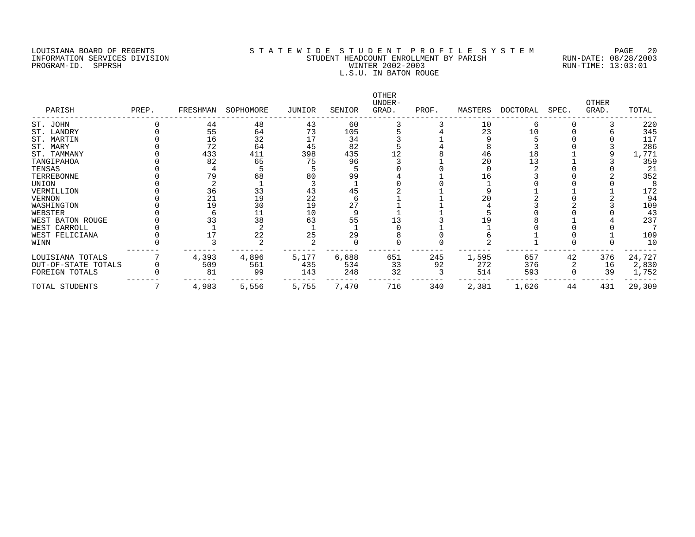### LOUISIANA BOARD OF REGENTS SOURCOMERY AS T A T E W I D E S T U D E N T P R O F I L E S Y S T E M PAGE 20<br>STUDENT HEADCOUNT ENROLLMENT BY PARISH RUN-DATE: 08/28/2003 INFORMATION SERVICES DIVISION STRUCTURES AND STUDENT HEADCOUNT ENROLLMENT BY PARISH PROGRAM-ID. SPPRSH RUN-DATE: 08/28/2003 PROGRAM-ID. SPPRSH WINTER 2002-2003 RUN-TIME: 13:03:01 L.S.U. IN BATON ROUGE

| PARISH              | PREP. | FRESHMAN | SOPHOMORE | JUNIOR | SENIOR | OTHER<br>UNDER-<br>GRAD. | PROF. | MASTERS | DOCTORAL | SPEC. | OTHER<br>GRAD. | TOTAL  |
|---------------------|-------|----------|-----------|--------|--------|--------------------------|-------|---------|----------|-------|----------------|--------|
| ST. JOHN            |       | 44       | 48        | 43     | 60     |                          |       | 10      | 6        |       |                | 220    |
| ST. LANDRY          |       | 55       | 64        | 73     | 105    |                          |       | 23      | 10       |       |                | 345    |
| ST. MARTIN          |       | 16       | 32        |        | 34     |                          |       |         |          |       |                | 117    |
| ST. MARY            |       | 72       | 64        | 45     | 82     |                          |       |         |          |       |                | 286    |
| ST. TAMMANY         |       | 433      | 411       | 398    | 435    |                          |       | 46      | 18       |       |                | 1,771  |
| TANGIPAHOA          |       | 82       | 65        | 75     | 96     |                          |       | 20      | 13       |       |                | 359    |
| TENSAS              |       |          |           |        |        |                          |       |         |          |       |                | 21     |
| TERREBONNE          |       | 79       | 68        | 80     | 99     |                          |       | 16      |          |       |                | 352    |
| UNION               |       |          |           |        |        |                          |       |         |          |       |                |        |
| VERMILLION          |       | 36       | 33        | 43     | 45     |                          |       |         |          |       |                | 172    |
| VERNON              |       | 21       | 19        | 22     |        |                          |       | 20      |          |       |                | 94     |
| WASHINGTON          |       | 19       | 30        | 19     | 27     |                          |       |         |          |       |                | 109    |
| WEBSTER             |       |          |           | 10     |        |                          |       |         |          |       |                | 43     |
| WEST BATON ROUGE    |       | 33       | 38        | 63     | 55     |                          |       |         |          |       |                | 237    |
| WEST CARROLL        |       |          |           |        |        |                          |       |         |          |       |                |        |
| WEST FELICIANA      |       |          | 22        | 25     | 29     |                          |       |         |          |       |                | 109    |
| WINN                |       |          |           |        |        |                          |       |         |          |       |                | 10     |
| LOUISIANA TOTALS    |       | 4,393    | 4,896     | 5,177  | 6,688  | 651                      | 245   | 1,595   | 657      | 42    | 376            | 24,727 |
| OUT-OF-STATE TOTALS |       | 509      | 561       | 435    | 534    | 33                       | 92    | 272     | 376      |       | 16             | 2,830  |
| FOREIGN TOTALS      |       | 81       | 99        | 143    | 248    | 32                       |       | 514     | 593      |       | 39             | 1,752  |
| TOTAL STUDENTS      |       | 4,983    | 5,556     | 5,755  | 7,470  | 716                      | 340   | 2,381   | 1,626    | 44    | 431            | 29,309 |
|                     |       |          |           |        |        |                          |       |         |          |       |                |        |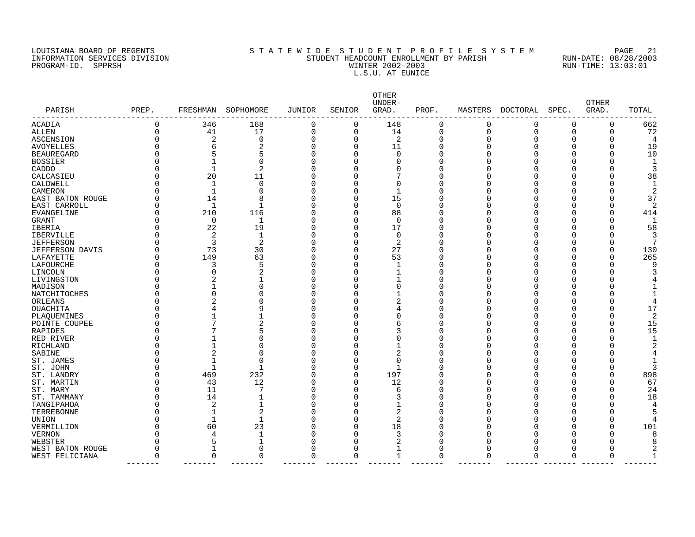# LOUISIANA BOARD OF REGENTS S T A T E W I D E S T U D E N T P R O F I L E S Y S T E M PAGE 21 INFORMATION SERVICES DIVISION STUDENT HEADCOUNT ENROLLMENT BY PARISH RUN-DATE: 08/28/2003 PROGRAM-ID. SPPRSH WINTER 2002-2003 RUN-TIME: 13:03:01 L.S.U. AT EUNICE

| PARISH                 | PREP. | FRESHMAN                 | SOPHOMORE    | JUNIOR      | SENIOR   | OTHER<br>UNDER-<br>GRAD. | PROF.    | MASTERS     | DOCTORAL | SPEC.    | <b>OTHER</b><br>GRAD. | TOTAL |
|------------------------|-------|--------------------------|--------------|-------------|----------|--------------------------|----------|-------------|----------|----------|-----------------------|-------|
| <b>ACADIA</b>          | 0     | 346                      | 168          | 0           | 0        | 148                      | 0        | $\Omega$    | 0        | $\Omega$ | O                     | 662   |
| <b>ALLEN</b>           | 0     | 41                       | 17           | $\mathbf 0$ | 0        | 14                       | 0        | $\mathbf 0$ | 0        | $\Omega$ | $\Omega$              | 72    |
| <b>ASCENSION</b>       | O     | 2                        | $\mathbf 0$  | $\mathbf 0$ | $\Omega$ | 2                        | $\Omega$ | n           | O        | ∩        | O                     |       |
| <b>AVOYELLES</b>       | O     | 6                        | 2            | $\mathbf 0$ | $\Omega$ | 11                       | C        |             | ∩        | O        |                       | 19    |
| <b>BEAUREGARD</b>      | U     | 5                        | 5            | $\Omega$    | O        | $\Omega$                 | C        |             |          | n        |                       | 10    |
| <b>BOSSIER</b>         | O     | $\mathbf{1}$             | $\Omega$     | $\Omega$    | U        |                          | C        |             |          |          |                       | -1    |
| CADDO                  | U     | $\mathbf{1}$             | 2            | $\Omega$    |          |                          | O        |             |          |          |                       | 3     |
| CALCASIEU              | O     | 20                       | 11           | $\Omega$    |          | 7                        | O        |             |          |          |                       | 38    |
| CALDWELL               | U     | $\mathbf{1}$             | $\mathbf 0$  | $\mathbf 0$ |          | $\Omega$                 | O        |             |          |          |                       |       |
| CAMERON                | 0     | $\overline{\phantom{a}}$ | $\Omega$     | $\Omega$    | O        |                          | $\Omega$ |             |          |          |                       | 2     |
| EAST BATON ROUGE       | 0     | 14                       | 8            | $\mathbf 0$ | U        | 15                       | O        |             |          |          |                       | 37    |
| EAST CARROLL           | 0     | 1                        | 1            | $\Omega$    | U        | $\Omega$                 | 0        |             |          |          |                       | 2     |
| EVANGELINE             | 0     | 210                      | 116          | $\Omega$    | 0        | 88                       | $\Omega$ |             |          |          |                       | 414   |
| GRANT                  | 0     | $\mathbf 0$              | 1            | $\Omega$    | 0        | $\Omega$                 | 0        |             |          | ∩        |                       |       |
| IBERIA                 | 0     | 22                       | 19           | $\mathbf 0$ | 0        | 17                       | 0        |             |          |          |                       | 58    |
| <b>IBERVILLE</b>       | 0     | 2                        | 1            | $\Omega$    | U        | $\Omega$                 | 0        |             |          | ∩        |                       | 3     |
| <b>JEFFERSON</b>       | 0     | 3                        | 2            | $\Omega$    | U        | 2                        | 0        |             |          |          |                       |       |
| <b>JEFFERSON DAVIS</b> | 0     | 73                       | 30           | $\Omega$    | $\Omega$ | 27                       | $\Omega$ |             |          | ∩        |                       | 130   |
| LAFAYETTE              | 0     | 149                      | 63           | $\Omega$    | O        | 53                       | 0        |             |          | ∩        | $\Omega$              | 265   |
| LAFOURCHE              | 0     | 3                        | 5            | $\Omega$    | U        |                          | 0        |             |          | ∩        |                       |       |
| LINCOLN                | U     |                          | 2            | $\Omega$    |          |                          | O        |             |          |          |                       |       |
| LIVINGSTON             | U     |                          |              | $\Omega$    |          |                          | 0        |             |          | ∩        |                       |       |
| MADISON                | 0     | $\mathbf{1}$             | 0            | $\Omega$    |          |                          | 0        |             |          |          |                       |       |
| NATCHITOCHES           | U     | $\Omega$                 | O            | $\Omega$    |          |                          | O        |             |          | ∩        |                       |       |
| ORLEANS                | O     | 2                        | 0            | $\Omega$    |          | 2                        | C        |             |          | O        |                       |       |
| OUACHITA               | Ω     |                          | 9            | $\Omega$    | U        |                          | C        |             |          |          |                       | 17    |
| PLAQUEMINES            | O     | -1                       |              | $\Omega$    |          |                          | 0        |             |          |          | 0                     | 2     |
| POINTE COUPEE          | U     | 7                        | 2            | $\Omega$    | O        | 6                        | C        |             |          |          | $\Omega$              | 15    |
| RAPIDES                | O     |                          | 5            | $\Omega$    |          | 3                        | C        |             |          |          | $\Omega$              | 15    |
| RED RIVER              | U     |                          | 0            | $\Omega$    | U        | U                        | O        |             |          |          |                       |       |
| RICHLAND               | O     | $\mathbf{1}$             | O            | $\Omega$    |          |                          | C        |             |          |          |                       |       |
| SABINE                 | O     | $\overline{2}$           | O            | $\mathbf 0$ | U        | 2                        | C        |             |          |          |                       |       |
| ST. JAMES              | O     | $\overline{\phantom{a}}$ | 0            | 0           | O        | $\Omega$                 | O        |             |          |          |                       |       |
| ST. JOHN               | U     | $\overline{\phantom{a}}$ | 1            | $\Omega$    | U        | $\mathbf{1}$             | C        |             |          | n        |                       |       |
| ST. LANDRY             | U     | 469                      | 232          | $\mathbf 0$ | $\Omega$ | 197                      | C        |             |          |          | $\Omega$              | 898   |
| ST. MARTIN             | U     | 43                       | 12           | $\Omega$    | $\Omega$ | 12                       | C        |             |          | ∩        |                       | 67    |
| ST. MARY               | O     | 11                       | 7            | $\Omega$    | U        | 6                        | Λ        |             |          |          |                       | 24    |
| ST. TAMMANY            | O     | 14                       |              | $\Omega$    | U        | 3                        | C        |             |          | n        |                       | 18    |
| TANGIPAHOA             | U     | 2                        | $\mathbf{1}$ | $\Omega$    |          |                          | O        |             |          | ∩        |                       |       |
| TERREBONNE             | U     | $\overline{\phantom{a}}$ | 2            | $\Omega$    | U        | 2                        | C        |             |          | ∩        |                       |       |
| <b>UNION</b>           | U     | $\mathbf{1}$             | $\mathbf 1$  | $\Omega$    | O        | 2                        | 0        |             |          | n        |                       |       |
| VERMILLION             | U     | 60                       | 23           | $\Omega$    | U        | 18                       | C        |             |          | ∩        |                       | 101   |
| <b>VERNON</b>          | U     | 4                        | 1            | $\Omega$    | U        | 3                        | O        |             |          | ∩        | O                     | 8     |
| WEBSTER                | U     | 5                        | $\mathbf{1}$ | $\Omega$    | O        |                          | O        |             |          |          |                       |       |
| WEST BATON ROUGE       | O     | 1                        | $\mathbf 0$  | $\mathbf 0$ | O        | $\mathbf 1$              | 0        |             |          | O        | $\Omega$              |       |
| WEST FELICIANA         | 0     | 0                        | 0            | $\mathbf 0$ | 0        | 1                        | 0        | 0           | 0        | 0        | 0                     |       |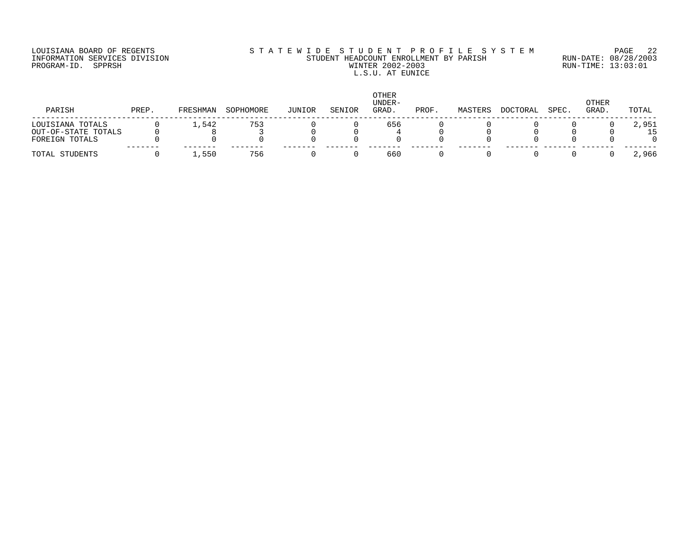# LOUISIANA BOARD OF REGENTS S T A T E W I D E S T U D E N T P R O F I L E S Y S T E M PAGE 22 INFORMATION SERVICES DIVISION STUDENT HEADCOUNT ENROLLMENT BY PARISH RUN-DATE: 08/28/2003 PROGRAM-ID. SPPRSH WINTER 2002-2003 RUN-TIME: 13:03:01 L.S.U. AT EUNICE

| PARISH              | PREP. | FRESHMAN | SOPHOMORE | JUNIOR | SENIOR | <b>OTHER</b><br>UNDER-<br>GRAD. | PROF. | MASTERS | DOCTORAL | SPEC. | <b>OTHER</b><br>GRAD. | TOTAL |
|---------------------|-------|----------|-----------|--------|--------|---------------------------------|-------|---------|----------|-------|-----------------------|-------|
| LOUISIANA TOTALS    |       | 1,542    | 753       |        |        | 656                             |       |         |          |       |                       | 2,951 |
| OUT-OF-STATE TOTALS |       |          |           |        |        |                                 |       |         |          |       |                       | 15    |
| FOREIGN TOTALS      |       |          |           |        |        |                                 |       |         |          |       |                       |       |
| TOTAL STUDENTS      |       | ,550     | 756       |        |        | 660                             |       |         |          |       |                       | 2,966 |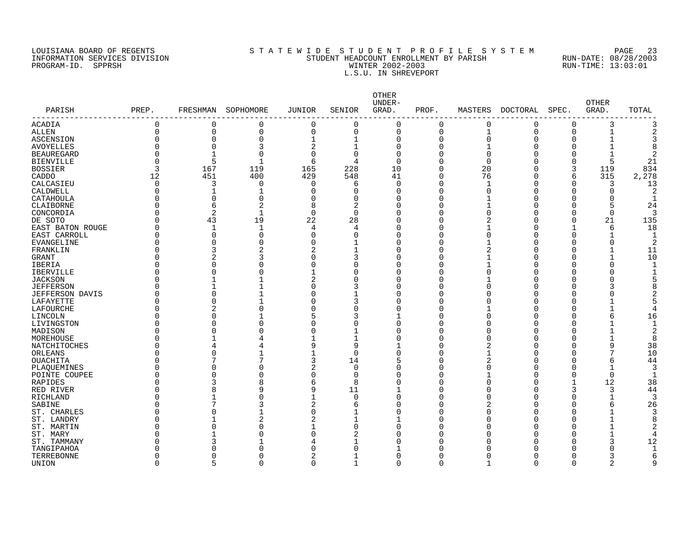PROGRAM-ID. SPPRSH

# LOUISIANA BOARD OF REGENTS SOURCOMERY AS T A T E W I D E S T U D E N T P R O F I L E S Y S T E M PAGE 23<br>STUDENT HEADCOUNT ENROLLMENT BY PARISH RUN-DATE: 08/28/2003 INFORMATION SERVICES DIVISION SANTO STUDENT HEADCOUNT ENROLLMENT BY PARISH STUDENT HEADCOUNT ENROLLMENT BY PARISH SUN-DATE: 08/28/2000<br>PROGRAM-ID. SPPRSH RUN-TIME: 13:03:01 L.S.U. IN SHREVEPORT

|                            |          |                |                |                |                | OTHER<br>UNDER- |              |                |          |              | <b>OTHER</b>   |                |
|----------------------------|----------|----------------|----------------|----------------|----------------|-----------------|--------------|----------------|----------|--------------|----------------|----------------|
| PARISH<br>---------------- | PREP.    | FRESHMAN       | SOPHOMORE      | JUNIOR         | SENIOR         | GRAD.           | PROF.        | MASTERS        | DOCTORAL | SPEC.        | GRAD.          | TOTAL          |
| <b>ACADIA</b>              | $\Omega$ | $\Omega$       | $\circ$        | $\Omega$       | $\overline{0}$ | $\overline{0}$  | 0            | $\mathbf 0$    | 0        | 0            | 3              | 3              |
| <b>ALLEN</b>               | $\Omega$ | $\mathbf 0$    | $\mathbf 0$    | $\mathbf 0$    | $\mathbf 0$    | 0               | 0            | 1              | 0        | $\mathbf 0$  | $\mathbf{1}$   | $\overline{2}$ |
| <b>ASCENSION</b>           |          | $\Omega$       | $\circ$        | $\mathbf 1$    | 1              | 0               | 0            | $\overline{0}$ | $\Omega$ | 0            | $\mathbf{1}$   | 3              |
| <b>AVOYELLES</b>           |          | $\Omega$       | 3              | $\overline{2}$ | 1              | 0               | 0            |                | Ω        | 0            |                | 8              |
| <b>BEAUREGARD</b>          |          | $\mathbf{1}$   | $\Omega$       | $\Omega$       | $\mathbf 0$    | 0               | 0            | $\Omega$       |          | $\Omega$     | $\mathbf{1}$   | $\overline{2}$ |
| <b>BIENVILLE</b>           |          | 5              | $\mathbf{1}$   | 6              | 4              | 0               | 0            | $\mathbf 0$    |          | $\Omega$     | 5              | 21             |
| <b>BOSSIER</b>             | 3        | 167            | 119            | 165            | 228            | 10              | 0            | 20             | O        | 3            | 119            | 834            |
| CADDO                      | 12       | 451            | 400            | 429            | 548            | 41              | 0            | 76             | 0        | 6            | 315            | 2,278          |
| CALCASIEU                  | $\Omega$ | 3              | $\overline{0}$ | $\Omega$       | 6              | 0               | 0            | $\mathbf{1}$   | O        | $\mathbf 0$  | 3              | 13             |
| CALDWELL                   |          |                |                | $\Omega$       | $\mathbf 0$    | 0               | 0            | $\Omega$       |          | 0            | $\mathbf 0$    | $\overline{2}$ |
| CATAHOULA                  |          | $\Omega$       | $\Omega$       | $\Omega$       | $\mathbf 0$    | 0               | 0            |                | O        | 0            | $\mathbf 0$    | 1              |
| CLAIBORNE                  |          | 6              | 2              | 8              | 2              | 0               | $\Omega$     |                | O        | $\Omega$     | 5              | 24             |
| CONCORDIA                  |          | $\overline{2}$ | $\mathbf{1}$   | $\Omega$       | $\Omega$       | 0               | $\Omega$     | $\Omega$       | O        | $\Omega$     | $\Omega$       | 3              |
| DE SOTO                    | U        | 43             | 19             | 22             | 28             | 0               | $\Omega$     | 2              | O        | $\Omega$     | 21             | 135            |
| EAST BATON ROUGE           |          | $\mathbf{1}$   | $\mathbf{1}$   | 4              | 4              | $\Omega$        | $\Omega$     |                | O        | $\mathbf{1}$ | 6              | 18             |
| EAST CARROLL               | O        | $\Omega$       | $\Omega$       | $\Omega$       | $\Omega$       | $\Omega$        | $\Omega$     | $\Omega$       | O        | $\Omega$     | $\mathbf{1}$   | 1              |
| <b>EVANGELINE</b>          |          | $\Omega$       | $\Omega$       | $\Omega$       | $\mathbf{1}$   | $\Omega$        | $\Omega$     |                |          | $\Omega$     | $\Omega$       | 2              |
| FRANKLIN                   | Ω        | 3              | $\overline{2}$ | $\mathfrak{D}$ | 1              | <sup>0</sup>    | $\Omega$     | $\mathcal{D}$  | Λ        | $\Omega$     | $\mathbf{1}$   | 11             |
| <b>GRANT</b>               |          | $\overline{c}$ | 3              | $\Omega$       | 3              | $\Omega$        | $\Omega$     |                |          | $\Omega$     | $\mathbf{1}$   | 10             |
| <b>IBERIA</b>              |          | $\Omega$       | $\Omega$       | $\Omega$       | $\Omega$       | $\Omega$        | $\Omega$     |                |          | n            | $\Omega$       | -1             |
| <b>IBERVILLE</b>           |          | $\Omega$       | $\sqrt{ }$     |                | $\Omega$       | 0               | 0            | $\cap$         |          | $\Omega$     | $\Omega$       | -1             |
| <b>JACKSON</b>             |          |                |                | $\overline{2}$ | $\Omega$       | $\Omega$        | $\Omega$     |                |          | $\cap$       | $\Omega$       |                |
| <b>JEFFERSON</b>           |          |                |                | $\Omega$       | 3              | 0               | $\Omega$     | ∩              |          | C            | 3              | ۶              |
| <b>JEFFERSON DAVIS</b>     |          | $\Omega$       |                | $\Omega$       | 1              | 0               | $\Omega$     | ∩              |          | $\cap$       | O              |                |
| LAFAYETTE                  |          | $\Omega$       |                | $\cap$         | 3              | <sup>0</sup>    | $\Omega$     |                |          | $\Omega$     |                | F              |
| LAFOURCHE                  |          | $\overline{2}$ | $\Omega$       | $\Omega$       | $\mathbf 0$    | 0               | $\Omega$     |                | Λ        | n            | $\mathbf{1}$   |                |
| LINCOLN                    |          | $\Omega$       |                | 5              | 3              | 1               | $\Omega$     |                | Ω        | n            | 6              | 16             |
| LIVINGSTON                 |          | $\Omega$       | $\Omega$       | $\cap$         | $\mathbf 0$    | 0               | $\Omega$     | ∩              | Λ        | n            | $\mathbf{1}$   | 1              |
| MADISON                    |          | $\Omega$       | $\cap$         | $\Omega$       | $\mathbf{1}$   | $\Omega$        | $\Omega$     | ∩              | Λ        | n            | $\mathbf{1}$   | $\overline{2}$ |
| MOREHOUSE                  |          | $\mathbf{1}$   | 4              |                | 1              | 0               | $\Omega$     | ∩              | Ω        | $\Omega$     | $\mathbf{1}$   | 8              |
| NATCHITOCHES               | ∩        | $\overline{4}$ | 4              | 9              | 9              | 1               | $\Omega$     | 2              | Λ        | $\Omega$     | 9              | 38             |
| ORLEANS                    |          | $\Omega$       |                |                | $\Omega$       | $\Omega$        | $\Omega$     |                |          | $\Omega$     | 7              | 10             |
| OUACHITA                   |          | 7              | 7              | 3              | 14             | 5               | $\Omega$     | 2              |          | n            | 6              | 44             |
| PLAOUEMINES                |          | $\Omega$       | $\Omega$       | $\overline{2}$ | $\mathbf 0$    | 0               | 0            | ∩              | Λ        | $\Omega$     | 1              | 3              |
| POINTE COUPEE              |          | $\Omega$       | $\Omega$       | $\Omega$       | $\mathbf 0$    | 0               | $\Omega$     |                | Λ        | $\Omega$     | $\mathbf 0$    | -1             |
| <b>RAPIDES</b>             |          | 3              | 8              | 6              | 8              | 0               | $\Omega$     | ∩              |          | -1           | 12             | 38             |
| RED RIVER                  |          | 8              | 9              | 9              | 11             | 1               | $\Omega$     |                |          | 3            | 3              | 44             |
| <b>RICHLAND</b>            |          |                | $\Omega$       | 1              | $\mathbf 0$    | 0               | O            | ∩              |          | $\Omega$     | 1              | 3              |
| SABINE                     |          | 7              | 3              | $\overline{2}$ | 6              | 0               | <sup>0</sup> | 2              |          | $\Omega$     | 6              | 26             |
| ST. CHARLES                |          | $\Omega$       | 1              | $\Omega$       | 1              | <sup>0</sup>    | O            |                |          | n            | 1              | 3              |
| ST. LANDRY                 |          | 1              | $\overline{2}$ | $\overline{2}$ | 1              | 1               | 0            | ∩              | O        | n            | $\mathbf{1}$   | 8              |
| ST. MARTIN                 |          | $\Omega$       | $\Omega$       | 1              | $\mathbf 0$    | $\Omega$        | O            |                | Ω        | n            | $\mathbf{1}$   | 2              |
| ST. MARY                   |          | $\mathbf{1}$   | O              | $\Omega$       | 2              | $\Omega$        | $\Omega$     |                |          | n            | $\mathbf{1}$   | 4              |
| ST. TAMMANY                |          | 3              |                | 4              |                | <sup>0</sup>    | U            |                |          | n            | 3              | 12             |
| TANGIPAHOA                 |          | $\Omega$       | $\Omega$       | <sup>n</sup>   | $\Omega$       | 1               | O            |                |          | U            | 0              | $\mathbf{1}$   |
| TERREBONNE                 |          | $\Omega$       | 0              | 2              |                | <sup>0</sup>    | <sup>0</sup> |                |          | n            | 3              | 6              |
| UNION                      | $\Omega$ | 5              | $\Omega$       | $\mathbf 0$    | 1              | 0               | 0            | $\mathbf 1$    | O        | $\mathbf 0$  | $\overline{a}$ | 9              |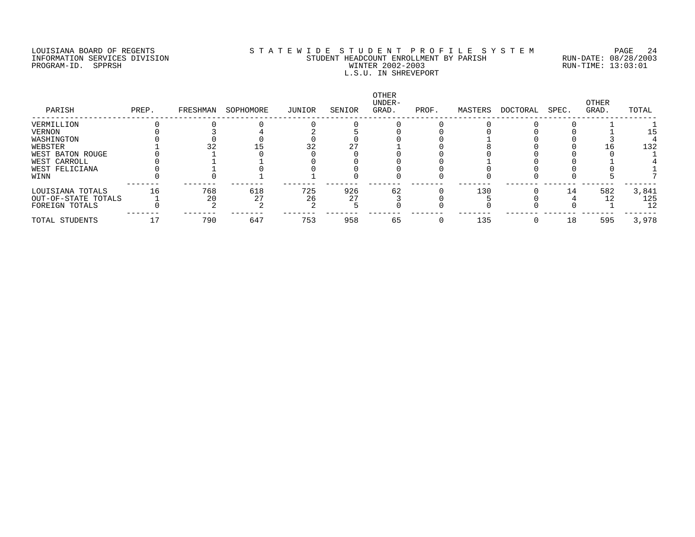PROGRAM-ID. SPPRSH

# LOUISIANA BOARD OF REGENTS SOURCOMER'S STATEWIDE STUDENT PROFILE SYSTEM PAGE 24<br>STUDENT HEADCOUNT ENROLLMENT BY PARISH RUN-DATE: 08/28/2003 INFORMATION SERVICES DIVISION SANT STUDENT HEADCOUNT ENROLLMENT BY PARISH STAND-DATE: 08/28/2003<br>PROGRAM-ID. SPPRSH RUN-TIME: 13:03:01 L.S.U. IN SHREVEPORT

| PARISH              | PREP. | FRESHMAN | SOPHOMORE | JUNIOR | SENIOR | OTHER<br>UNDER-<br>GRAD. | PROF. | MASTERS | DOCTORAL | SPEC. | OTHER<br>GRAD. | TOTAL |
|---------------------|-------|----------|-----------|--------|--------|--------------------------|-------|---------|----------|-------|----------------|-------|
| VERMILLION          |       |          |           |        |        |                          |       |         |          |       |                |       |
| VERNON              |       |          |           |        |        |                          |       |         |          |       |                |       |
| WASHINGTON          |       |          |           |        |        |                          |       |         |          |       |                |       |
| WEBSTER             |       |          |           |        |        |                          |       |         |          |       |                | 132   |
| WEST BATON ROUGE    |       |          |           |        |        |                          |       |         |          |       |                |       |
| WEST CARROLL        |       |          |           |        |        |                          |       |         |          |       |                |       |
| WEST FELICIANA      |       |          |           |        |        |                          |       |         |          |       |                |       |
| WINN                |       |          |           |        |        |                          |       |         |          |       |                |       |
| LOUISIANA TOTALS    | 16    | 768      | 618       | 725    | 926    | 62                       |       | 130     |          | 14    | 582            | 3,841 |
| OUT-OF-STATE TOTALS |       | 20       | 27        | 26     | 27     |                          |       |         |          |       |                | 125   |
| FOREIGN TOTALS      |       |          |           |        |        |                          |       |         |          |       |                | 12    |
| TOTAL STUDENTS      |       | 790      | 647       | 753    | 958    | 65                       |       | 135     | $\Omega$ | 18    | 595            | 3,978 |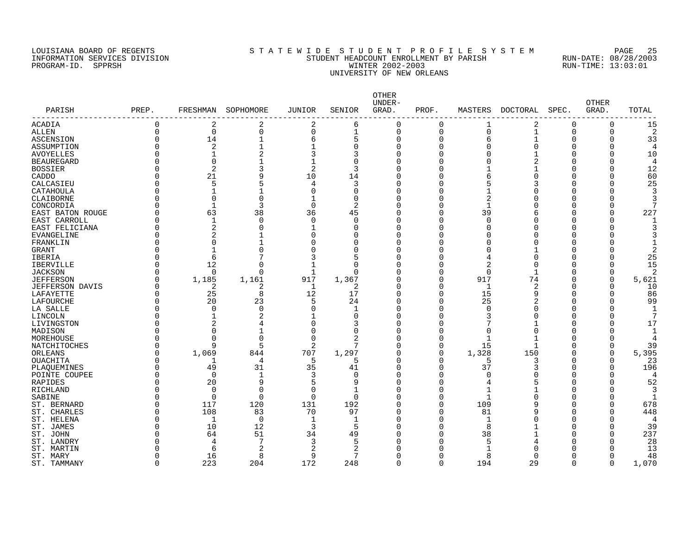# LOUISIANA BOARD OF REGENTS S T A T E W I D E S T U D E N T P R O F I L E S Y S T E M PAGE 25 INFORMATION SERVICES DIVISION STUDENT HEADCOUNT ENROLLMENT BY PARISH RUN-DATE: 08/28/2003 PROGRAM-ID. SPPRSH WINTER 2002-2003 RUN-TIME: 13:03:01 UNIVERSITY OF NEW ORLEANS

| PARISH                        | PREP.    | FRESHMAN       | SOPHOMORE      | <b>JUNIOR</b> | SENIOR       | OTHER<br>UNDER-<br>GRAD. | PROF.          | MASTERS      | DOCTORAL       | SPEC.          | <b>OTHER</b><br>GRAD. | TOTAL          |
|-------------------------------|----------|----------------|----------------|---------------|--------------|--------------------------|----------------|--------------|----------------|----------------|-----------------------|----------------|
| ------------<br>ACADIA        | 0        | 2              | $\overline{2}$ | 2             | 6            | $\mathbf 0$              | $\mathbf 0$    | 1            | 2              | 0              | $\mathbf 0$           | 15             |
| <b>ALLEN</b>                  | $\Omega$ | $\mathbf 0$    | $\mathbf 0$    | $\Omega$      | 1            | $\Omega$                 | $\overline{0}$ | 0            | $\mathbf{1}$   | $\overline{0}$ | $\mathbf 0$           | $\overline{2}$ |
| <b>ASCENSION</b>              | $\Omega$ | 14             | $\mathbf{1}$   | 6             | 5            | $\Omega$                 | 0              | 6            |                | $\Omega$       | $\Omega$              | 33             |
| ASSUMPTION                    |          | $\overline{2}$ |                |               | $\Omega$     | O                        | $\Omega$       | $\Omega$     | $\Omega$       | $\Omega$       | $\Omega$              | 4              |
| <b>AVOYELLES</b>              |          | $\mathbf{1}$   | 2              |               | 3            |                          | $\Omega$       | $\Omega$     |                | $\Omega$       | $\Omega$              | 10             |
| <b>BEAUREGARD</b>             |          | $\mathbf 0$    |                |               | $\Omega$     |                          | O              | ∩            |                | $\Omega$       | $\Omega$              | 4              |
| <b>BOSSIER</b>                |          | $\overline{2}$ | 3              | 2             | 3            |                          | 0              |              |                | $\Omega$       | $\Omega$              | 12             |
| CADDO                         |          | 21             | 9              | 10            | 14           |                          | O              | 6            |                | $\Omega$       | $\Omega$              | 60             |
| CALCASIEU                     |          | 5              |                | 4             | 3            | ∩                        | 0              | 5            | 3              | O              | $\Omega$              | 25             |
| CATAHOULA                     |          | 1              |                | $\Omega$      | $\Omega$     | Λ                        | O              |              |                | $\Omega$       | $\Omega$              | 3              |
| CLAIBORNE                     |          | $\Omega$       | $\Omega$       | $\mathbf 1$   | $\Omega$     |                          | 0              | 2            |                | $\Omega$       | $\Omega$              | 3              |
| CONCORDIA                     |          | $\mathbf{1}$   | 3              | $\Omega$      | 2            |                          | $\Omega$       | $\mathbf{1}$ |                | $\Omega$       | $\Omega$              | 7              |
| EAST BATON ROUGE              |          | 63             | 38             | 36            | 45           |                          | $\Omega$       | 39           | 6              | $\Omega$       | $\Omega$              | 227            |
| EAST CARROLL                  | O        | 1              | $\Omega$       | $\Omega$      | $\Omega$     |                          | O              | $\Omega$     | O              | $\Omega$       | $\Omega$              | 1              |
| EAST FELICIANA                |          | $\overline{2}$ | $\Omega$       | $\mathbf{1}$  | $\Omega$     |                          | O              | O            | $\Omega$       | $\Omega$       | $\Omega$              | 3              |
| <b>EVANGELINE</b>             |          | $\overline{a}$ |                | $\Omega$      | ∩            | $\cap$                   | O              | U            | $\cap$         | $\Omega$       | $\Omega$              | 3              |
| FRANKLIN                      |          | $\Omega$       |                | n             | ∩            |                          | O              | U            | $\cap$         | $\Omega$       | $\Omega$              | $\mathbf{1}$   |
|                               |          | $\mathbf{1}$   | $\Omega$       |               | $\Omega$     |                          | 0              | O            |                | $\Omega$       | $\Omega$              | $\overline{2}$ |
| <b>GRANT</b><br><b>IBERIA</b> |          | 6              |                |               |              |                          | 0              | 4            | $\cap$         | $\Omega$       | $\Omega$              | 25             |
|                               |          |                | $\cap$         |               | $\Omega$     |                          |                |              | $\Omega$       |                |                       |                |
| <b>IBERVILLE</b>              |          | 12             | $\cap$         |               |              |                          | $\Omega$       | 2            |                | $\Omega$       | $\Omega$              | 15             |
| <b>JACKSON</b>                |          | $\Omega$       |                |               | ∩            |                          | 0              | $\Omega$     |                | $\Omega$       | 0                     | 2              |
| <b>JEFFERSON</b>              |          | 1,185          | 1,161          | 917           | 1,367        |                          | 0              | 917          | 74             | $\Omega$       | 0                     | 5,621          |
| <b>JEFFERSON DAVIS</b>        |          | 2              | 2              | 1             | 2            | Λ<br>O                   | 0              | $\mathbf{1}$ | 2              | $\Omega$       | $\Omega$              | 10             |
| LAFAYETTE                     | O        | 25             | 8              | 12            | 17           |                          | $\mathbf 0$    | 15           | 9              | $\Omega$       | $\mathbf 0$           | 86             |
| LAFOURCHE                     |          | 20             | 23             | 5             | 24           | Λ                        | $\mathbf 0$    | 25           | $\overline{2}$ | $\Omega$       | $\Omega$              | 99             |
| LA SALLE                      |          | $\mathbf 0$    | $\mathbf 0$    | $\Omega$      | 1            | Λ                        | $\mathbf 0$    | 0            | $\Omega$       | $\Omega$       | $\Omega$              | $\mathbf{1}$   |
| LINCOLN                       |          | $\mathbf{1}$   |                |               | $\Omega$     |                          | $\Omega$       | 3            | $\Omega$       | $\Omega$       | $\Omega$              | 7              |
| LIVINGSTON                    |          | $\overline{2}$ | 4              | $\Omega$      | 3            |                          | $\Omega$       | 7            |                | $\Omega$       | $\Omega$              | 17             |
| MADISON                       |          | $\Omega$       |                | <sup>n</sup>  | $\Omega$     |                          | O              | U            | $\cap$         | ∩              | $\Omega$              | $\mathbf{1}$   |
| MOREHOUSE                     |          | $\Omega$       | $\cap$         | $\Omega$      | 2            |                          | $\Omega$       | 1            |                | $\Omega$       | $\Omega$              | $\overline{4}$ |
| NATCHITOCHES                  |          | 9              | $\overline{5}$ | 2             | 7            |                          | $\Omega$       | 15           | -1             | $\Omega$       | $\Omega$              | 39             |
| ORLEANS                       |          | 1,069          | 844            | 707           | 1,297        |                          | $\mathbf 0$    | 1,328        | 150            | $\Omega$       | $\mathbf 0$           | 5,395          |
| OUACHITA                      |          | $\mathbf{1}$   | 4              | 5             | 5            | Λ                        | 0              | 5            | 3              | $\Omega$       | 0                     | 23             |
| PLAQUEMINES                   |          | 49             | 31             | 35            | 41           |                          | 0              | 37           | 3              | $\Omega$       | $\mathbf 0$           | 196            |
| POINTE COUPEE                 |          | $\mathbf 0$    | -1             |               | O            |                          | 0              | 0            |                | $\Omega$       | $\Omega$              | 4              |
| RAPIDES                       |          | 20             | 9              |               | 9            | Λ                        | 0              | 4            |                | $\Omega$       | $\Omega$              | 52             |
| RICHLAND                      |          | $\mathbf 0$    | $\Omega$       | $\Omega$      |              |                          | $\Omega$       | 1            |                | $\Omega$       | $\Omega$              | 3              |
| <b>SABINE</b>                 |          | $\Omega$       | $\Omega$       | $\Omega$      | $\Omega$     | Λ                        | $\Omega$       | 1            |                | $\Omega$       | $\Omega$              | $\mathbf{1}$   |
| ST. BERNARD                   | $\Omega$ | 117            | 120            | 131           | 192          | $\Omega$                 | $\mathbf 0$    | 109          | a              | $\Omega$       | $\Omega$              | 678            |
| ST. CHARLES                   |          | 108            | 83             | 70            | 97           | Λ                        | $\mathbf 0$    | 81           |                | $\Omega$       | $\Omega$              | 448            |
| ST. HELENA                    |          | $\mathbf 1$    | $\mathbf 0$    | $\mathbf{1}$  | $\mathbf{1}$ | O                        | $\mathbf 0$    | 1            |                | $\Omega$       | $\Omega$              | 4              |
| ST. JAMES                     |          | 10             | 12             | 3             | 5            | Λ                        | $\Omega$       | 8            |                | $\Omega$       | $\Omega$              | 39             |
| ST. JOHN                      |          | 64             | 51             | 34            | 49           |                          | $\Omega$       | 38           |                | $\Omega$       | $\Omega$              | 237            |
| ST. LANDRY                    |          | 4              | 7              | 3             | 5            |                          | U              | 5            |                | $\Omega$       | $\Omega$              | 28             |
| MARTIN<br>ST.                 |          | 6              | $\overline{2}$ | 2             | 2            |                          | U              | 1            |                | $\Omega$       | $\Omega$              | 13             |
| ST. MARY                      |          | 16             | 8              | 9             | 7            |                          | O              | 8            | ∩              | $\Omega$       | $\Omega$              | 48             |
| ST. TAMMANY                   | $\Omega$ | 223            | 204            | 172           | 248          | $\Omega$                 | $\Omega$       | 194          | 29             | $\Omega$       | $\Omega$              | 1,070          |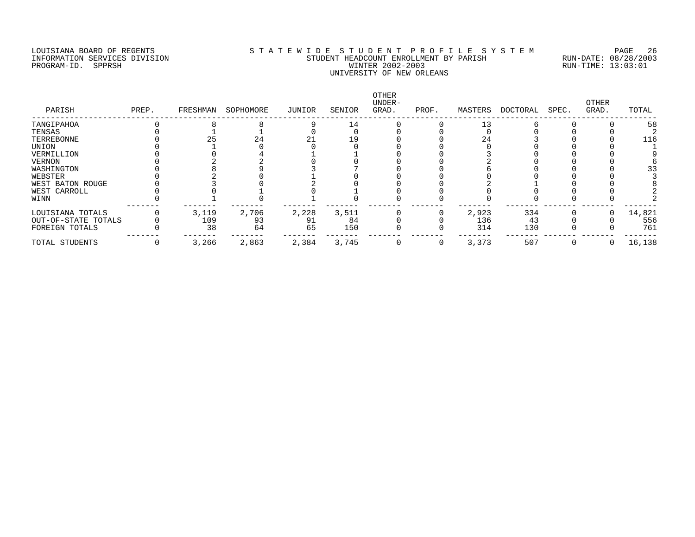## LOUISIANA BOARD OF REGENTS SOURCOMERTY AS T A T E W I D E S T U D E N T P R O F I L E S Y S T E M PAGE 26 PAGE<br>STUDENT HEADCOUNT ENROLLMENT BY PARISH RUN-DATE: 08/28/2003 ITUDENT HEADCOUNT ENROLLMENT BY PARISH WINTER 2002-2003 PROGRAM-ID. SPPRSH WINTER 2002-2003 RUN-TIME: 13:03:01 UNIVERSITY OF NEW ORLEANS

| PARISH              | PREP. | FRESHMAN | SOPHOMORE | JUNIOR | SENIOR | <b>OTHER</b><br>UNDER-<br>GRAD. | PROF. | MASTERS | DOCTORAL | SPEC. | OTHER<br>GRAD. | TOTAL  |
|---------------------|-------|----------|-----------|--------|--------|---------------------------------|-------|---------|----------|-------|----------------|--------|
| TANGIPAHOA          |       |          |           |        | 14     |                                 |       | 13      |          |       |                | 58     |
| TENSAS              |       |          |           |        |        |                                 |       |         |          |       |                |        |
| TERREBONNE          |       |          | 24        |        | 19     |                                 |       | 24      |          |       |                | 116    |
| UNION               |       |          |           |        |        |                                 |       |         |          |       |                |        |
| VERMILLION          |       |          |           |        |        |                                 |       |         |          |       |                |        |
| VERNON              |       |          |           |        |        |                                 |       |         |          |       |                |        |
| WASHINGTON          |       |          |           |        |        |                                 |       |         |          |       |                |        |
| WEBSTER             |       |          |           |        |        |                                 |       |         |          |       |                |        |
| WEST BATON ROUGE    |       |          |           |        |        |                                 |       |         |          |       |                |        |
| WEST CARROLL        |       |          |           |        |        |                                 |       |         |          |       |                |        |
| WINN                |       |          |           |        |        |                                 |       |         |          |       |                |        |
| LOUISIANA TOTALS    |       | 3,119    | 2,706     | 2,228  | 3,511  |                                 |       | 2,923   | 334      |       |                | 14,821 |
| OUT-OF-STATE TOTALS |       | 109      | 93        | 91     | 84     |                                 |       | 136     | 43       |       |                | 556    |
| FOREIGN TOTALS      |       | 38       | 64        | 65     | 150    |                                 |       | 314     | 130      |       |                | 761    |
| TOTAL STUDENTS      |       | 3,266    | 2,863     | 2,384  | 3,745  |                                 |       | 3,373   | 507      |       | 0              | 16,138 |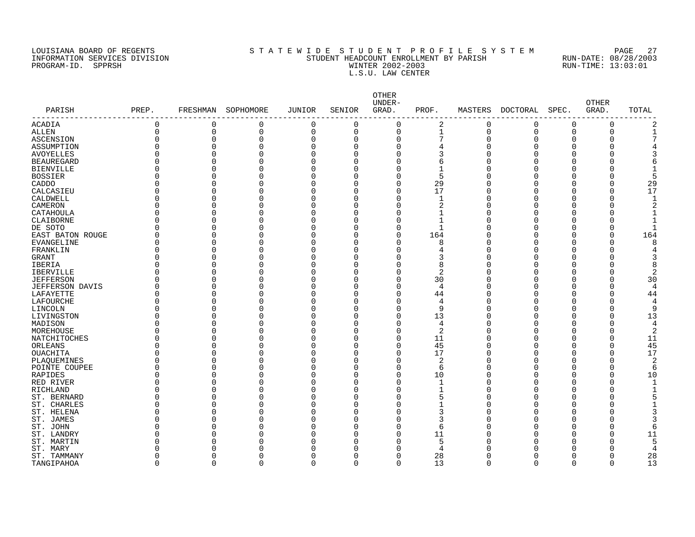PROGRAM-ID. SPPRSH

# LOUISIANA BOARD OF REGENTS STATEWIDE STUDENT PROFILE SYSTEM PAGE 27 INFORMATION SERVICES DIVISION SUNDERT STUDENT HEADCOUNT ENROLLMENT BY PARISH SUN-DATE: 08/28/2003<br>PROGRAM-ID. SPPRSH RUN-TIME: 13:03:01 L.S.U. LAW CENTER

| PARISH                 | PREP.    | FRESHMAN     | SOPHOMORE | <b>JUNIOR</b> | SENIOR       | OTHER<br>UNDER-<br>GRAD. | PROF.        | MASTERS  | DOCTORAL | SPEC.    | <b>OTHER</b><br>GRAD. | TOTAL            |
|------------------------|----------|--------------|-----------|---------------|--------------|--------------------------|--------------|----------|----------|----------|-----------------------|------------------|
| ACADIA                 | $\Omega$ | 0            | 0         | 0             | $\mathbf 0$  | 0                        | 2            | 0        | 0        | 0        | 0                     | 2                |
| ALLEN                  | $\Omega$ | $\mathbf 0$  | 0         | $\Omega$      | $\mathbf 0$  | $\mathbf 0$              | $\mathbf{1}$ | $\Omega$ | 0        | 0        | 0                     | $\mathbf{1}$     |
| ASCENSION              |          | $\mathbf 0$  | 0         | $\Omega$      | 0            | $\mathbf 0$              |              | O        | 0        | 0        | 0                     | 7                |
| ASSUMPTION             |          | $\Omega$     | U         | $\Omega$      | $\Omega$     | $\Omega$                 |              |          | 0        | O        | 0                     |                  |
| <b>AVOYELLES</b>       |          | $\Omega$     | U         | $\Omega$      | $\Omega$     | O                        | 3            |          | 0        | O        | 0                     | 3                |
| <b>BEAUREGARD</b>      |          | $\Omega$     |           | 0             | $\Omega$     | O                        | 6            |          | O        | O        | 0                     | 6                |
| <b>BIENVILLE</b>       |          | $\Omega$     |           | 0             | $\Omega$     | O                        | -1           |          | O        | U        | 0                     |                  |
| <b>BOSSIER</b>         |          | $\Omega$     |           | 0             | $\Omega$     | $\Omega$                 | 5            |          | O        | U        | 0                     | 5                |
| CADDO                  |          | $\Omega$     | U         | 0             | 0            | 0                        | 29           |          | 0        | 0        | 0                     | 29               |
| CALCASIEU              |          | $\Omega$     | O         | 0             | $\Omega$     | $\Omega$                 | 17           |          | 0        | O        | 0                     | 17               |
| CALDWELL               |          | $\Omega$     | O         | 0             | $\Omega$     | $\Omega$                 | $\mathbf 1$  |          | 0        | 0        | 0                     | $\mathbf{1}$     |
| CAMERON                |          | $\Omega$     | U         | $\Omega$      | $\Omega$     | $\Omega$                 | 2            |          | 0        | O        | 0                     | $\overline{2}$   |
| CATAHOULA              |          | $\Omega$     |           | $\Omega$      | $\Omega$     | $\Omega$                 | $\mathbf 1$  |          | $\Omega$ | U        | 0                     | $\mathbf{1}$     |
| CLAIBORNE              |          | $\Omega$     |           | 0             | $\Omega$     | $\Omega$                 | $\mathbf{1}$ |          | 0        | U        | 0                     | $\mathbf{1}$     |
| DE SOTO                |          | $\Omega$     |           | O             | $\Omega$     | $\Omega$                 | $\mathbf{1}$ |          | O        | U        | 0                     | $\mathbf{1}$     |
| EAST BATON ROUGE       |          | $\Omega$     | U         | 0             | $\Omega$     | $\mathbf 0$              | 164          |          | O        | $\Omega$ | $\Omega$              | 164              |
| EVANGELINE             |          | $\Omega$     |           | 0             | $\Omega$     | $\Omega$                 | 8            |          | O        | U        | 0                     | 8                |
| FRANKLIN               |          | $\Omega$     | U         | 0             | $\Omega$     | $\Omega$                 |              |          | 0        | U        | 0                     | 4                |
| <b>GRANT</b>           |          | O            |           | 0             | $\Omega$     | O                        | 3            |          | 0        | U        | 0                     | 3                |
| IBERIA                 |          | $\Omega$     | U         | 0             | $\Omega$     | O                        | 8            |          | 0        | U        | 0                     | 8                |
| IBERVILLE              |          | $\Omega$     |           | 0             | $\Omega$     | O                        | 2            |          | 0        | U        | 0                     | 2                |
| <b>JEFFERSON</b>       |          | $\Omega$     |           | 0             | $\Omega$     | $\Omega$                 | 30           |          | 0        | U        | 0                     | 30               |
| <b>JEFFERSON DAVIS</b> |          | $\Omega$     |           | 0             | $\Omega$     | $\Omega$                 | 4            |          | 0        | O        | 0                     | 4                |
| LAFAYETTE              |          | $\Omega$     | O         | 0             | $\Omega$     | $\Omega$                 | 44           |          | 0        | 0        | 0                     | 44               |
| LAFOURCHE              |          | $\Omega$     | O         | $\Omega$      | 0            | $\Omega$                 | 4            |          | 0        | O        | 0                     | 4                |
| LINCOLN                |          | $\Omega$     | 0         | 0             | $\Omega$     | $\Omega$                 | 9            |          | 0        | 0        | 0                     | 9                |
| LIVINGSTON             |          | $\Omega$     | O         | $\Omega$      | $\Omega$     | $\Omega$                 | 13           |          | 0        | 0        | 0                     | 13               |
| MADISON                |          | $\Omega$     | O         | 0             | $\Omega$     | $\Omega$                 | 4            |          | $\Omega$ | O        | 0                     | 4                |
| MOREHOUSE              |          | $\Omega$     | U         | O             | $\Omega$     | $\Omega$                 | 2            |          | O        | U        | U                     | $\boldsymbol{2}$ |
| NATCHITOCHES           |          | $\Omega$     |           | 0             | $\Omega$     | $\Omega$                 | 11           |          | O        | O        | 0                     | 11               |
| ORLEANS                |          | $\Omega$     | U         | 0             | $\Omega$     | $\Omega$                 | 45           |          | O        | $\Omega$ | 0                     | 45               |
| OUACHITA               |          | O            |           | 0             | $\Omega$     | $\Omega$                 | 17           |          | O        | O        | 0                     | 17               |
| PLAQUEMINES            |          | $\Omega$     | O         | 0             | $\Omega$     | $\Omega$                 | 2            |          | 0        | U        | 0                     | $\overline{2}$   |
| POINTE COUPEE          |          | $\Omega$     |           | 0             | $\Omega$     | 0                        | 6            |          | 0        | O        | 0                     | 6                |
| RAPIDES                |          | $\Omega$     | U         | 0             | $\Omega$     | $\Omega$                 | 10           |          | 0        | $\Omega$ | 0                     | 10               |
| RED RIVER              |          | $\Omega$     |           | 0             | $\Omega$     | O                        | 1            |          | 0        | U        | 0                     | 1                |
| RICHLAND               |          | $\Omega$     |           | 0             | $\Omega$     | $\Omega$                 |              |          | 0        | O        | 0                     |                  |
| ST. BERNARD            |          | $\Omega$     |           | 0             | $\Omega$     | O                        | 5            |          | 0        | O        | O                     | 5                |
| ST. CHARLES            |          | 0            | O         | 0             | $\Omega$     | $\Omega$                 | 1            |          | 0        | 0        | 0                     |                  |
| ST. HELENA             |          | 0            |           | 0             | $\Omega$     | $\Omega$                 | 3            |          | 0        | U        | O                     | 3                |
| ST. JAMES              |          | $\Omega$     | 0         | 0             | $\Omega$     | $\Omega$                 | 3            |          | 0        | 0        | 0                     | 3                |
| ST. JOHN               |          | O            | U         | O             | $\Omega$     | $\Omega$                 | 6            |          | $\Omega$ | U        | 0                     | 6                |
| ST. LANDRY             |          | O            |           | C             | <sup>n</sup> | $\Omega$                 | 11           |          | U        | U        | 0                     | 11               |
| ST. MARTIN             |          | ∩            |           | O             | O            | $\cap$                   | 5            |          | U        | U        | U                     | 5                |
| ST. MARY               |          |              |           | O             | O            | U                        | 4            |          | Ω        | Λ        | U                     | 4                |
| ST. TAMMANY            |          | <sup>0</sup> | O         | 0             | 0            | $\Omega$                 | 28           |          | O        | 0        | 0                     | 28               |
| TANGIPAHOA             | $\Omega$ | $\Omega$     | $\Omega$  | 0             | $\mathbf 0$  | $\Omega$                 | 13           | $\Omega$ | 0        | 0        | $\Omega$              | 13               |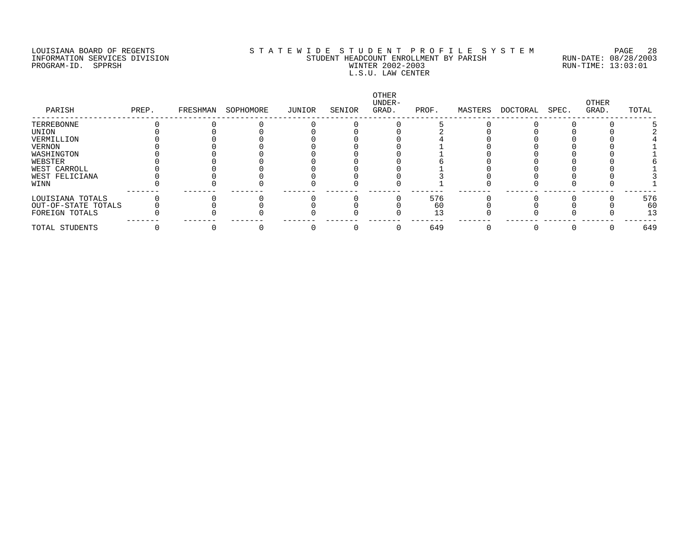# LOUISIANA BOARD OF REGENTS S T A T E W I D E S T U D E N T P R O F I L E S Y S T E M PAGE 28 INFORMATION SERVICES DIVISION STUDENT HEADCOUNT ENROLLMENT BY PARISH RUN-DATE: 08/28/2003 PROGRAM-ID. SPPRSH WINTER 2002-2003 RUN-TIME: 13:03:01 L.S.U. LAW CENTER

| PARISH              | PREP. | FRESHMAN | SOPHOMORE | JUNIOR | SENIOR | <b>OTHER</b><br>UNDER-<br>GRAD. | PROF. | MASTERS | DOCTORAL | SPEC. | OTHER<br>GRAD. | TOTAL |
|---------------------|-------|----------|-----------|--------|--------|---------------------------------|-------|---------|----------|-------|----------------|-------|
| TERREBONNE          |       |          |           |        |        |                                 |       |         |          |       |                |       |
| UNION               |       |          |           |        |        |                                 |       |         |          |       |                |       |
| VERMILLION          |       |          |           |        |        |                                 |       |         |          |       |                |       |
| VERNON              |       |          |           |        |        |                                 |       |         |          |       |                |       |
| WASHINGTON          |       |          |           |        |        |                                 |       |         |          |       |                |       |
| WEBSTER             |       |          |           |        |        |                                 |       |         |          |       |                |       |
| WEST CARROLL        |       |          |           |        |        |                                 |       |         |          |       |                |       |
| WEST FELICIANA      |       |          |           |        |        |                                 |       |         |          |       |                |       |
| WINN                |       |          |           |        |        |                                 |       |         |          |       |                |       |
| LOUISIANA TOTALS    |       |          |           |        |        |                                 | 576   |         |          |       |                | 576   |
| OUT-OF-STATE TOTALS |       |          |           |        |        |                                 | 60    |         |          |       |                | 60    |
| FOREIGN TOTALS      |       |          |           |        |        |                                 | 13    |         |          |       |                | 13    |
| TOTAL STUDENTS      |       |          |           |        |        |                                 | 649   |         |          |       |                | 649   |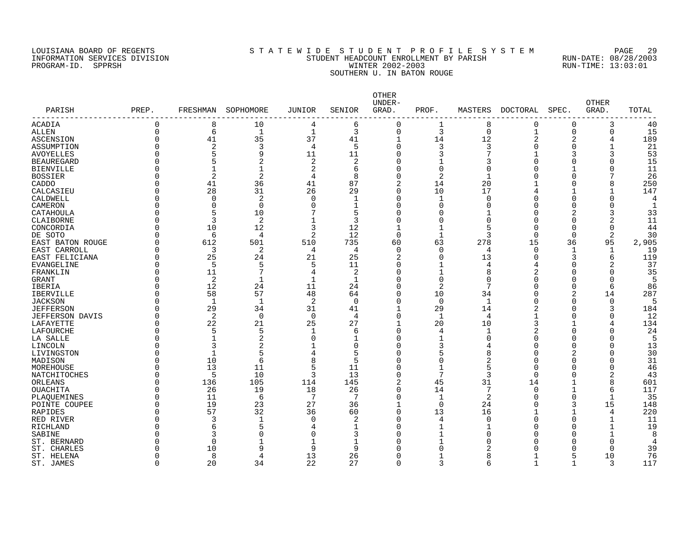# LOUISIANA BOARD OF REGENTS S T A T E W I D E S T U D E N T P R O F I L E S Y S T E M PAGE 29 INFORMATION SERVICES DIVISION STUDENT HEADCOUNT ENROLLMENT BY PARISH RUN-DATE: 08/28/2003 PROGRAM-ID. SPPRSH WINTER 2002-2003 RUN-TIME: 13:03:01 SOUTHERN U. IN BATON ROUGE

| PARISH                 | PREP.    | FRESHMAN       | SOPHOMORE | JUNIOR         | SENIOR       | OTHER<br>UNDER-<br>GRAD. | PROF.          | MASTERS        | DOCTORAL       | SPEC.        | <b>OTHER</b><br>GRAD. | TOTAL |
|------------------------|----------|----------------|-----------|----------------|--------------|--------------------------|----------------|----------------|----------------|--------------|-----------------------|-------|
| ACADIA                 | $\Omega$ | 8              | 10        | 4              | 6            | 0                        | 1              | 8              | $\Omega$       | $\Omega$     | 3                     | 40    |
| ALLEN                  | $\Omega$ | 6              | 1         | $\mathbf{1}$   | 3            | $\mathbf 0$              | 3              | $\mathbf 0$    | $\mathbf{1}$   | $\Omega$     | 0                     | 15    |
| ASCENSION              | $\Omega$ | 41             | 35        | 37             | 41           |                          | 14             | 12             | $\overline{2}$ | 2            | 4                     | 189   |
| ASSUMPTION             | $\Omega$ | $\overline{2}$ | 3         | $\overline{4}$ | 5            | $\Omega$                 | 3              | 3              | O              | $\Omega$     | $\mathbf{1}$          | 21    |
| <b>AVOYELLES</b>       | $\Omega$ | 5              | 9         | 11             | 11           | $\Omega$                 | 3              | 7              |                | 3            | 3                     | 53    |
| <b>BEAUREGARD</b>      | ∩        |                | 2         | 2              | 2            |                          |                | 3              |                | O            | O                     | 15    |
| <b>BIENVILLE</b>       | $\Omega$ |                | 1         | 2              | 6            |                          | 0              | $\Omega$       |                |              | 0                     | 11    |
| <b>BOSSIER</b>         | $\Omega$ | $\overline{2}$ | 2         | 4              | 8            | O                        | $\overline{2}$ |                |                | $\Omega$     |                       | 26    |
| CADDO                  | $\Omega$ | 41             | 36        | 41             | 87           | $\overline{2}$           | 14             | 20             |                | U            | 8                     | 250   |
| CALCASIEU              | ∩        | 28             | 31        | 26             | 29           | ∩                        | 10             | 17             |                |              | 1                     | 147   |
| CALDWELL               | $\Omega$ | $\Omega$       | 2         | 0              | 1            | $\Omega$                 | 1              | $\Omega$       |                | $\Omega$     | 0                     |       |
| CAMERON                | $\Omega$ | $\Omega$       | $\Omega$  | 0              | 1            | ∩                        | 0              | $\Omega$       |                | O            | 0                     |       |
| CATAHOULA              | $\Omega$ | 5              | 10        | 7              | 5            | $\Omega$                 | 0              |                | O              | 2            | 3                     | 33    |
| CLAIBORNE              | ∩        | 3              | 2         | $\mathbf{1}$   | 3            | $\Omega$                 | $\Omega$       | $\Omega$       | Λ              | $\Omega$     | 2                     | 11    |
| CONCORDIA              | $\Omega$ | 10             | 12        | 3              | 12           |                          | 1              | 5              | O              | $\Omega$     | 0                     | 44    |
| DE SOTO                | ∩        | 6              | 4         | 2              | 12           | $\Omega$                 | $\mathbf{1}$   | 3              | $\Omega$       | $\Omega$     | 2                     | 30    |
| EAST BATON ROUGE       | $\Omega$ | 612            | 501       | 510            | 735          | 60                       | 63             | 278            | 15             | 36           | 95                    | 2,905 |
| EAST CARROLL           | $\Omega$ | 3              | 2         | 4              | 4            | $\Omega$                 | $\Omega$       | $\overline{4}$ | $\Omega$       | 1            | $\mathbf{1}$          | 19    |
| EAST FELICIANA         | $\Omega$ | 25             | 24        | 21             | 25           | 2                        | 0              | 13             | U              | 3            | 6                     | 119   |
| EVANGELINE             | $\Omega$ | 5              | 5         | 5              | 11           | U                        | 1              | 4              | 4              | U            | 2                     | 37    |
| FRANKLIN               | $\Omega$ | 11             | 7         | 4              | 2            | ∩                        | 1              | 8              | 2              | O            | O                     | 35    |
| <b>GRANT</b>           | $\Omega$ | 2              | 1         | 1              | 1            | U                        | 0              | $\Omega$       |                | O            | $\Omega$              |       |
| <b>IBERIA</b>          | $\Omega$ | 12             | 24        | 11             | 24           | $\Omega$                 | $\overline{2}$ | 7              |                | $\Omega$     | 6                     | 86    |
| <b>IBERVILLE</b>       | $\Omega$ | 58             | 57        | 48             | 64           | $\Omega$                 | 10             | 34             |                | 2            | 14                    | 287   |
| <b>JACKSON</b>         | $\Omega$ | $\mathbf{1}$   | 1         | 2              | $\mathbf 0$  | $\Omega$                 | $\mathbf 0$    | $\mathbf{1}$   |                | $\Omega$     | 0                     |       |
| <b>JEFFERSON</b>       | $\Omega$ | 29             | 34        | 31             | 41           |                          | 29             | 14             |                | ∩            | 3                     | 184   |
| <b>JEFFERSON DAVIS</b> | $\Omega$ | 2              | 0         | $\overline{0}$ | 4            | $\Omega$                 | 1              | 4              |                | O            | 0                     | 12    |
| LAFAYETTE              | $\Omega$ | 22             | 21        | 25             | 27           |                          | 20             | 10             | ζ              |              | 4                     | 134   |
| LAFOURCHE              | ∩        | 5              | 5         | $\mathbf{1}$   | 6            | ∩                        | 4              |                |                | U            | U                     | 24    |
| LA SALLE               | $\Omega$ |                | 2         | $\mathbf 0$    | $\mathbf{1}$ | U                        |                | ∩              |                | U            | <sup>0</sup>          |       |
| LINCOLN                | $\Omega$ | 3              | 2         |                | $\Omega$     | ∩                        | 3              |                | Λ              | $\Omega$     | O                     | 13    |
| LIVINGSTON             | $\Omega$ |                | 5         | 4              | 5            | Λ                        | 5              | 8              |                | 2            | 0                     | 30    |
| MADISON                | $\Omega$ | 10             | 6         | 8              | 5            | ∩                        | 0              | $\overline{2}$ | Ω              | $\Omega$     | $\Omega$              | 31    |
| MOREHOUSE              | ∩        | 13             | 11        | 5              | 11           | O                        | $\mathbf{1}$   | 5              | $\Omega$       | $\Omega$     | 0                     | 46    |
| NATCHITOCHES           | $\Omega$ | 5              | 10        | 3              | 13           | $\cap$                   | 7              | 3              | $\Omega$       | $\Omega$     | 2                     | 43    |
| ORLEANS                | $\Omega$ | 136            | 105       | 114            | 145          |                          | 45             | 31             | 14             | 1            | 8                     | 601   |
| <b>OUACHITA</b>        | ∩        | 26             | 19        | 18             | 26           | U                        | 14             |                | $\Omega$       | -1           | 6                     | 117   |
| PLAOUEMINES            | $\Omega$ | 11             | 6         | 7              | 7            | $\Omega$                 | $\mathbf{1}$   | $\overline{2}$ | Ω              | 0            | $\mathbf{1}$          | 35    |
| POINTE COUPEE          | $\Omega$ | 19             | 23        | 27             | 36           |                          | $\Omega$       | 24             |                | 3            | 15                    | 148   |
| <b>RAPIDES</b>         | ∩        | 57             | 32        | 36             | 60           | $\Omega$                 | 13             | 16             |                | $\mathbf{1}$ | 4                     | 220   |
| RED RIVER              | $\Omega$ | 3              | 1         | $\Omega$       | 2            | ∩                        | 4              | <sup>0</sup>   |                | $\Omega$     | 1                     | 11    |
| RICHLAND               |          | 6              | 5         | 4              | 1            |                          | 1              |                |                | U            | $\mathbf{1}$          | 19    |
| SABINE                 | U        | 3              | 0         | O              | 3            |                          | 1              | ∩              |                | U            | $\mathbf{1}$          | 8     |
| ST. BERNARD            |          | $\Omega$       |           |                | $\mathbf{1}$ |                          |                |                |                |              | 0                     | 4     |
| ST. CHARLES            | U        | 10             | 9         | 9              | 9            |                          | O              |                |                |              | 0                     | 39    |
| ST. HELENA             | $\Omega$ | 8              | 4         | 13             | 26           |                          |                |                |                | 5            | 10                    | 76    |
| ST. JAMES              | $\Omega$ | 20             | 34        | 22             | 27           | $\cap$                   | 3              | $\sqrt{2}$     |                | -1           | 3                     | 117   |
|                        |          |                |           |                |              |                          |                |                |                |              |                       |       |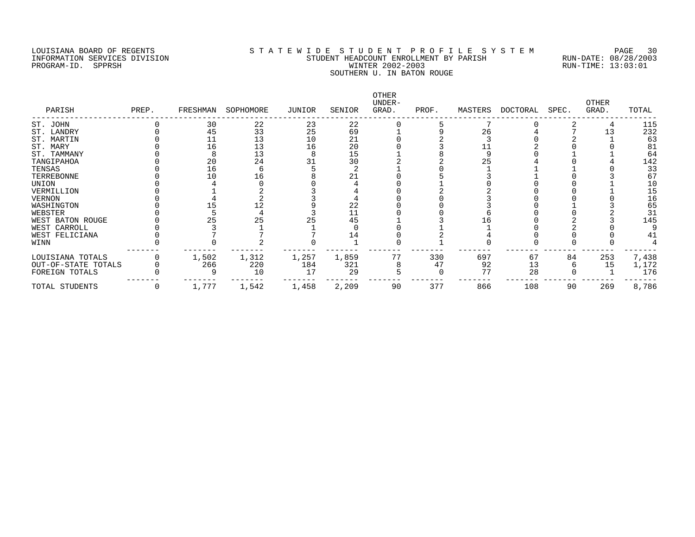### LOUISIANA BOARD OF REGENTS STATEWIDE STUDENT PROFILE SYSTEM PAGE 30 INFORMATION SERVICES DIVISION SAN SENDENT HEADCOUNT ENROLLMENT BY PARISH STUDENT HEADCOUNT ENROLLMENT BY PARISH<br>PROGRAM-ID. SPPRSH STUDENT MUNTER 2002-2003 PROGRAM-ID. SPPRSH WINTER 2002-2003 SOUTHERN U. IN BATON ROUGE

| PARISH              | PREP. | FRESHMAN | SOPHOMORE | JUNIOR | SENIOR | OTHER<br>UNDER-<br>GRAD. | PROF. | MASTERS | DOCTORAL | SPEC. | OTHER<br>GRAD. | TOTAL |
|---------------------|-------|----------|-----------|--------|--------|--------------------------|-------|---------|----------|-------|----------------|-------|
| ST. JOHN            |       | 30       | 22        | 23     | 22     |                          |       |         |          |       |                | 115   |
| ST. LANDRY          |       | 45       | 33        | 25     | 69     |                          |       | 26      |          |       |                | 232   |
| ST. MARTIN          |       |          | 13        | 10     | 21     |                          |       |         |          |       |                | 63    |
| ST. MARY            |       | 16       | 13        | 16     | 20     |                          |       |         |          |       |                | 81    |
| ST. TAMMANY         |       |          | 13        |        | 15     |                          |       |         |          |       |                | 64    |
| TANGIPAHOA          |       | 20       | 24        |        | 30     |                          |       | 25      |          |       |                | 142   |
| TENSAS              |       | 16       |           |        |        |                          |       |         |          |       |                | 33    |
| TERREBONNE          |       | 10       | L 6       |        | 21     |                          |       |         |          |       |                | 67    |
| UNION               |       |          |           |        |        |                          |       |         |          |       |                | 10    |
| VERMILLION          |       |          |           |        |        |                          |       |         |          |       |                | 15    |
| VERNON              |       |          |           |        |        |                          |       |         |          |       |                | 16    |
| WASHINGTON          |       |          | 12        |        | 22     |                          |       |         |          |       |                | 65    |
| WEBSTER             |       |          |           |        | 11     |                          |       |         |          |       |                | 31    |
| WEST BATON ROUGE    |       | 25       | 25        | 25     | 45     |                          |       |         |          |       |                | 145   |
| WEST CARROLL        |       |          |           |        |        |                          |       |         |          |       |                |       |
| WEST FELICIANA      |       |          |           |        | 14     |                          |       |         |          |       |                | 41    |
| WINN                |       |          |           |        |        |                          |       |         |          |       |                |       |
| LOUISIANA TOTALS    |       | 1,502    | 1,312     | 1,257  | 1,859  | 77                       | 330   | 697     | 67       | 84    | 253            | 7,438 |
| OUT-OF-STATE TOTALS |       | 266      | 220       | 184    | 321    |                          | 47    | 92      | 13       |       | 15             | 1,172 |
| FOREIGN TOTALS      |       |          | 10        |        | 29     |                          |       | 77      | 28       |       |                | 176   |
| TOTAL STUDENTS      |       | 1,777    | 1,542     | 1,458  | 2,209  | 90                       | 377   | 866     | 108      | 90    | 269            | 8,786 |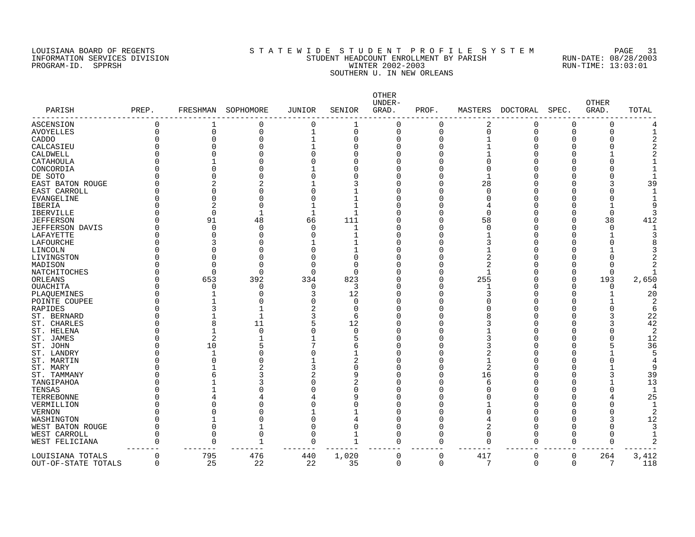# LOUISIANA BOARD OF REGENTS SOURCLEARIE S T A T E W I D E S T U D E N T P R O F I L E S Y S T E M PAGE 31 INFORMATION SERVICES DIVISION STUDENT HEADCOUNT ENROLLMENT BY PARISH RUN-DATE: 08/28/2003 PROGRAM-ID. SPPRSH WINTER 2002-2003 RUN-TIME: 13:03:01 SOUTHERN U. IN NEW ORLEANS

| PARISH              | PREP. | FRESHMAN       | SOPHOMORE   | <b>JUNIOR</b> | SENIOR         | OTHER<br>UNDER-<br>GRAD. | PROF.    | MASTERS        | <b>DOCTORAL</b> | SPEC.    | <b>OTHER</b><br>GRAD. | TOTAL          |
|---------------------|-------|----------------|-------------|---------------|----------------|--------------------------|----------|----------------|-----------------|----------|-----------------------|----------------|
| ASCENSION           | 0     | 1              | 0           | 0             |                | O                        | $\Omega$ | 2              | N               | $\Omega$ | 0                     |                |
| <b>AVOYELLES</b>    | 0     | 0              | $\mathbf 0$ | $\mathbf 1$   | $\Omega$       | $\Omega$                 | $\Omega$ | $\mathbf 0$    | $\Omega$        | $\Omega$ | 0                     |                |
| CADDO               | 0     | $\Omega$       | 0           |               | O              | $\Omega$                 | 0        |                | O               | O        |                       |                |
| CALCASIEU           | ი     |                | 0           |               |                |                          | 0        |                |                 |          | O                     |                |
| CALDWELL            | ი     |                | 0           |               | ſ              |                          | 0        |                |                 | U        |                       |                |
| CATAHOULA           |       |                | U           |               |                |                          | O        | $\Omega$       |                 |          |                       |                |
| CONCORDIA           | N     |                | O           |               |                |                          | O        | $\Omega$       |                 |          |                       |                |
| DE SOTO             |       |                | O           |               |                | ∩                        | O        |                |                 |          |                       |                |
| EAST BATON ROUGE    | ი     | 2              | 2           |               | 3              |                          | O        | 28             |                 |          |                       | 39             |
| EAST CARROLL        | ი     | U              | 0           |               |                |                          | O        | $\Omega$       |                 |          |                       |                |
| EVANGELINE          | U     | $\Omega$       | 0           |               | 1              |                          | O        | <sup>0</sup>   |                 |          |                       |                |
| <b>IBERIA</b>       | N     | $\overline{c}$ | $\Omega$    |               | -1             |                          | Ω        |                |                 |          |                       |                |
| <b>IBERVILLE</b>    | ∩     | $\Omega$       | 1           | $\mathbf 1$   | $\overline{1}$ |                          | O        | $\Omega$       |                 | O        | 0                     |                |
| <b>JEFFERSON</b>    |       | 91             | 48          | 66            | 111            |                          | Ω        | 58             |                 | ∩        | 38                    | 412            |
| JEFFERSON DAVIS     | Π     | $\Omega$       | $\mathbf 0$ | $\Omega$      | 1              |                          | Ω        | $\Omega$       |                 | O        | $\Omega$              |                |
| LAFAYETTE           |       | O              | $\Omega$    | $\cap$        |                |                          | Ω        | 1              |                 | U        |                       |                |
| LAFOURCHE           |       |                | O           |               |                |                          | O        | 3              |                 |          | U                     |                |
| LINCOLN             | ი     | U              | $\Omega$    |               |                |                          | O        |                |                 | U        |                       |                |
| LIVINGSTON          | N     |                | $\Omega$    |               | O              |                          | Ω        | 2              |                 |          |                       |                |
| MADISON             | N     |                | $\Omega$    |               | $\Omega$       |                          | Ω        | 2              |                 | U        | U                     |                |
| NATCHITOCHES        | ი     | $\Omega$       | 0           | $\cap$        | $\Omega$       |                          | 0        | $\mathbf{1}$   |                 | 0        | $\Omega$              |                |
| ORLEANS             | ი     | 653            | 392         | 334           | 823            |                          | 0        | 255            |                 | $\Omega$ | 193                   | 2,650          |
| OUACHITA            | ი     | $\Omega$       | 0           | 0             | 3              |                          | 0        |                |                 | 0        | 0                     |                |
| PLAQUEMINES         | ი     |                | O           | 3             | 12             |                          | O        | 3              |                 | C        |                       | 20             |
|                     | N     |                | U           |               | ∩              |                          | O        |                |                 |          |                       | 2              |
| POINTE COUPEE       |       |                |             |               | ∩              |                          | O        | $\Omega$       |                 |          |                       | 6              |
| RAPIDES             |       |                |             | 2             |                |                          |          |                |                 |          |                       |                |
| ST. BERNARD         |       |                |             | 3             | 6              |                          | Ω        | 8              |                 |          |                       | 22             |
| ST. CHARLES         | ი     | 8              | 11          | 5             | 12             |                          | Λ        | 3              |                 |          |                       | 42             |
| ST. HELENA          | N     |                | $\mathbf 0$ |               | $\Omega$       |                          | O        |                |                 |          |                       | $\overline{2}$ |
| ST. JAMES           | ი     | $\overline{2}$ |             |               | 5              |                          | O        | 3              |                 |          |                       | 12             |
| ST. JOHN            | N     | 10             | 5           |               | 6              | ∩                        | Ω        | 3              |                 | U        |                       | 36             |
| ST. LANDRY          |       | $\mathbf{1}$   | 0           |               | 1              |                          | O        | $\overline{2}$ |                 |          |                       |                |
| ST. MARTIN          | ∩     | ∩              | O           |               | 2              | ∩                        | Ω        | $\mathbf{1}$   |                 | U        |                       |                |
| ST. MARY            |       |                | 2           | 3             | $\Omega$       |                          | O        | $\overline{2}$ |                 |          |                       | q              |
| ST. TAMMANY         |       | 6              | 3           | 2             | 9              |                          | O        | 16             |                 |          |                       | 39             |
| TANGIPAHOA          | Ω     |                | 3           | $\Omega$      | 2              |                          | O        | 6              |                 |          |                       | 13             |
| TENSAS              | N     |                | N           |               | O              |                          | Ω        | $\Omega$       |                 |          | U                     | -1             |
| TERREBONNE          | O     |                |             |               | c              |                          | O        | ∩              |                 |          |                       | 25             |
| VERMILLION          | N     |                | N           |               | O              |                          | O        |                |                 |          |                       | -1             |
| <b>VERNON</b>       |       |                |             |               |                |                          | O        | ∩              |                 |          |                       |                |
| WASHINGTON          | ი     |                | 0           |               |                |                          | 0        |                |                 | U        |                       | 12             |
| WEST BATON ROUGE    | 0     | $\Omega$       |             | O             |                | $\Omega$                 | 0        | $\overline{2}$ |                 | C        | $\Omega$              |                |
| WEST CARROLL        | 0     | $\Omega$       | $\mathbf 0$ | $\Omega$      |                | $\Omega$                 | $\Omega$ | $\mathbf 0$    | U               | $\Omega$ | $\Omega$              |                |
| WEST FELICIANA      | O     | O              |             | $\Omega$      | $\mathbf{1}$   | ∩                        | 0        | $\Omega$       | $\Omega$        | 0        | U                     |                |
| LOUISIANA TOTALS    | 0     | 795            | 476         | 440           | 1,020          |                          | 0        | 417            | $\Omega$        | 0        | 264                   | 3,412          |
| OUT-OF-STATE TOTALS | 0     | 25             | 22          | 22            | 35             | $\Omega$                 | 0        | 7              | $\Omega$        | 0        | 7                     | 118            |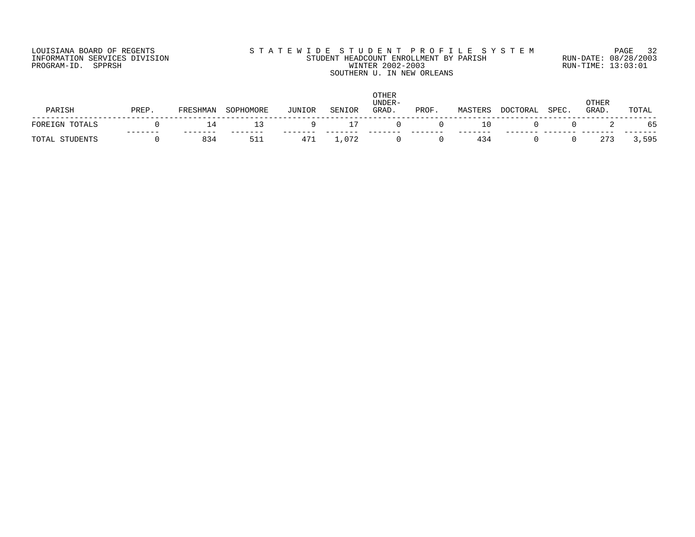# LOUISIANA BOARD OF REGENTS S T A T E W I D E S T U D E N T P R O F I L E S Y S T E M PAGE 32 INFORMATION SERVICES DIVISION STUDENT HEADCOUNT ENROLLMENT BY PARISH RUN-DATE: 08/28/2003 PROGRAM-ID. SPPRSH WINTER 2002-2003 RUN-TIME: 13:03:01 SOUTHERN U. IN NEW ORLEANS

| PARISH         | PREP | FRESHMAN | SOPHOMORE | JUNIOR | SENIOR | <b>OTHER</b><br>UNDER-<br>GRAD | PROF | MASTERS | <b>DOCTORAL</b> | SPEC. | OTHER<br>GRAD. | TOTAL |
|----------------|------|----------|-----------|--------|--------|--------------------------------|------|---------|-----------------|-------|----------------|-------|
| FOREIGN TOTALS |      | 14       |           |        |        |                                |      | 10      |                 |       |                |       |
| TOTAL STUDENTS |      | 834      | 511       | 471    | .072   |                                |      | 434     |                 |       | 273            | 3,595 |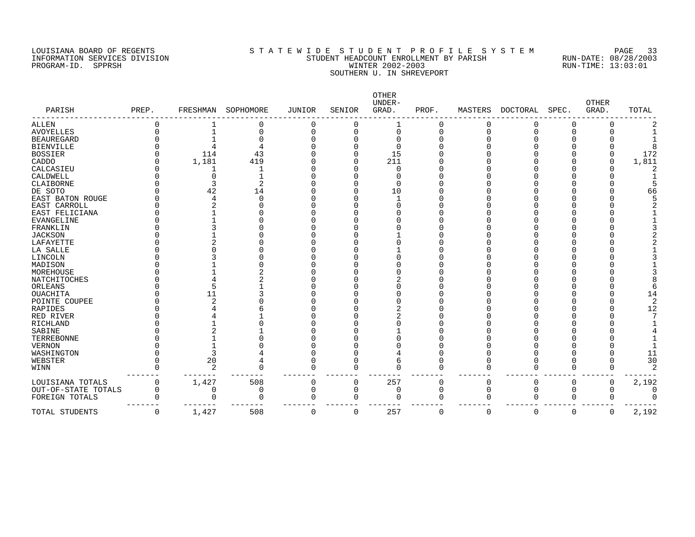# LOUISIANA BOARD OF REGENTS S T A T E W I D E S T U D E N T P R O F I L E S Y S T E M PAGE 33 INFORMATION SERVICES DIVISION STUDENT HEADCOUNT ENROLLMENT BY PARISH RUN-DATE: 08/28/2003 PROGRAM-ID. SPPRSH WINTER 2002-2003 RUN-TIME: 13:03:01 SOUTHERN U. IN SHREVEPORT

| PARISH              | PREP. | FRESHMAN       | SOPHOMORE | JUNIOR   | SENIOR   | OTHER<br>UNDER-<br>GRAD. | PROF.    | MASTERS  | DOCTORAL | SPEC.       | <b>OTHER</b><br>GRAD. | TOTAL |
|---------------------|-------|----------------|-----------|----------|----------|--------------------------|----------|----------|----------|-------------|-----------------------|-------|
| ALLEN               |       |                | 0         | C        |          |                          |          |          |          |             | 0                     |       |
| <b>AVOYELLES</b>    |       |                | 0         | C        | $\Omega$ | 0                        | O        |          |          |             |                       |       |
| <b>BEAUREGARD</b>   |       |                |           |          |          | O                        |          |          |          |             |                       |       |
| <b>BIENVILLE</b>    |       |                |           |          |          | $\cap$                   |          |          |          |             |                       |       |
| <b>BOSSIER</b>      |       | 114            | 43        |          |          | 15                       |          |          |          |             |                       | 172   |
| CADDO               |       | 1,181          | 419       |          |          | 211                      |          |          |          |             |                       | 1,811 |
| CALCASIEU           |       |                |           |          |          | $\Omega$                 |          |          |          |             |                       |       |
| CALDWELL            |       |                |           |          |          |                          |          |          |          |             |                       |       |
| CLAIBORNE           |       |                | 2         |          |          | $\Omega$                 |          |          |          |             |                       |       |
| DE SOTO             |       | 42             | 14        |          |          | 10                       |          |          |          |             |                       | 66    |
| EAST BATON ROUGE    |       |                | U         |          |          |                          |          |          |          |             |                       |       |
| EAST CARROLL        |       |                |           |          |          | ∩                        |          |          |          |             |                       |       |
| EAST FELICIANA      |       |                |           |          |          |                          |          |          |          |             |                       |       |
| <b>EVANGELINE</b>   |       |                |           |          |          |                          |          |          |          |             |                       |       |
| FRANKLIN            |       |                |           |          |          |                          |          |          |          |             |                       |       |
| <b>JACKSON</b>      |       |                |           |          |          |                          |          |          |          |             |                       |       |
| LAFAYETTE           |       |                |           |          |          |                          |          |          |          |             |                       |       |
| LA SALLE            |       |                |           |          |          |                          |          |          |          |             |                       |       |
| LINCOLN             |       |                |           |          |          |                          |          |          |          |             |                       |       |
| MADISON             |       |                |           |          |          |                          |          |          |          |             |                       |       |
| MOREHOUSE           |       |                |           |          |          |                          |          |          |          |             |                       |       |
| NATCHITOCHES        |       |                |           |          |          |                          |          |          |          |             |                       |       |
| ORLEANS             |       |                |           |          |          |                          |          |          |          |             |                       |       |
| OUACHITA            |       | 11             |           |          |          |                          |          |          |          |             |                       | 14    |
| POINTE COUPEE       |       |                |           |          |          |                          |          |          |          |             |                       |       |
| <b>RAPIDES</b>      |       |                |           |          |          |                          |          |          |          |             |                       | 12    |
| RED RIVER           |       |                |           |          |          |                          |          |          |          |             |                       |       |
| <b>RICHLAND</b>     |       |                |           |          |          |                          |          |          |          |             |                       |       |
| SABINE              |       |                |           |          |          |                          |          |          |          |             |                       |       |
| TERREBONNE          |       |                |           |          |          |                          |          |          |          |             |                       |       |
| <b>VERNON</b>       |       |                |           |          |          |                          |          |          |          |             |                       |       |
| WASHINGTON          |       |                |           |          |          |                          |          |          |          |             |                       | 11    |
| WEBSTER             |       | 20             |           |          |          | 6                        |          |          |          |             |                       | 30    |
| WINN                |       | $\overline{c}$ | Λ         |          |          |                          | O        |          |          |             |                       |       |
|                     |       |                |           |          |          |                          |          |          |          |             |                       |       |
| LOUISIANA TOTALS    | 0     | 1,427          | 508       | 0        | 0        | 257                      | 0        | 0        |          |             | $\Omega$              | 2,192 |
| OUT-OF-STATE TOTALS | 0     | 0              | 0         | $\Omega$ | 0        | 0                        | 0        | $\Omega$ |          | $\Omega$    | U                     |       |
| FOREIGN TOTALS      |       |                | $\Omega$  | $\Omega$ | $\Omega$ | $\Omega$                 | O        | $\Omega$ |          | $\Omega$    | U                     |       |
| TOTAL STUDENTS      | 0     | 1,427          | 508       | $\Omega$ | $\Omega$ | 257                      | $\Omega$ | $\Omega$ | 0        | $\mathbf 0$ | 0                     | 2,192 |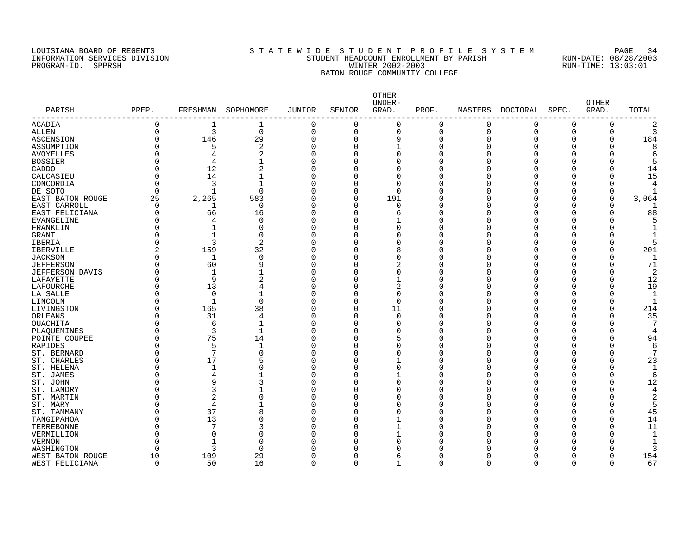### LOUISIANA BOARD OF REGENTS S T A T E W I D E S T U D E N T P R O F I L E S Y S T E M PAGE 34 INFORMATION SERVICES DIVISION STATE: STUDENT HEADCOUNT ENROLLMENT BY PARISH RUN-DATE: 08/28/2000<br>PROGRAM-ID. SPPRSH RUN-TIME: 13:03:01 PROGRAM-ID. SPPRSH WINTER 2002-2003 BATON ROUGE COMMUNITY COLLEGE

| PARISH           | PREP.       | FRESHMAN        | SOPHOMORE      | JUNIOR       | SENIOR         | OTHER<br>UNDER-<br>GRAD. | PROF.       | MASTERS  | $\tt DOCTORAL$ | SPEC.    | <b>OTHER</b><br>GRAD. | TOTAL |
|------------------|-------------|-----------------|----------------|--------------|----------------|--------------------------|-------------|----------|----------------|----------|-----------------------|-------|
| --------------   |             |                 |                |              |                |                          |             |          |                |          |                       |       |
| ACADIA           | $\mathbf 0$ | 1               | 1              | $\mathbf 0$  | 0              | 0                        | $\mathbf 0$ | $\Omega$ | 0              | 0        | 0                     |       |
| <b>ALLEN</b>     | $\mathbf 0$ | 3               | $\mathbf 0$    | $\mathbf 0$  | $\overline{0}$ | 0                        | $\mathbf 0$ | 0        | $\mathbf 0$    | 0        | 0                     | 3     |
| ASCENSION        | $\Omega$    | 146             | 29             | $\Omega$     | $\Omega$       | 9                        | $\Omega$    | 0        | $\Omega$       | 0        | 0                     | 184   |
| ASSUMPTION       |             | 5               | $\overline{2}$ | $\Omega$     | $\Omega$       | $\mathbf{1}$             | $\Omega$    | $\Omega$ | 0              | 0        | 0                     | 8     |
| <b>AVOYELLES</b> |             | 4               | $\overline{c}$ | $\Omega$     | $\Omega$       | $\Omega$                 | $\Omega$    |          | O              | O        | O                     |       |
| <b>BOSSIER</b>   |             | 4               |                | $\Omega$     | $\Omega$       | $\Omega$                 | $\Omega$    |          | O              | O        | $\Omega$              |       |
| CADDO            | 0           | 12              | $\overline{2}$ | $\Omega$     | 0              | $\Omega$                 | $\Omega$    |          | O              | O        | 0                     | 14    |
| CALCASIEU        | $\Omega$    | 14              |                | $\Omega$     | 0              | $\Omega$                 |             |          | Ω              | 0        | $\Omega$              | 15    |
| CONCORDIA        | $\Omega$    | 3               |                | $\Omega$     | 0              | $\Omega$                 | n           |          | Λ              | O        | <sup>0</sup>          |       |
| DE SOTO          | $\Omega$    |                 | $\Omega$       | $\Omega$     | 0              | $\Omega$                 |             |          | Ω              | O        | 0                     |       |
| EAST BATON ROUGE | 25          | 2,265           | 583            | $\Omega$     | 0              | 191                      | n           |          |                | O        | 0                     | 3,064 |
| EAST CARROLL     | $\Omega$    | 1               | $\Omega$       | $\Omega$     | $\Omega$       | $\Omega$                 |             |          | Λ              | O        | O                     |       |
| EAST FELICIANA   | $\Omega$    | 66              | 16             | $\Omega$     | $\Omega$       | 6                        | n           |          | O              | O        | 0                     | 88    |
| EVANGELINE       | ∩           | 4               | $\Omega$       | $\Omega$     | $\Omega$       |                          | ∩           |          | Λ              | Ω        | O                     |       |
| FRANKLIN         |             | $\mathbf{1}$    | $\Omega$       | $\Omega$     | O              | $\Omega$                 | n           |          |                | Ω        | O                     |       |
| GRANT            | Ω           | $\mathbf{1}$    | $\Omega$       | $\Omega$     | O              | $\Omega$                 | n           |          | Λ              | Ω        | O                     |       |
| IBERIA           | C           | 3               | $\overline{2}$ | $\Omega$     | O              | $\Omega$                 | n           |          |                | O        | 0                     |       |
| <b>IBERVILLE</b> | 2           | 159             | 32             | <sup>0</sup> | O              | 8                        | ∩           |          | Λ              | Ω        | 0                     | 201   |
| <b>JACKSON</b>   | O           | 1               | $\Omega$       | $\Omega$     | 0              | 0                        | ∩           |          | Ω              | O        | 0                     |       |
| <b>JEFFERSON</b> | O           | 60              | 9              | $\Omega$     | 0              | 2                        | n           |          | Ω              | Ω        | 0                     | 71    |
| JEFFERSON DAVIS  |             | 1               |                | $\Omega$     | 0              | 0                        |             |          | Ω              | 0        | 0                     |       |
| LAFAYETTE        | O           | 9               | 2              | $\Omega$     | 0              | $\mathbf{1}$             |             |          | O              | 0        | 0                     | 12    |
| LAFOURCHE        | O           | 13              |                | $\Omega$     | 0              | 2                        |             |          | O              | 0        | 0                     | 19    |
| LA SALLE         | Ω           | $\mathbf 0$     |                | $\Omega$     | 0              | 0                        |             |          |                | O        | 0                     |       |
| LINCOLN          | O           | $\mathbf{1}$    | $\Omega$       | $\Omega$     | 0              | $\Omega$                 |             |          | Ω              | O        | 0                     |       |
| LIVINGSTON       | O           | 165             | 38             | $\Omega$     | $\Omega$       | 11                       | $\Omega$    |          |                | O        | 0                     | 214   |
| ORLEANS          | O           | 31              | $\overline{4}$ | $\Omega$     | $\Omega$       | 0                        |             |          | Ω              | O        | $\Omega$              | 35    |
| OUACHITA         | O           | 6               | $\mathbf{1}$   | $\Omega$     | $\Omega$       | 0                        | $\Omega$    |          |                | O        | $\Omega$              |       |
|                  | O           | 3               | $\mathbf{1}$   | $\Omega$     | O              | $\Omega$                 | $\Omega$    |          | Ω              | O        | $\Omega$              |       |
| PLAQUEMINES      |             |                 |                |              |                |                          | $\Omega$    |          |                |          |                       |       |
| POINTE COUPEE    |             | 75              | 14             | $\Omega$     | 0              | 5                        | n           |          | Ω              | O        | 0                     | 94    |
| RAPIDES          | $\Omega$    | 5               | 1              | $\Omega$     | $\Omega$       | $\Omega$                 |             | U        |                | O        | 0                     |       |
| ST. BERNARD      | C           | $7\phantom{.0}$ | $\Omega$       | $\Omega$     | 0              | $\Omega$                 | n           |          |                | 0        | $\Omega$              |       |
| ST. CHARLES      | $\Omega$    | 17              | 5              | $\Omega$     | 0              | 1                        | n           |          | O              | 0        | 0                     | 23    |
| ST. HELENA       |             | $\mathbf{1}$    | $\Omega$       | $\Omega$     | $\Omega$       | 0                        |             |          | O              | 0        | $\Omega$              |       |
| ST. JAMES        |             | 4               |                | $\Omega$     | 0              | $\mathbf{1}$             | $\Omega$    |          | O              | O        | 0                     |       |
| ST. JOHN         |             | 9               | 3              | $\Omega$     | 0              | $\Omega$                 |             |          | Ω              | O        | 0                     | 12    |
| ST. LANDRY       | ſ           | 3               |                | $\Omega$     | 0              | $\Omega$                 |             |          |                | O        | $\Omega$              |       |
| ST. MARTIN       |             | 2               |                | $\Omega$     | O              | $\Omega$                 |             |          | Ω              | O        | O                     | 2     |
| ST. MARY         |             | 4               |                | $\Omega$     | O              | O                        | $\cap$      |          |                | O        | 0                     |       |
| ST. TAMMANY      | Ω           | 37              | 8              | $\Omega$     | O              | O                        |             |          | Λ              | Ω        | 0                     | 45    |
| TANGIPAHOA       | O           | 13              | $\Omega$       | $\Omega$     | 0              | 1                        | $\cap$      |          |                | O        | 0                     | 14    |
| TERREBONNE       | $\cap$      | 7               |                | $\Omega$     | O              | 1                        | ∩           |          |                | Ω        | 0                     | 11    |
| VERMILLION       | $\cap$      | $\Omega$        |                | $\Omega$     | $\Omega$       | $\mathbf{1}$             |             |          |                | Ω        | 0                     | -1    |
| <b>VERNON</b>    | $\cap$      | $\mathbf{1}$    | $\Omega$       | ∩            | O              | <sup>0</sup>             |             |          |                | Λ        | O                     |       |
| WASHINGTON       | $\Omega$    | 3               | $\Omega$       |              | O              | O                        |             |          |                | Ω        | 0                     |       |
| WEST BATON ROUGE | 10          | 109             | 29             | <sup>0</sup> | $\Omega$       | 6                        | ∩           | U        | Λ              | O        | 0                     | 154   |
| WEST FELICIANA   | $\mathbf 0$ | 50              | 16             | $\Omega$     | $\Omega$       | 1                        | $\Omega$    | $\Omega$ | $\Omega$       | $\Omega$ | 0                     | 67    |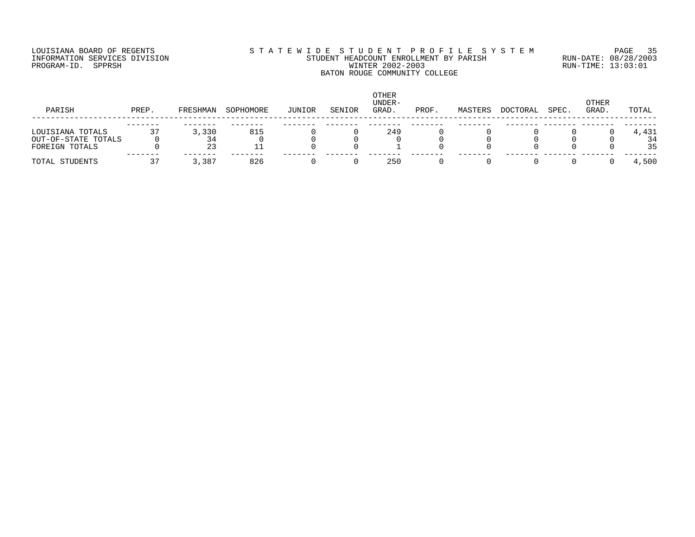# LOUISIANA BOARD OF REGENTS S T A T E W I D E S T U D E N T P R O F I L E S Y S T E M PAGE 35 INFORMATION SERVICES DIVISION STUDENT HEADCOUNT ENROLLMENT BY PARISH RUN-DATE: 08/28/2003 PROGRAM-ID. SPPRSH WINTER 2002-2003 RUN-TIME: 13:03:01 BATON ROUGE COMMUNITY COLLEGE

| PARISH                                                    | PREP. | FRESHMAN | SOPHOMORE | JUNIOR | SENIOR | OTHER<br>UNDER-<br>GRAD. | PROF. | MASTERS | DOCTORAL | SPEC. | <b>OTHER</b><br>GRAD. | TOTAL             |
|-----------------------------------------------------------|-------|----------|-----------|--------|--------|--------------------------|-------|---------|----------|-------|-----------------------|-------------------|
| LOUISIANA TOTALS<br>OUT-OF-STATE TOTALS<br>FOREIGN TOTALS |       | 3,330    | 815       |        |        | 249                      |       |         |          |       |                       | 4,431<br>34<br>35 |
| TOTAL STUDENTS                                            |       | 3,387    | 826       |        |        | 250                      |       |         |          |       |                       | 4,500             |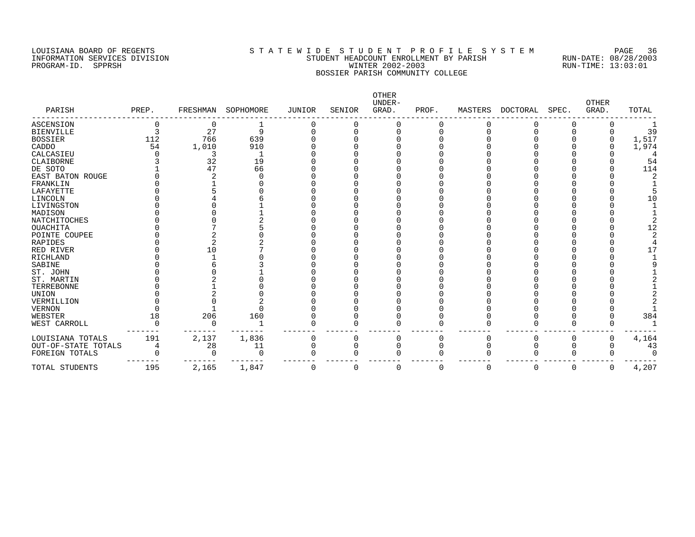# LOUISIANA BOARD OF REGENTS S T A T E W I D E S T U D E N T P R O F I L E S Y S T E M PAGE 36 INFORMATION SERVICES DIVISION STUDENT HEADCOUNT ENROLLMENT BY PARISH RUN-DATE: 08/28/2003 PROGRAM-ID. SPPRSH WINTER 2002-2003 RUN-TIME: 13:03:01 BOSSIER PARISH COMMUNITY COLLEGE

| PARISH              | PREP. | FRESHMAN | SOPHOMORE | JUNIOR       | SENIOR | OTHER<br>UNDER-<br>GRAD. | PROF. | MASTERS  | DOCTORAL | SPEC. | <b>OTHER</b><br>GRAD. | TOTAL |
|---------------------|-------|----------|-----------|--------------|--------|--------------------------|-------|----------|----------|-------|-----------------------|-------|
| <b>ASCENSION</b>    |       | 0        |           |              |        |                          |       |          |          |       |                       |       |
| <b>BIENVILLE</b>    |       | 27       | 9         |              |        |                          |       |          |          |       |                       | 39    |
| <b>BOSSIER</b>      | 112   | 766      | 639       |              |        |                          |       |          |          |       |                       | 1,517 |
| CADDO               | 54    | 1,010    | 910       |              |        |                          |       |          |          |       |                       | 1,974 |
| CALCASIEU           |       |          |           |              |        |                          |       |          |          |       |                       |       |
| CLAIBORNE           |       | 32       | 19        |              |        |                          |       |          |          |       |                       | 54    |
| DE SOTO             |       | 47       | 66        |              |        |                          |       |          |          |       |                       | 114   |
| EAST BATON ROUGE    |       |          |           |              |        |                          |       |          |          |       |                       |       |
| FRANKLIN            |       |          |           |              |        |                          |       |          |          |       |                       |       |
| LAFAYETTE           |       |          |           |              |        |                          |       |          |          |       |                       |       |
| LINCOLN             |       |          |           |              |        |                          |       |          |          |       |                       | 10    |
| LIVINGSTON          |       |          |           |              |        |                          |       |          |          |       |                       |       |
| MADISON             |       |          |           |              |        |                          |       |          |          |       |                       |       |
| <b>NATCHITOCHES</b> |       |          |           |              |        |                          |       |          |          |       |                       |       |
| OUACHITA            |       |          |           |              |        |                          |       |          |          |       |                       | 12    |
| POINTE COUPEE       |       |          |           |              |        |                          |       |          |          |       |                       |       |
| <b>RAPIDES</b>      |       |          |           |              |        |                          |       |          |          |       |                       |       |
| RED RIVER           |       | 10       |           |              |        |                          |       |          |          |       |                       |       |
| <b>RICHLAND</b>     |       |          |           |              |        |                          |       |          |          |       |                       |       |
| SABINE              |       |          |           |              |        |                          |       |          |          |       |                       |       |
| ST. JOHN            |       |          |           |              |        |                          |       |          |          |       |                       |       |
| ST. MARTIN          |       |          |           |              |        |                          |       |          |          |       |                       |       |
| TERREBONNE          |       |          |           |              |        |                          |       |          |          |       |                       |       |
| <b>UNION</b>        |       |          |           |              |        |                          |       |          |          |       |                       |       |
| VERMILLION          |       |          |           |              |        |                          |       |          |          |       |                       |       |
| <b>VERNON</b>       |       |          |           |              |        |                          |       |          |          |       |                       |       |
| WEBSTER             | 18    | 206      | 160       |              |        |                          |       |          |          |       |                       | 384   |
| WEST CARROLL        |       |          |           |              |        |                          |       |          |          |       |                       |       |
| LOUISIANA TOTALS    | 191   | 2,137    | 1,836     |              |        |                          |       |          |          |       | O                     | 4,164 |
| OUT-OF-STATE TOTALS | 4     | 28       | 11        |              |        |                          |       |          |          |       |                       | 43    |
| FOREIGN TOTALS      |       |          | O         |              |        |                          |       |          |          |       |                       |       |
| TOTAL STUDENTS      | 195   | 2,165    | 1,847     | <sup>0</sup> | O      |                          | O     | $\Omega$ | $\Omega$ | 0     | 0                     | 4,207 |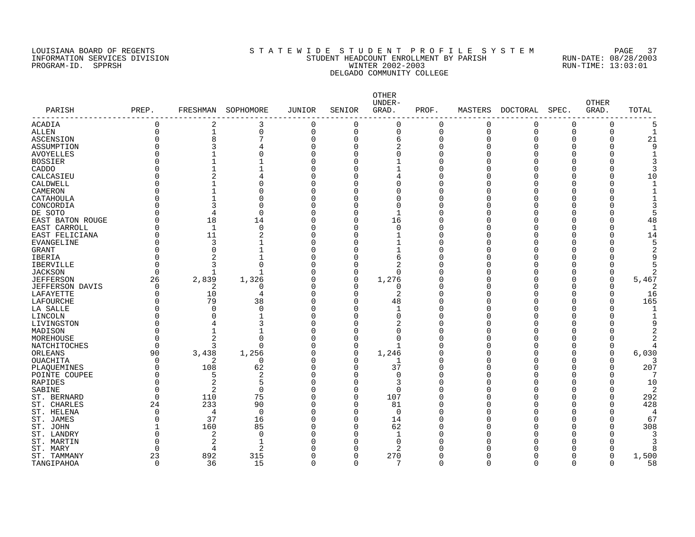### LOUISIANA BOARD OF REGENTS SOURCLAINA SUBSETTED S T A T E W I D E S T U D E N T P R O F I L E S Y S T E M PAGE<br>STUDENT HEADCOUNT ENROLLMENT BY PARISH RUN-DATE: 08/28/2003 INFORMATION SERVICES DIVISION STATE STILL STUDENT HEADCOUNT ENROLLMENT BY PARISH RUN-DATE: 08/28/2000<br>INFORMATION SERVICES DIVISION STATE: SPIRE: 08/28/2003<br>WINTER 2002-2003 WINTER 2002-2003 PROGRAM-ID. SPPRSH WINTER 2002-2003 DELGADO COMMUNITY COLLEGE

| PARISH                 | PREP.       |                | FRESHMAN SOPHOMORE | JUNIOR   | SENIOR      | <b>OTHER</b><br>UNDER-<br>GRAD. | PROF.        | MASTERS  | DOCTORAL | SPEC.    | OTHER<br>GRAD. | TOTAL          |
|------------------------|-------------|----------------|--------------------|----------|-------------|---------------------------------|--------------|----------|----------|----------|----------------|----------------|
| ACADIA                 | $\mathbf 0$ | 2              | 3                  | 0        | $\mathbf 0$ | $\mathbf 0$                     | $\Omega$     | $\Omega$ | $\Omega$ | 0        | 0              | 5              |
| ALLEN                  | $\Omega$    | $\mathbf{1}$   | $\Omega$           | $\Omega$ | $\Omega$    | $\mathbf 0$                     | 0            | $\Omega$ | $\Omega$ | $\Omega$ | $\Omega$       | $\mathbf{1}$   |
| ASCENSION              | $\Omega$    | 8              |                    | $\Omega$ | $\Omega$    | 6                               | O            |          | $\Omega$ | $\Omega$ | $\Omega$       | 21             |
| ASSUMPTION             |             | 3              |                    | 0        | $\Omega$    | $\overline{2}$                  | Ω            |          | $\Omega$ | 0        | 0              | 9              |
| AVOYELLES              | O           |                | O                  | 0        | $\Omega$    | $\mathbf 0$                     | U            |          | $\Omega$ | O        | 0              | $\mathbf{1}$   |
| <b>BOSSIER</b>         |             |                |                    | O        | $\Omega$    |                                 |              |          | 0        | U        | 0              | 3              |
| CADDO                  |             |                |                    | O        | $\Omega$    |                                 | Ω            |          | 0        | U        | 0              | 3              |
| CALCASIEU              | ი           | 2              |                    | U        | $\Omega$    | 4                               |              |          | U        | U        | O              | 10             |
| CALDWELL               |             |                |                    | O        | O           | 0                               | O            |          | O        | N        | O              | $\mathbf 1$    |
| CAMERON                |             |                | O                  | U        | $\Omega$    | 0                               | U            |          | Ω        | Λ        | O              |                |
| CATAHOULA              | ი           | $\mathbf{1}$   | O                  | O        | O           | 0                               | O            |          | O        | N        | O              | 1              |
| CONCORDIA              |             | 3              | $\Omega$           | O        | ∩           | 0                               | U            |          | O        | U        | O              | 3              |
| DE SOTO                |             | 4              | $\Omega$           | O        | O           | $\mathbf{1}$                    | O            |          | O        | U        | O              | 5              |
| EAST BATON ROUGE       | O           | 18             | 14                 | U        | $\Omega$    | 16                              | U            |          | O        | U        | O              | 48             |
| EAST CARROLL           | ი           | 1              | $\Omega$           | 0        | $\Omega$    | $\mathbf 0$                     |              |          | 0        | O        | O              | $\mathbf{1}$   |
| EAST FELICIANA         | O           | 11             | 2                  | 0        | $\Omega$    | $\mathbf{1}$                    | U            |          | O        | U        | O              | 14             |
| EVANGELINE             | O           | $\overline{3}$ |                    | 0        | $\Omega$    |                                 | O            |          | 0        | O        | 0              | 5              |
| GRANT                  | $\Omega$    | $\mathbf 0$    |                    | 0        | $\Omega$    | $\mathbf{1}$                    | O            |          | $\Omega$ | O        | 0              | $\overline{2}$ |
| IBERIA                 | 0           | $\overline{2}$ |                    | 0        | $\Omega$    | 6                               |              |          | $\Omega$ | O        | 0              | 9              |
| <b>IBERVILLE</b>       | $\Omega$    | 3              | $\Omega$           | 0        | $\Omega$    | $\overline{c}$                  | C            |          | 0        | 0        | $\Omega$       |                |
| <b>JACKSON</b>         | $\Omega$    |                |                    | 0        | $\Omega$    | $\Omega$                        |              |          | 0        | O        | 0              | 2              |
| <b>JEFFERSON</b>       | 26          | 2,839          | 1,326              | O        | $\Omega$    | 1,276                           | Ω            |          | O        | U        | $\Omega$       | 5,467          |
| <b>JEFFERSON DAVIS</b> | $\Omega$    | 2              | O                  | U        | $\Omega$    | $\Omega$                        |              |          | O        | U        | O              | 2              |
| LAFAYETTE              | O           | 10             | 4                  | O        | $\Omega$    | 2                               | U            |          | O        | O        | O              | 16             |
| LAFOURCHE              | O           | 79             | 38                 | O        | $\Omega$    | 48                              | U            |          | O        | U        | O              | 165            |
| LA SALLE               | 0           | $\mathbf 0$    | 0                  | 0        | $\Omega$    | $\mathbf{1}$                    | O            |          | O        | O        | O              | $\mathbf 1$    |
| LINCOLN                | O           | $\Omega$       |                    | O        | $\Omega$    | $\mathbf 0$                     | U            |          | U        | U        | O              | $\mathbf{1}$   |
| LIVINGSTON             | O           | 4              | 3                  | U        | $\Omega$    | 2                               | U            |          | U        | U        | O              | q              |
| MADISON                | O           |                |                    | U        | $\Omega$    | $\Omega$                        |              |          | U        | U        | O              |                |
| MOREHOUSE              | O           | $\overline{2}$ | $\Omega$           | U        | $\Omega$    | $\Omega$                        |              |          | U        | U        | O              |                |
| NATCHITOCHES           | $\Omega$    | 3              | $\Omega$           | O        | $\Omega$    | $\mathbf{1}$                    | U            |          | O        | N        | 0              |                |
| ORLEANS                | 90          | 3,438          | 1,256              | O        | $\Omega$    | 1,246                           |              |          | O        | O        | 0              | 6,030          |
| <b>OUACHITA</b>        | $\Omega$    | 2              | 0                  | 0        | $\Omega$    | -1                              | U            |          | $\Omega$ | O        | 0              | 3              |
| PLAQUEMINES            | 0           | 108            | 62                 | 0        | $\Omega$    | 37                              |              |          | 0        | O        | 0              | 207            |
| POINTE COUPEE          | $\Omega$    | 5              | 2                  | O        | $\Omega$    | $\mathbf 0$                     | U            |          | $\Omega$ | O        | 0              | 7              |
| RAPIDES                | 0           | 2              | 5                  | O        | $\Omega$    | 3                               |              |          | 0        | O        | 0              | 10             |
| SABINE                 | $\Omega$    | 2              | $\Omega$           | O        | $\Omega$    | $\Omega$                        | Ω            |          | O        | O        | 0              | $\overline{2}$ |
| ST. BERNARD            | $\Omega$    | 110            | 75                 | O        | $\Omega$    | 107                             | O            |          | O        | O        | 0              | 292            |
| ST. CHARLES            | 24          | 233            | 90                 | 0        | $\Omega$    | 81                              | O            |          | 0        | O        | 0              | 428            |
| ST. HELENA             | $\Omega$    | 4              | $\Omega$           | U        | $\Omega$    | $\Omega$                        | U            |          | U        | U        | U              | 4              |
| ST. JAMES              | O           | 37             | 16                 | O        | $\Omega$    | 14                              | U            |          | O        | O        | O              | 67             |
| ST. JOHN               |             | 160            | 85                 | O        | $\Omega$    | 62                              | Ω            |          | O        | U        | O              | 308            |
| ST. LANDRY             | $\Omega$    | 2              | $\Omega$           | U        | $\Omega$    | $\mathbf{1}$                    |              |          | U        | U        | O              | 3              |
| ST. MARTIN             | $\Omega$    | $\overline{c}$ | $\mathbf{1}$       | U        | $\Omega$    | $\cap$                          |              |          | U        | U        | 0              | 3              |
|                        | O           | 4              | 2                  | Ω        | $\Omega$    |                                 |              |          | U        | U        | $\Omega$       | 8              |
| ST. MARY               | 23          | 892            | 315                | $\Omega$ | 0           | 2<br>270                        | <sup>0</sup> |          | O        | $\Omega$ | $\Omega$       | 1,500          |
| ST. TAMMANY            | 0           | 36             | 15                 | 0        | $\Omega$    | 7                               | $\Omega$     | Ω        | $\Omega$ | 0        | $\Omega$       | 58             |
| TANGIPAHOA             |             |                |                    |          |             |                                 |              |          |          |          |                |                |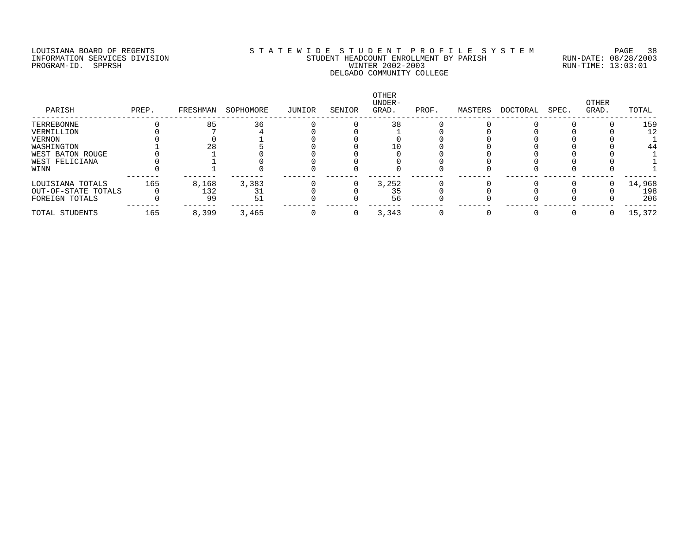# LOUISIANA BOARD OF REGENTS S T A T E W I D E S T U D E N T P R O F I L E S Y S T E M PAGE 38 INFORMATION SERVICES DIVISION STUDENT HEADCOUNT ENROLLMENT BY PARISH RUN-DATE: 08/28/2003 PROGRAM-ID. SPPRSH WINTER 2002-2003 RUN-TIME: 13:03:01 DELGADO COMMUNITY COLLEGE

| PARISH              | PREP. | FRESHMAN | SOPHOMORE | JUNIOR | SENIOR | OTHER<br>UNDER-<br>GRAD. | PROF. | MASTERS | DOCTORAL | SPEC. | OTHER<br>GRAD. | TOTAL  |
|---------------------|-------|----------|-----------|--------|--------|--------------------------|-------|---------|----------|-------|----------------|--------|
| TERREBONNE          |       | 85       | 36        |        |        | 38                       |       |         |          |       |                | 159    |
| VERMILLION          |       |          |           |        |        |                          |       |         |          |       |                | 12     |
| VERNON              |       |          |           |        |        |                          |       |         |          |       |                |        |
| WASHINGTON          |       |          |           |        |        |                          |       |         |          |       |                | 44     |
| WEST BATON ROUGE    |       |          |           |        |        |                          |       |         |          |       |                |        |
| WEST FELICIANA      |       |          |           |        |        |                          |       |         |          |       |                |        |
| WINN                |       |          |           |        |        |                          |       |         |          |       |                |        |
| LOUISIANA TOTALS    | 165   | 8,168    | 3,383     |        |        | 3,252                    |       |         |          |       |                | 14,968 |
| OUT-OF-STATE TOTALS |       | 132      |           |        |        | 35                       |       |         |          |       |                | 198    |
| FOREIGN TOTALS      |       | 99       | 51        |        |        | 56                       |       |         |          |       |                | 206    |
| TOTAL STUDENTS      | 165   | 8,399    | 3,465     |        |        | 3,343                    |       |         |          |       |                | 15,372 |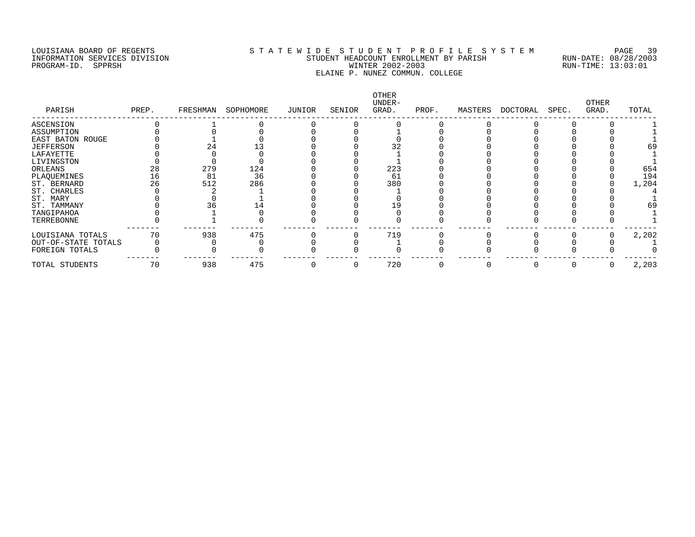# LOUISIANA BOARD OF REGENTS S T A T E W I D E S T U D E N T P R O F I L E S Y S T E M PAGE 39 INFORMATION SERVICES DIVISION STUDENT HEADCOUNT ENROLLMENT BY PARISH RUN-DATE: 08/28/2003 PROGRAM-ID. SPPRSH WINTER 2002-2003 RUN-TIME: 13:03:01 ELAINE P. NUNEZ COMMUN. COLLEGE

| PARISH              | PREP. | FRESHMAN | SOPHOMORE | JUNIOR | SENIOR | OTHER<br>UNDER-<br>GRAD. | PROF. | MASTERS | DOCTORAL | SPEC. | OTHER<br>GRAD. | TOTAL |
|---------------------|-------|----------|-----------|--------|--------|--------------------------|-------|---------|----------|-------|----------------|-------|
| ASCENSION           |       |          |           |        |        |                          |       |         |          |       |                |       |
| ASSUMPTION          |       |          |           |        |        |                          |       |         |          |       |                |       |
| EAST BATON ROUGE    |       |          |           |        |        |                          |       |         |          |       |                |       |
| <b>JEFFERSON</b>    |       |          |           |        |        |                          |       |         |          |       |                | 69    |
| LAFAYETTE           |       |          |           |        |        |                          |       |         |          |       |                |       |
| LIVINGSTON          |       |          |           |        |        |                          |       |         |          |       |                |       |
| ORLEANS             | 28    | 279      | 124       |        |        | 223                      |       |         |          |       |                | 654   |
| PLAQUEMINES         | 16    | 81       | 36        |        |        | 61                       |       |         |          |       |                | 194   |
| ST. BERNARD         | 26    | 512      | 286       |        |        | 380                      |       |         |          |       |                | 1,204 |
| ST. CHARLES         |       |          |           |        |        |                          |       |         |          |       |                |       |
| ST. MARY            |       |          |           |        |        |                          |       |         |          |       |                |       |
| ST. TAMMANY         |       |          |           |        |        |                          |       |         |          |       |                | 69    |
| TANGIPAHOA          |       |          |           |        |        |                          |       |         |          |       |                |       |
| TERREBONNE          |       |          |           |        |        |                          |       |         |          |       |                |       |
| LOUISIANA TOTALS    | 70    | 938      | 475       |        |        | 719                      |       |         |          |       |                | 2,202 |
| OUT-OF-STATE TOTALS |       |          |           |        |        |                          |       |         |          |       |                |       |
| FOREIGN TOTALS      |       |          |           |        |        |                          |       |         |          |       |                |       |
| TOTAL STUDENTS      | 70    | 938      | 475       |        |        | 720                      |       |         |          |       | O              | 2,203 |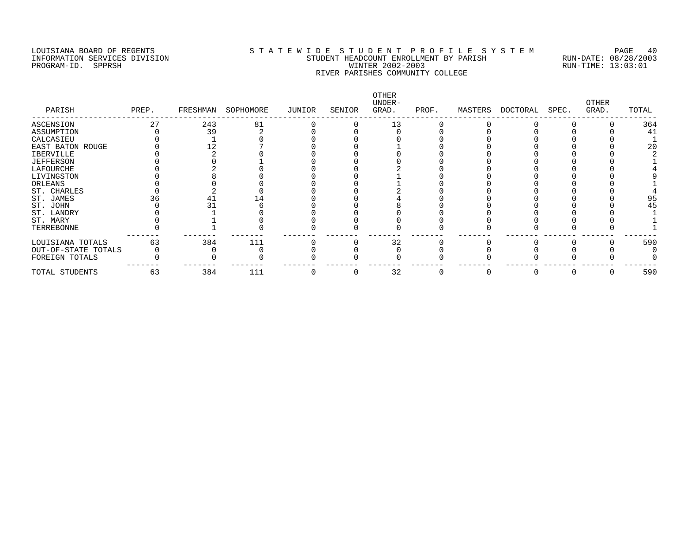# LOUISIANA BOARD OF REGENTS S T A T E W I D E S T U D E N T P R O F I L E S Y S T E M PAGE 40 INFORMATION SERVICES DIVISION STUDENT HEADCOUNT ENROLLMENT BY PARISH RUN-DATE: 08/28/2003 PROGRAM-ID. SPPRSH WINTER 2002-2003 RUN-TIME: 13:03:01 RIVER PARISHES COMMUNITY COLLEGE

| PARISH              | PREP. | FRESHMAN | SOPHOMORE | JUNIOR | SENIOR | OTHER<br>UNDER-<br>GRAD. | PROF. | MASTERS | DOCTORAL | SPEC. | OTHER<br>GRAD. | TOTAL |
|---------------------|-------|----------|-----------|--------|--------|--------------------------|-------|---------|----------|-------|----------------|-------|
| ASCENSION           | 27    | 243      | 81        |        |        | 13                       |       |         |          |       |                | 364   |
| ASSUMPTION          |       | 39       |           |        |        |                          |       |         |          |       |                | 41    |
| CALCASIEU           |       |          |           |        |        |                          |       |         |          |       |                |       |
| EAST BATON ROUGE    |       |          |           |        |        |                          |       |         |          |       |                | 20    |
| IBERVILLE           |       |          |           |        |        |                          |       |         |          |       |                |       |
| <b>JEFFERSON</b>    |       |          |           |        |        |                          |       |         |          |       |                |       |
| LAFOURCHE           |       |          |           |        |        |                          |       |         |          |       |                |       |
| LIVINGSTON          |       |          |           |        |        |                          |       |         |          |       |                |       |
| ORLEANS             |       |          |           |        |        |                          |       |         |          |       |                |       |
| ST. CHARLES         |       |          |           |        |        |                          |       |         |          |       |                |       |
| ST. JAMES           |       |          |           |        |        |                          |       |         |          |       |                | 95    |
| ST. JOHN            |       |          |           |        |        |                          |       |         |          |       |                | 45    |
| ST. LANDRY          |       |          |           |        |        |                          |       |         |          |       |                |       |
| ST. MARY            |       |          |           |        |        |                          |       |         |          |       |                |       |
| TERREBONNE          |       |          |           |        |        |                          |       |         |          |       |                |       |
| LOUISIANA TOTALS    | 63    | 384      | 111       |        |        | 32                       |       |         |          |       |                | 590   |
| OUT-OF-STATE TOTALS |       |          |           |        |        |                          |       |         |          |       |                |       |
| FOREIGN TOTALS      |       |          |           |        |        |                          |       |         |          |       |                |       |
| TOTAL STUDENTS      | 63    | 384      | 111       |        |        | 32                       |       |         |          |       |                | 590   |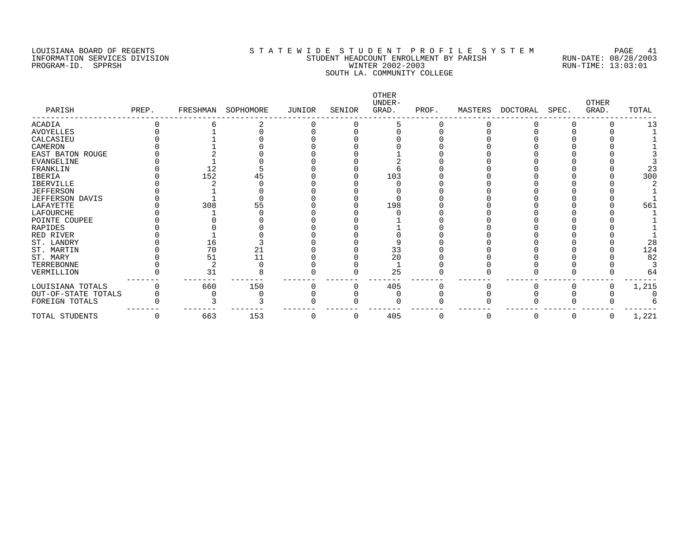# LOUISIANA BOARD OF REGENTS S T A T E W I D E S T U D E N T P R O F I L E S Y S T E M PAGE 41 INFORMATION SERVICES DIVISION STUDENT HEADCOUNT ENROLLMENT BY PARISH RUN-DATE: 08/28/2003 PROGRAM-ID. SPPRSH WINTER 2002-2003 RUN-TIME: 13:03:01 SOUTH LA. COMMUNITY COLLEGE

| PARISH              | PREP. | FRESHMAN | SOPHOMORE | JUNIOR | SENIOR | OTHER<br>UNDER-<br>GRAD. | PROF. | MASTERS | DOCTORAL | SPEC. | <b>OTHER</b><br>GRAD. | TOTAL |
|---------------------|-------|----------|-----------|--------|--------|--------------------------|-------|---------|----------|-------|-----------------------|-------|
| ACADIA              |       |          |           |        |        |                          |       |         |          |       |                       | 13    |
| <b>AVOYELLES</b>    |       |          |           |        |        |                          |       |         |          |       |                       |       |
| CALCASIEU           |       |          |           |        |        |                          |       |         |          |       |                       |       |
| CAMERON             |       |          |           |        |        |                          |       |         |          |       |                       |       |
| EAST BATON ROUGE    |       |          |           |        |        |                          |       |         |          |       |                       |       |
| EVANGELINE          |       |          |           |        |        |                          |       |         |          |       |                       |       |
| FRANKLIN            |       | 12       |           |        |        |                          |       |         |          |       |                       | 23    |
| IBERIA              |       | 152      |           |        |        | 103                      |       |         |          |       |                       | 300   |
| IBERVILLE           |       |          |           |        |        |                          |       |         |          |       |                       |       |
| <b>JEFFERSON</b>    |       |          |           |        |        |                          |       |         |          |       |                       |       |
| JEFFERSON DAVIS     |       |          |           |        |        |                          |       |         |          |       |                       |       |
| LAFAYETTE           |       | 308      |           |        |        | 198                      |       |         |          |       |                       | 561   |
| LAFOURCHE           |       |          |           |        |        |                          |       |         |          |       |                       |       |
| POINTE COUPEE       |       |          |           |        |        |                          |       |         |          |       |                       |       |
| RAPIDES             |       |          |           |        |        |                          |       |         |          |       |                       |       |
| RED RIVER           |       |          |           |        |        |                          |       |         |          |       |                       |       |
| ST. LANDRY          |       | 16       |           |        |        |                          |       |         |          |       |                       | 28    |
| ST. MARTIN          |       | 70       | 21        |        |        | 33                       |       |         |          |       |                       | 124   |
| ST. MARY            |       | 51       |           |        |        | $\overline{20}$          |       |         |          |       |                       | 82    |
| TERREBONNE          |       |          |           |        |        |                          |       |         |          |       |                       |       |
| VERMILLION          |       | 31       |           |        |        | 25                       |       |         |          |       |                       | 64    |
| LOUISIANA TOTALS    |       | 660      | 150       |        |        | 405                      |       |         |          |       |                       | 1,215 |
| OUT-OF-STATE TOTALS |       |          |           |        |        |                          |       |         |          |       |                       |       |
| FOREIGN TOTALS      |       |          |           |        |        |                          |       |         |          |       |                       |       |
| TOTAL STUDENTS      | O     | 663      | 153       |        |        | 405                      | O     |         | 0        |       | 0                     | 1,221 |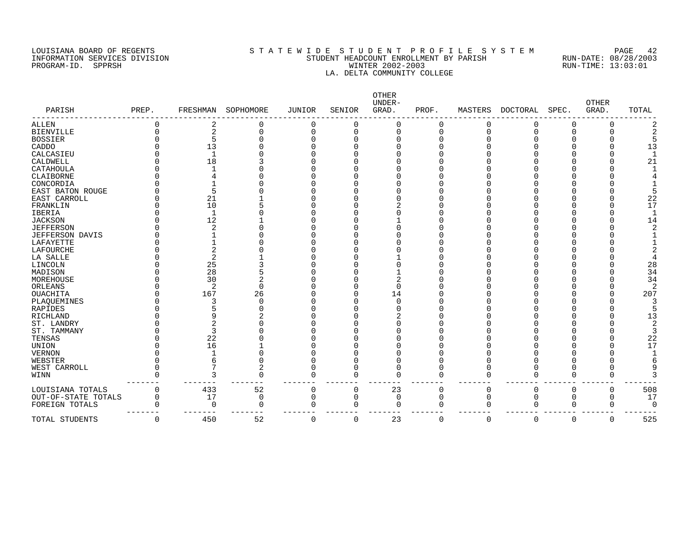# LOUISIANA BOARD OF REGENTS S T A T E W I D E S T U D E N T P R O F I L E S Y S T E M PAGE 42 INFORMATION SERVICES DIVISION STUDENT HEADCOUNT ENROLLMENT BY PARISH RUN-DATE: 08/28/2003 PROGRAM-ID. SPPRSH WINTER 2002-2003 RUN-TIME: 13:03:01 LA. DELTA COMMUNITY COLLEGE

| PARISH                 | PREP. | FRESHMAN     | SOPHOMORE | <b>JUNIOR</b> | SENIOR   | OTHER<br>UNDER-<br>GRAD. | PROF.       | MASTERS  | <b>DOCTORAL</b> | SPEC.    | <b>OTHER</b><br>GRAD. | TOTAL |
|------------------------|-------|--------------|-----------|---------------|----------|--------------------------|-------------|----------|-----------------|----------|-----------------------|-------|
| <b>ALLEN</b>           |       |              | 0         | O             |          | 0                        | 0           | 0        |                 | 0        | 0                     |       |
| <b>BIENVILLE</b>       |       |              | $\Omega$  | 0             |          | 0                        | 0           | C        |                 | 0        | U                     |       |
| <b>BOSSIER</b>         |       |              |           |               |          | U                        | ∩           |          |                 |          |                       |       |
| CADDO                  |       | 13           |           |               |          |                          |             |          |                 |          |                       | 13    |
| CALCASIEU              |       | $\mathbf{1}$ |           |               |          |                          |             |          |                 |          |                       |       |
| CALDWELL               |       | 18           |           |               |          |                          |             |          |                 |          |                       | 21    |
| CATAHOULA              |       |              |           |               |          |                          |             |          |                 |          |                       |       |
| CLAIBORNE              |       |              |           |               |          |                          |             |          |                 |          |                       |       |
| CONCORDIA              |       |              |           |               |          |                          |             |          |                 |          |                       |       |
| EAST BATON ROUGE       |       | 5            |           |               |          |                          |             |          |                 |          |                       |       |
| EAST CARROLL           |       | 21           |           |               |          |                          |             |          |                 |          |                       | 22    |
| FRANKLIN               |       | 10           |           |               |          |                          |             |          |                 |          |                       | 17    |
| <b>IBERIA</b>          |       | $\mathbf{1}$ |           |               |          |                          |             |          |                 |          |                       |       |
| <b>JACKSON</b>         |       | 12           |           |               |          |                          |             |          |                 |          |                       | 14    |
| <b>JEFFERSON</b>       |       |              |           |               |          |                          |             |          |                 |          |                       |       |
| <b>JEFFERSON DAVIS</b> |       |              |           |               |          |                          |             |          |                 |          |                       |       |
| LAFAYETTE              |       |              |           |               |          |                          |             |          |                 |          |                       |       |
| LAFOURCHE              |       |              |           |               |          |                          |             |          |                 |          |                       |       |
| LA SALLE               |       |              |           |               |          |                          |             |          |                 |          |                       |       |
| LINCOLN                |       | 25           |           |               |          |                          |             |          |                 |          |                       | 28    |
| MADISON                |       | 28           |           |               |          |                          |             |          |                 |          |                       | 34    |
| MOREHOUSE              |       | 30           |           |               |          |                          |             |          |                 |          |                       | 34    |
| ORLEANS                |       | 2            | 0         |               |          | $\Omega$                 |             |          |                 |          |                       |       |
| <b>OUACHITA</b>        |       | 167          | 26        |               |          | 14                       |             |          |                 |          |                       | 207   |
| PLAQUEMINES            |       |              | O         |               |          |                          |             |          |                 |          |                       |       |
| RAPIDES                |       |              |           |               |          |                          |             |          |                 |          |                       |       |
| RICHLAND               |       |              |           |               |          |                          |             |          |                 |          |                       | 13    |
| ST. LANDRY             |       |              |           |               |          |                          |             |          |                 |          |                       |       |
| ST. TAMMANY            |       |              |           |               |          |                          |             |          |                 |          |                       |       |
| TENSAS                 |       | 22           |           |               |          |                          |             |          |                 |          |                       | 22    |
| UNION                  |       | 16           |           |               |          |                          |             |          |                 |          |                       | 17    |
| <b>VERNON</b>          |       |              |           |               |          |                          |             |          |                 |          |                       |       |
| WEBSTER                |       | 6            |           |               |          |                          |             |          |                 |          |                       |       |
| WEST CARROLL           |       |              | 2         |               |          | U                        | O           |          |                 |          |                       |       |
| WINN                   |       |              | $\Omega$  |               | ∩        | $\Omega$                 | $\Omega$    |          |                 | U        | U                     |       |
| LOUISIANA TOTALS       |       | 433          | 52        | 0             | 0        | 23                       | $\mathbf 0$ | 0        | $\Omega$        | 0        | 0                     | 508   |
| OUT-OF-STATE TOTALS    | O     | 17           | 0         | 0             | $\Omega$ | $\Omega$                 | $\mathbf 0$ | 0        |                 | 0        | 0                     | 17    |
| FOREIGN TOTALS         |       | $\Omega$     | $\Omega$  | U             | ∩        | ∩                        | O           | O        |                 | $\Omega$ | O                     | 0     |
| TOTAL STUDENTS         | U     | 450          | 52        | $\Omega$      | 0        | 23                       | $\Omega$    | $\Omega$ | 0               | 0        | 0                     | 525   |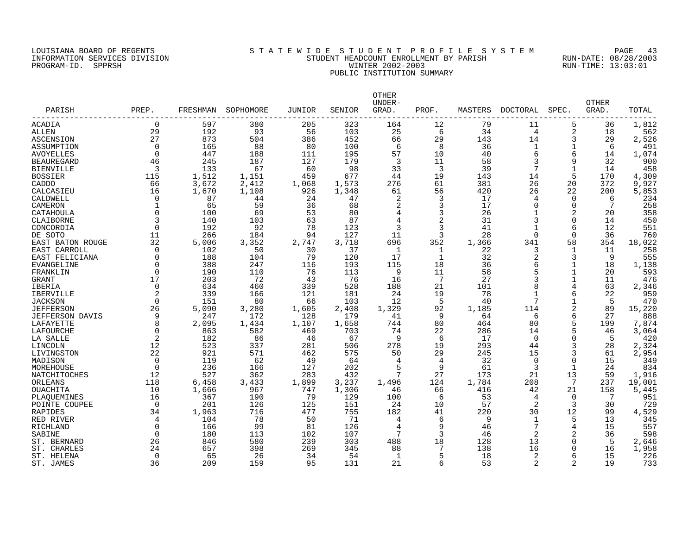# LOUISIANA BOARD OF REGENTS S T A T E W I D E S T U D E N T P R O F I L E S Y S T E M PAGE 43 INFORMATION SERVICES DIVISION STUDENT HEADCOUNT ENROLLMENT BY PARISH RUN-DATE: 08/28/2003 PROGRAM-ID. SPPRSH WINTER 2002-2003 RUN-TIME: 13:03:01 PUBLIC INSTITUTION SUMMARY

| PARISH                 | PREP.       | FRESHMAN | SOPHOMORE | JUNIOR | SENIOR | <b>OTHER</b><br>UNDER-<br>GRAD. | PROF.          | MASTERS | DOCTORAL       | SPEC.        | <b>OTHER</b><br>GRAD. | TOTAL  |
|------------------------|-------------|----------|-----------|--------|--------|---------------------------------|----------------|---------|----------------|--------------|-----------------------|--------|
| ACADIA                 | $\mathbf 0$ | 597      | 380       | 205    | 323    | 164                             | 12             | 79      | 11             | 5            | 36                    | 1,812  |
| <b>ALLEN</b>           | 29          | 192      | 93        | 56     | 103    | 25                              | 6              | 34      | $\overline{4}$ | 2            | 18                    | 562    |
| ASCENSION              | 27          | 873      | 504       | 386    | 452    | 66                              | 29             | 143     | 14             | 3            | 29                    | 2,526  |
| ASSUMPTION             | $\Omega$    | 165      | 88        | 80     | 100    | 6                               | 8              | 36      | 1              | 1            | 6                     | 491    |
| AVOYELLES              | $\mathbf 0$ | 447      | 188       | 111    | 195    | 57                              | 10             | 40      | 6              | 6            | 14                    | 1,074  |
| <b>BEAUREGARD</b>      | 46          | 245      | 187       | 127    | 179    | 3                               | 11             | 58      | 3              | 9            | 32                    | 900    |
| <b>BIENVILLE</b>       | 3           | 133      | 67        | 60     | 98     | 33                              | $\overline{3}$ | 39      | 7              | $\mathbf{1}$ | 14                    | 458    |
| <b>BOSSIER</b>         | 115         | 1,512    | 1,151     | 459    | 677    | 44                              | 19             | 143     | 14             | 5            | 170                   | 4,309  |
| CADDO                  | 66          | 3,672    | 2,412     | 1,068  | 1,573  | 276                             | 61             | 381     | 26             | 20           | 372                   | 9,927  |
| CALCASIEU              | 16          | 1,670    | 1,108     | 926    | 1,348  | 61                              | 56             | 420     | 26             | 22           | 200                   | 5,853  |
| CALDWELL               | $\mathbf 0$ | 87       | 44        | 24     | 47     | 2                               | 3              | 17      | 4              | 0            | 6                     | 234    |
| CAMERON                | $\mathbf 1$ | 65       | 59        | 36     | 68     | 2                               | 3              | 17      | 0              | $\mathbf 0$  | 7                     | 258    |
| CATAHOULA              | $\Omega$    | 100      | 69        | 53     | 80     |                                 | 3              | 26      |                | 2            | 20                    | 358    |
| CLAIBORNE              | 3           | 140      | 103       | 63     | 87     | 4                               | 2              | 31      | 3              | $\mathbf 0$  | 14                    | 450    |
| CONCORDIA              | $\Omega$    | 192      | 92        | 78     | 123    | 3                               | 3              | 41      | $\mathbf{1}$   | 6            | 12                    | 551    |
| DE SOTO                | 11          | 266      | 184       | 94     | 127    | 11                              | 3              | 28      | $\Omega$       | $\Omega$     | 36                    | 760    |
| EAST BATON ROUGE       | 32          | 5,006    | 3,352     | 2,747  | 3,718  | 696                             | 352            | 1,366   | 341            | 58           | 354                   | 18,022 |
| EAST CARROLL           | $\Omega$    | 102      | 50        | 30     | 37     | 1                               | 1              | 22      | 3              | 1            | 11                    | 258    |
| EAST FELICIANA         | $\Omega$    | 188      | 104       | 79     | 120    | 17                              | 1              | 32      | 2              | 3            | -9                    | 555    |
| EVANGELINE             | $\Omega$    | 388      | 247       | 116    | 193    | 115                             | 18             | 36      | 6              | 1            | 18                    | 1,138  |
| FRANKLIN               | $\Omega$    | 190      | 110       | 76     | 113    | 9                               | 11             | 58      | 5              | 1            | 20                    | 593    |
| GRANT                  | 17          | 203      | 72        | 43     | 76     | 16                              | 7              | 27      |                | 1            | 11                    | 476    |
| IBERIA                 | $\Omega$    | 634      | 460       | 339    | 528    | 188                             | 21             | 101     | 8              | 4            | 63                    | 2,346  |
| IBERVILLE              | 2           | 339      | 166       | 121    | 181    | 24                              | 19             | 78      | $\mathbf{1}$   | 6            | 22                    | 959    |
| <b>JACKSON</b>         | $\Omega$    | 151      | 80        | 66     | 103    | 12                              | 5              | 40      | 7              | 1            | 5                     | 470    |
| <b>JEFFERSON</b>       | 26          | 5,090    | 3,280     | 1,605  | 2,408  | 1,329                           | 92             | 1,185   | 114            | 2            | 89                    | 15,220 |
| <b>JEFFERSON DAVIS</b> | 9           | 247      | 172       | 128    | 179    | 41                              | 9              | 64      | 6              | 6            | 27                    | 888    |
| LAFAYETTE              | 8           | 2,095    | 1,434     | 1,107  | 1,658  | 744                             | 80             | 464     | 80             | 5            | 199                   | 7,874  |
| LAFOURCHE              | $\Omega$    | 863      | 582       | 469    | 703    | 74                              | 22             | 286     | 14             | 5            | 46                    | 3,064  |
| LA SALLE               | 2           | 182      | 86        | 46     | 67     | 9                               | -6             | 17      | $\Omega$       | $\Omega$     | 5                     | 420    |
| LINCOLN                | 12          | 523      | 337       | 281    | 506    | 278                             | 19             | 293     | 44             | 3            | 28                    | 2,324  |
| LIVINGSTON             | 22          | 921      | 571       | 462    | 575    | 50                              | 29             | 245     | 15             | 3            | 61                    | 2,954  |
| MADISON                | $\Omega$    | 119      | 62        | 49     | 64     | $\overline{4}$                  | 4              | 32      | $\mathbf 0$    | $\Omega$     | 15                    | 349    |
| MOREHOUSE              | $\Omega$    | 236      | 166       | 127    | 202    | 5                               | 9              | 61      | 3              | $\mathbf{1}$ | 24                    | 834    |
| NATCHITOCHES           | 12          | 527      | 362       | 283    | 432    |                                 | 27             | 173     | 21             | 13           | 59                    | 1,916  |
| ORLEANS                | 118         | 6,458    | 3,433     | 1,899  | 3,237  | 1,496                           | 124            | 1,784   | 208            | 7            | 237                   | 19,001 |
| OUACHITA               | 10          | 1,666    | 967       | 747    | 1,306  | 46                              | 66             | 416     | 42             | 21           | 158                   | 5,445  |
| PLAQUEMINES            | 16          | 367      | 190       | 79     | 129    | 100                             | 6              | 53      | 4              | $\Omega$     | 7                     | 951    |
| POINTE COUPEE          | $\Omega$    | 201      | 126       | 125    | 151    | 24                              | 10             | 57      | 2              | 3            | 30                    | 729    |
| <b>RAPIDES</b>         | 34          | 1,963    | 716       | 477    | 755    | 182                             | 41             | 220     | 30             | 12           | 99                    | 4,529  |
| RED RIVER              | 4           | 104      | 78        | 50     | 71     | 4                               | 6              | 9       | 1              | 5            | 13                    | 345    |
| RICHLAND               | $\Omega$    | 166      | 99        | 81     | 126    | $\overline{4}$                  | 9              | 46      | 7              | 4            | 15                    | 557    |
| SABINE                 | $\Omega$    | 180      | 113       | 102    | 107    | 7                               | 3              | 46      | 2              | 2            | 36                    | 598    |
| ST. BERNARD            | 26          | 846      | 580       | 239    | 303    | 488                             | 18             | 128     | 13             | 0            | 5                     | 2,646  |
| ST. CHARLES            | 24          | 657      | 398       | 269    | 345    | 88                              | 7              | 138     | 16             | 0            | 16                    | 1,958  |
| ST. HELENA             | $\mathbf 0$ | 65       | 26        | 34     | 54     | -1                              | 5              | 18      | 2              | 6            | 15                    | 226    |
| ST. JAMES              | 36          | 209      | 159       | 95     | 131    | 21                              | 6              | 53      | 2              | 2            | 19                    | 733    |